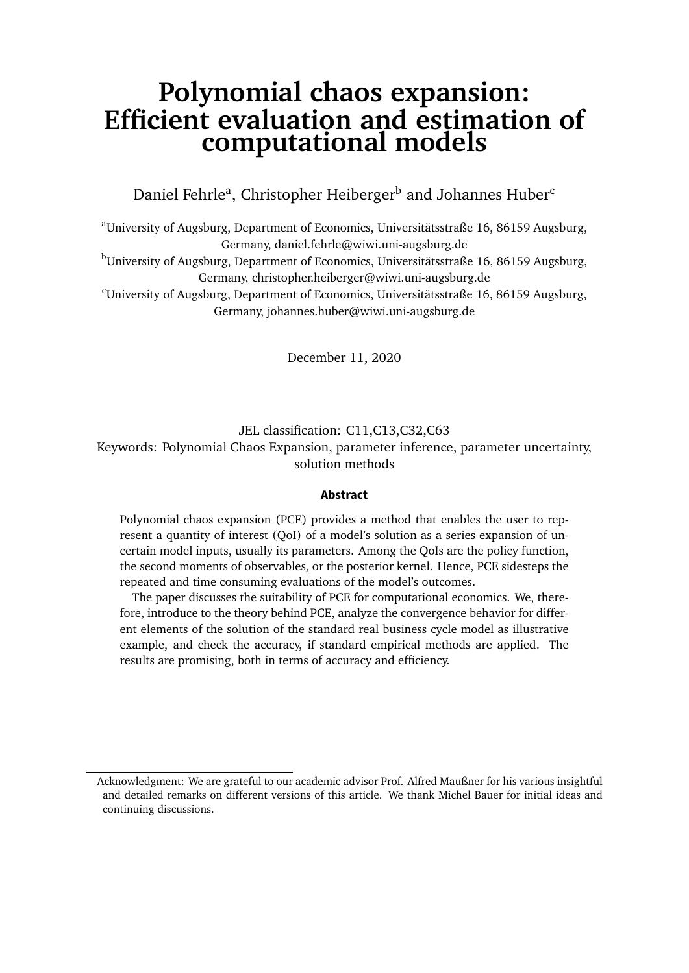## **Polynomial chaos expansion: Efficient evaluation and estimation of computational models**

Daniel Fehrle<sup>a</sup>, Christopher Heiberger<sup>b</sup> and Johannes Huber<sup>c</sup>

<sup>a</sup>University of Augsburg, Department of Economics, Universitätsstraße 16, 86159 Augsburg, Germany, daniel.fehrle@wiwi.uni-augsburg.de

<sup>b</sup>University of Augsburg, Department of Economics, Universitätsstraße 16, 86159 Augsburg, Germany, christopher.heiberger@wiwi.uni-augsburg.de

 $\text{C}$ University of Augsburg, Department of Economics, Universitätsstraße 16, 86159 Augsburg, Germany, johannes.huber@wiwi.uni-augsburg.de

December 11, 2020

JEL classification: C11,C13,C32,C63 Keywords: Polynomial Chaos Expansion, parameter inference, parameter uncertainty, solution methods

#### **Abstract**

Polynomial chaos expansion (PCE) provides a method that enables the user to represent a quantity of interest (QoI) of a model's solution as a series expansion of uncertain model inputs, usually its parameters. Among the QoIs are the policy function, the second moments of observables, or the posterior kernel. Hence, PCE sidesteps the repeated and time consuming evaluations of the model's outcomes.

The paper discusses the suitability of PCE for computational economics. We, therefore, introduce to the theory behind PCE, analyze the convergence behavior for different elements of the solution of the standard real business cycle model as illustrative example, and check the accuracy, if standard empirical methods are applied. The results are promising, both in terms of accuracy and efficiency.

Acknowledgment: We are grateful to our academic advisor Prof. Alfred Maußner for his various insightful and detailed remarks on different versions of this article. We thank Michel Bauer for initial ideas and continuing discussions.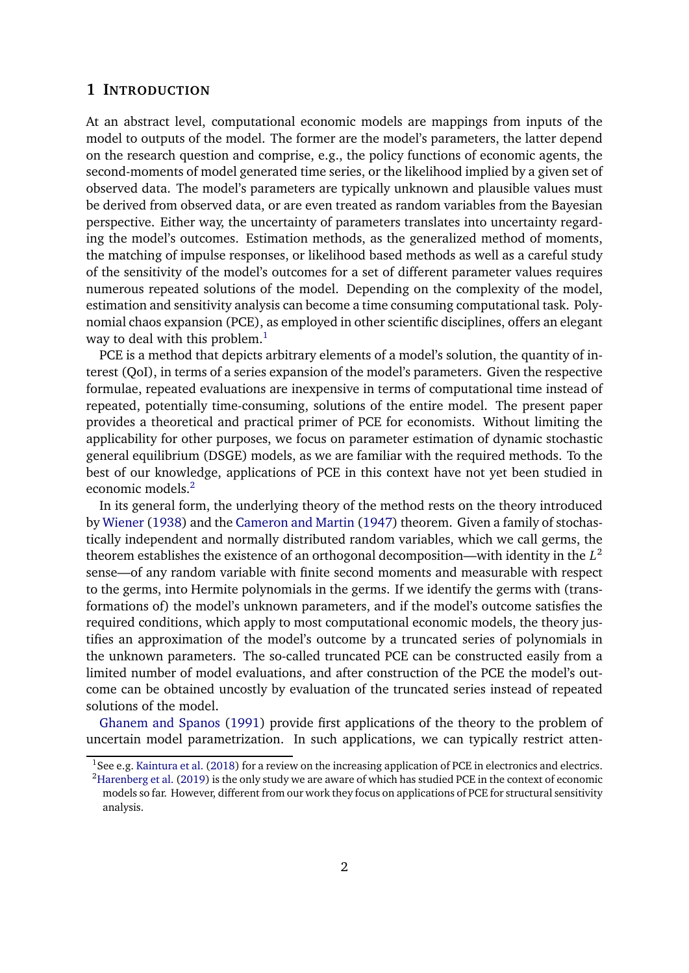## **1 INTRODUCTION**

At an abstract level, computational economic models are mappings from inputs of the model to outputs of the model. The former are the model's parameters, the latter depend on the research question and comprise, e.g., the policy functions of economic agents, the second-moments of model generated time series, or the likelihood implied by a given set of observed data. The model's parameters are typically unknown and plausible values must be derived from observed data, or are even treated as random variables from the Bayesian perspective. Either way, the uncertainty of parameters translates into uncertainty regarding the model's outcomes. Estimation methods, as the generalized method of moments, the matching of impulse responses, or likelihood based methods as well as a careful study of the sensitivity of the model's outcomes for a set of different parameter values requires numerous repeated solutions of the model. Depending on the complexity of the model, estimation and sensitivity analysis can become a time consuming computational task. Polynomial chaos expansion (PCE), as employed in other scientific disciplines, offers an elegant way to deal with this problem. $<sup>1</sup>$  $<sup>1</sup>$  $<sup>1</sup>$ </sup>

PCE is a method that depicts arbitrary elements of a model's solution, the quantity of interest (QoI), in terms of a series expansion of the model's parameters. Given the respective formulae, repeated evaluations are inexpensive in terms of computational time instead of repeated, potentially time-consuming, solutions of the entire model. The present paper provides a theoretical and practical primer of PCE for economists. Without limiting the applicability for other purposes, we focus on parameter estimation of dynamic stochastic general equilibrium (DSGE) models, as we are familiar with the required methods. To the best of our knowledge, applications of PCE in this context have not yet been studied in economic models.<sup>[2](#page-1-1)</sup>

In its general form, the underlying theory of the method rests on the theory introduced by [Wiener](#page-39-0) [\(1938\)](#page-39-0) and the [Cameron and Martin](#page-38-0) [\(1947\)](#page-38-0) theorem. Given a family of stochastically independent and normally distributed random variables, which we call germs, the theorem establishes the existence of an orthogonal decomposition—with identity in the *L* 2 sense—of any random variable with finite second moments and measurable with respect to the germs, into Hermite polynomials in the germs. If we identify the germs with (transformations of) the model's unknown parameters, and if the model's outcome satisfies the required conditions, which apply to most computational economic models, the theory justifies an approximation of the model's outcome by a truncated series of polynomials in the unknown parameters. The so-called truncated PCE can be constructed easily from a limited number of model evaluations, and after construction of the PCE the model's outcome can be obtained uncostly by evaluation of the truncated series instead of repeated solutions of the model.

[Ghanem and Spanos](#page-38-1) [\(1991\)](#page-38-1) provide first applications of the theory to the problem of uncertain model parametrization. In such applications, we can typically restrict atten-

<span id="page-1-0"></span><sup>&</sup>lt;sup>1</sup>See e.g. [Kaintura et al.](#page-38-2) [\(2018\)](#page-38-2) for a review on the increasing application of PCE in electronics and electrics.

<span id="page-1-1"></span><sup>&</sup>lt;sup>2</sup>[Harenberg et al.](#page-38-3) [\(2019\)](#page-38-3) is the only study we are aware of which has studied PCE in the context of economic models so far. However, different from our work they focus on applications of PCE for structural sensitivity analysis.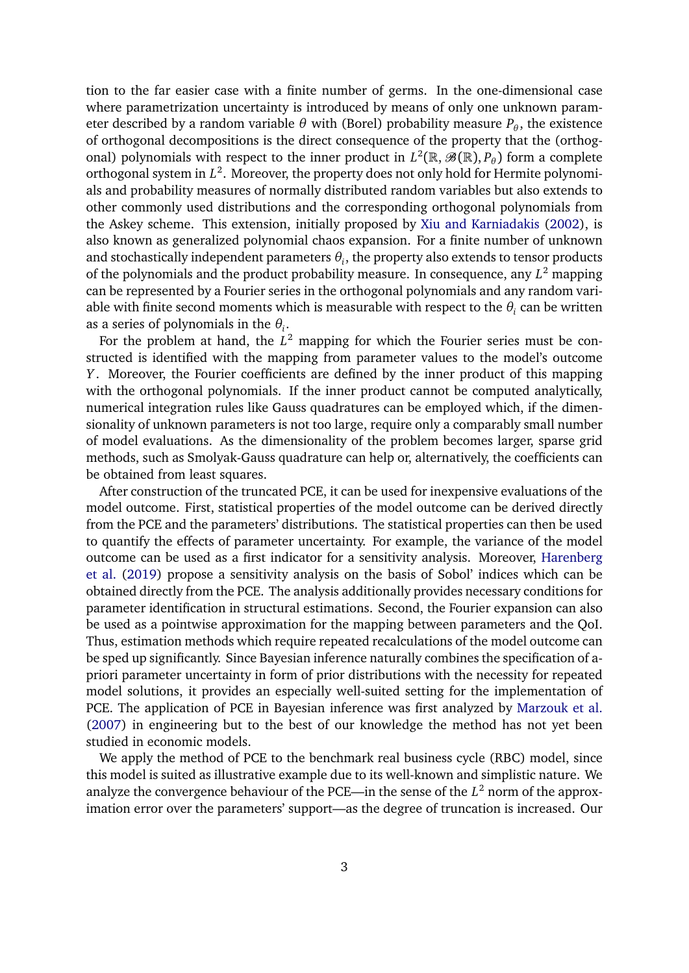tion to the far easier case with a finite number of germs. In the one-dimensional case where parametrization uncertainty is introduced by means of only one unknown parameter described by a random variable  $\theta$  with (Borel) probability measure  $P_{\theta}$ , the existence of orthogonal decompositions is the direct consequence of the property that the (orthogonal) polynomials with respect to the inner product in  $L^2(\mathbb{R}, \mathscr{B}(\mathbb{R}), P_\theta)$  form a complete orthogonal system in *L* 2 . Moreover, the property does not only hold for Hermite polynomials and probability measures of normally distributed random variables but also extends to other commonly used distributions and the corresponding orthogonal polynomials from the Askey scheme. This extension, initially proposed by [Xiu and Karniadakis](#page-39-1) [\(2002\)](#page-39-1), is also known as generalized polynomial chaos expansion. For a finite number of unknown and stochastically independent parameters  $\theta_i$ , the property also extends to tensor products of the polynomials and the product probability measure. In consequence, any *L* <sup>2</sup> mapping can be represented by a Fourier series in the orthogonal polynomials and any random variable with finite second moments which is measurable with respect to the  $\theta_i$  can be written as a series of polynomials in the *θ<sup>i</sup>* .

For the problem at hand, the  $L^2$  mapping for which the Fourier series must be constructed is identified with the mapping from parameter values to the model's outcome *Y*. Moreover, the Fourier coefficients are defined by the inner product of this mapping with the orthogonal polynomials. If the inner product cannot be computed analytically, numerical integration rules like Gauss quadratures can be employed which, if the dimensionality of unknown parameters is not too large, require only a comparably small number of model evaluations. As the dimensionality of the problem becomes larger, sparse grid methods, such as Smolyak-Gauss quadrature can help or, alternatively, the coefficients can be obtained from least squares.

After construction of the truncated PCE, it can be used for inexpensive evaluations of the model outcome. First, statistical properties of the model outcome can be derived directly from the PCE and the parameters' distributions. The statistical properties can then be used to quantify the effects of parameter uncertainty. For example, the variance of the model outcome can be used as a first indicator for a sensitivity analysis. Moreover, [Harenberg](#page-38-3) [et al.](#page-38-3) [\(2019\)](#page-38-3) propose a sensitivity analysis on the basis of Sobol' indices which can be obtained directly from the PCE. The analysis additionally provides necessary conditions for parameter identification in structural estimations. Second, the Fourier expansion can also be used as a pointwise approximation for the mapping between parameters and the QoI. Thus, estimation methods which require repeated recalculations of the model outcome can be sped up significantly. Since Bayesian inference naturally combines the specification of apriori parameter uncertainty in form of prior distributions with the necessity for repeated model solutions, it provides an especially well-suited setting for the implementation of PCE. The application of PCE in Bayesian inference was first analyzed by [Marzouk et al.](#page-39-2) [\(2007\)](#page-39-2) in engineering but to the best of our knowledge the method has not yet been studied in economic models.

We apply the method of PCE to the benchmark real business cycle (RBC) model, since this model is suited as illustrative example due to its well-known and simplistic nature. We analyze the convergence behaviour of the PCE—in the sense of the *L* <sup>2</sup> norm of the approximation error over the parameters' support—as the degree of truncation is increased. Our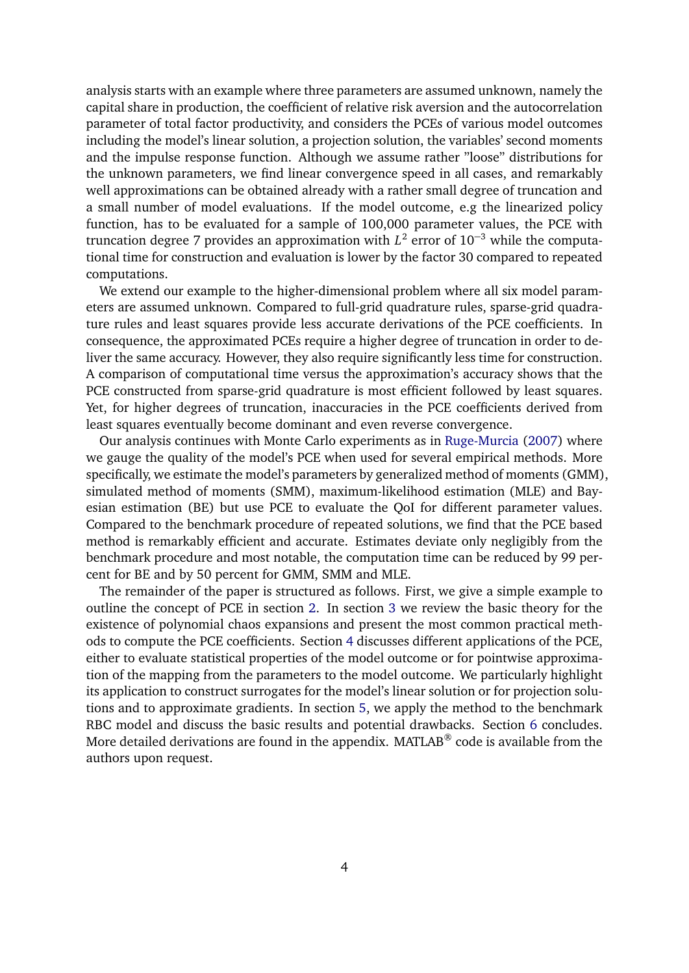analysis starts with an example where three parameters are assumed unknown, namely the capital share in production, the coefficient of relative risk aversion and the autocorrelation parameter of total factor productivity, and considers the PCEs of various model outcomes including the model's linear solution, a projection solution, the variables' second moments and the impulse response function. Although we assume rather "loose" distributions for the unknown parameters, we find linear convergence speed in all cases, and remarkably well approximations can be obtained already with a rather small degree of truncation and a small number of model evaluations. If the model outcome, e.g the linearized policy function, has to be evaluated for a sample of 100,000 parameter values, the PCE with truncation degree 7 provides an approximation with *L* 2 error of 10<sup>−</sup><sup>3</sup> while the computational time for construction and evaluation is lower by the factor 30 compared to repeated computations.

We extend our example to the higher-dimensional problem where all six model parameters are assumed unknown. Compared to full-grid quadrature rules, sparse-grid quadrature rules and least squares provide less accurate derivations of the PCE coefficients. In consequence, the approximated PCEs require a higher degree of truncation in order to deliver the same accuracy. However, they also require significantly less time for construction. A comparison of computational time versus the approximation's accuracy shows that the PCE constructed from sparse-grid quadrature is most efficient followed by least squares. Yet, for higher degrees of truncation, inaccuracies in the PCE coefficients derived from least squares eventually become dominant and even reverse convergence.

Our analysis continues with Monte Carlo experiments as in [Ruge-Murcia](#page-39-3) [\(2007\)](#page-39-3) where we gauge the quality of the model's PCE when used for several empirical methods. More specifically, we estimate the model's parameters by generalized method of moments (GMM), simulated method of moments (SMM), maximum-likelihood estimation (MLE) and Bayesian estimation (BE) but use PCE to evaluate the QoI for different parameter values. Compared to the benchmark procedure of repeated solutions, we find that the PCE based method is remarkably efficient and accurate. Estimates deviate only negligibly from the benchmark procedure and most notable, the computation time can be reduced by 99 percent for BE and by 50 percent for GMM, SMM and MLE.

The remainder of the paper is structured as follows. First, we give a simple example to outline the concept of PCE in section [2.](#page-4-0) In section [3](#page-7-0) we review the basic theory for the existence of polynomial chaos expansions and present the most common practical methods to compute the PCE coefficients. Section [4](#page-17-0) discusses different applications of the PCE, either to evaluate statistical properties of the model outcome or for pointwise approximation of the mapping from the parameters to the model outcome. We particularly highlight its application to construct surrogates for the model's linear solution or for projection solutions and to approximate gradients. In section [5,](#page-20-0) we apply the method to the benchmark RBC model and discuss the basic results and potential drawbacks. Section [6](#page-37-0) concludes. More detailed derivations are found in the appendix. MATLAB® code is available from the authors upon request.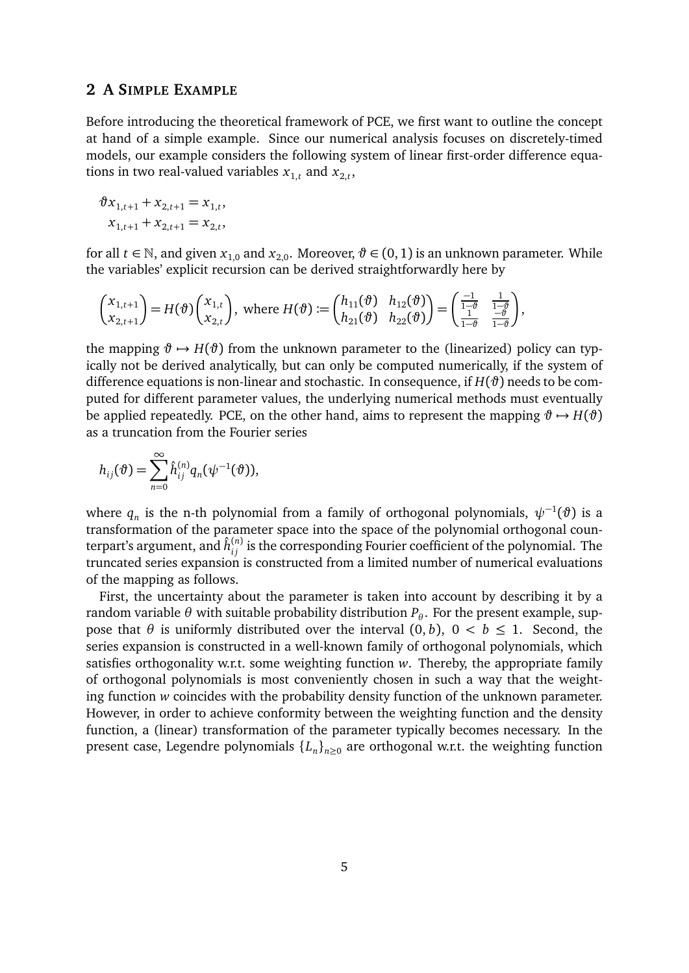## <span id="page-4-0"></span>**2 A SIMPLE EXAMPLE**

Before introducing the theoretical framework of PCE, we first want to outline the concept at hand of a simple example. Since our numerical analysis focuses on discretely-timed models, our example considers the following system of linear first-order difference equations in two real-valued variables  $x_{1,t}$  and  $x_{2,t}$ ,

$$
\vartheta x_{1,t+1} + x_{2,t+1} = x_{1,t},
$$
  

$$
x_{1,t+1} + x_{2,t+1} = x_{2,t},
$$

for all  $t \in \mathbb{N}$ , and given  $x_{1,0}$  and  $x_{2,0}$ . Moreover,  $\vartheta \in (0,1)$  is an unknown parameter. While the variables' explicit recursion can be derived straightforwardly here by

$$
\begin{pmatrix} x_{1,t+1} \\ x_{2,t+1} \end{pmatrix} = H(\vartheta) \begin{pmatrix} x_{1,t} \\ x_{2,t} \end{pmatrix}, \text{ where } H(\vartheta) := \begin{pmatrix} h_{11}(\vartheta) & h_{12}(\vartheta) \\ h_{21}(\vartheta) & h_{22}(\vartheta) \end{pmatrix} = \begin{pmatrix} \frac{-1}{1-\vartheta} & \frac{1}{1-\vartheta} \\ \frac{1}{1-\vartheta} & \frac{-\vartheta}{1-\vartheta} \end{pmatrix},
$$

the mapping  $\vartheta \mapsto H(\vartheta)$  from the unknown parameter to the (linearized) policy can typically not be derived analytically, but can only be computed numerically, if the system of difference equations is non-linear and stochastic. In consequence, if  $H(\vartheta)$  needs to be computed for different parameter values, the underlying numerical methods must eventually be applied repeatedly. PCE, on the other hand, aims to represent the mapping  $\vartheta \mapsto H(\vartheta)$ as a truncation from the Fourier series

$$
h_{ij}(\vartheta) = \sum_{n=0}^{\infty} \hat{h}_{ij}^{(n)} q_n(\psi^{-1}(\vartheta)),
$$

where  $q_n$  is the n-th polynomial from a family of orthogonal polynomials,  $\psi^{-1}(\vartheta)$  is a transformation of the parameter space into the space of the polynomial orthogonal counterpart's argument, and  $\hat{h}^{(n)}_{ij}$  is the corresponding Fourier coefficient of the polynomial. The truncated series expansion is constructed from a limited number of numerical evaluations of the mapping as follows.

First, the uncertainty about the parameter is taken into account by describing it by a random variable  $\theta$  with suitable probability distribution  $P_\theta.$  For the present example, suppose that  $\theta$  is uniformly distributed over the interval  $(0, b)$ ,  $0 < b \le 1$ . Second, the series expansion is constructed in a well-known family of orthogonal polynomials, which satisfies orthogonality w.r.t. some weighting function *w*. Thereby, the appropriate family of orthogonal polynomials is most conveniently chosen in such a way that the weighting function *w* coincides with the probability density function of the unknown parameter. However, in order to achieve conformity between the weighting function and the density function, a (linear) transformation of the parameter typically becomes necessary. In the present case, Legendre polynomials {*L<sup>n</sup>* }*n*≥<sup>0</sup> are orthogonal w.r.t. the weighting function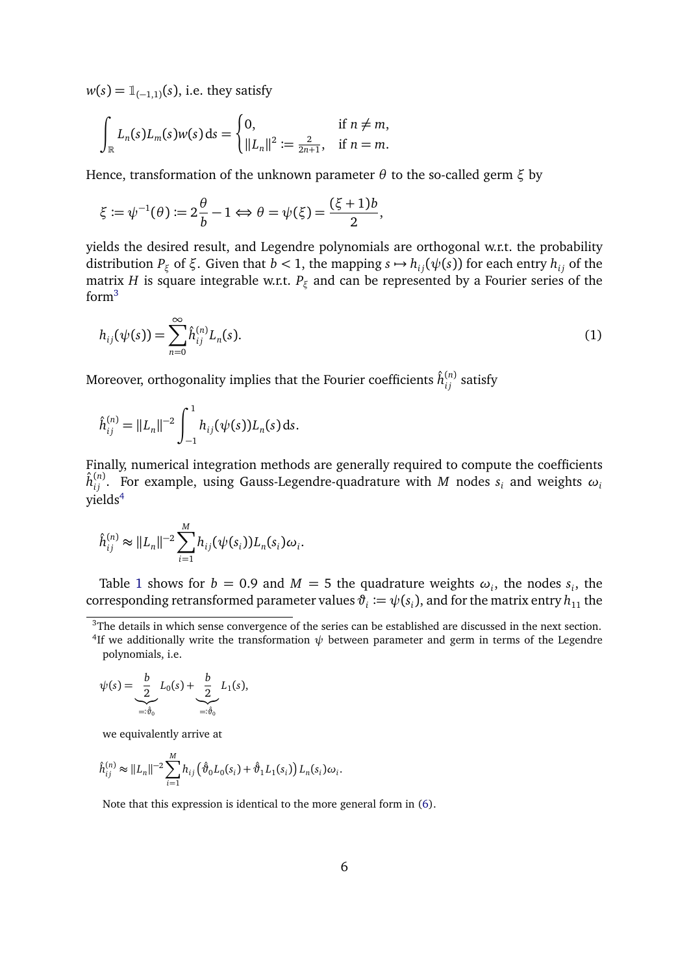$w(s) = \mathbb{1}_{(-1,1)}(s)$ , i.e. they satisfy

$$
\int_{\mathbb{R}} L_n(s) L_m(s) w(s) ds = \begin{cases} 0, & \text{if } n \neq m, \\ \|L_n\|^2 := \frac{2}{2n+1}, & \text{if } n = m. \end{cases}
$$

Hence, transformation of the unknown parameter *θ* to the so-called germ *ξ* by

$$
\xi := \psi^{-1}(\theta) := 2\frac{\theta}{b} - 1 \Leftrightarrow \theta = \psi(\xi) = \frac{(\xi + 1)b}{2},
$$

yields the desired result, and Legendre polynomials are orthogonal w.r.t. the probability distribution  $P_{\xi}$  of  $\xi$ . Given that  $b < 1$ , the mapping  $s \mapsto h_{ij}(\psi(s))$  for each entry  $h_{ij}$  of the matrix *H* is square integrable w.r.t. *P<sup>ξ</sup>* and can be represented by a Fourier series of the form[3](#page-5-0)

<span id="page-5-2"></span>
$$
h_{ij}(\psi(s)) = \sum_{n=0}^{\infty} \hat{h}_{ij}^{(n)} L_n(s).
$$
 (1)

Moreover, orthogonality implies that the Fourier coefficients  $\hat{h}^{(n)}_{ij}$  satisfy

$$
\hat{h}_{ij}^{(n)} = ||L_n||^{-2} \int_{-1}^1 h_{ij}(\psi(s)) L_n(s) \, ds.
$$

Finally, numerical integration methods are generally required to compute the coefficients  $\hat{h}^{(n)}_{ij}$ . For example, using Gauss-Legendre-quadrature with  $M$  nodes  $s_i$  and weights  $\omega_i$ yields<sup>[4](#page-5-1)</sup>

$$
\hat{h}_{ij}^{(n)} \approx ||L_n||^{-2} \sum_{i=1}^{M} h_{ij}(\psi(s_i)) L_n(s_i) \omega_i.
$$

Table [1](#page-6-0) shows for  $b = 0.9$  and  $M = 5$  the quadrature weights  $\omega_i$ , the nodes  $s_i$ , the  $\text{corresponding retransformed parameter values } \vartheta_i \coloneqq \psi(s_i) \text{, and for the matrix entry } h_{11} \text{ the }$ 

$$
\psi(s) = \underbrace{\frac{b}{2}}_{=: \hat{\theta}_0} L_0(s) + \underbrace{\frac{b}{2}}_{=: \hat{\theta}_0} L_1(s),
$$

we equivalently arrive at

$$
\hat{h}_{ij}^{(n)} \approx ||L_n||^{-2} \sum_{i=1}^{M} h_{ij} \left( \hat{\vartheta}_0 L_0(s_i) + \hat{\vartheta}_1 L_1(s_i) \right) L_n(s_i) \omega_i.
$$

Note that this expression is identical to the more general form in [\(6\)](#page-12-0).

<span id="page-5-1"></span><span id="page-5-0"></span><sup>&</sup>lt;sup>3</sup>The details in which sense convergence of the series can be established are discussed in the next section. <sup>4</sup>If we additionally write the transformation  $\psi$  between parameter and germ in terms of the Legendre polynomials, i.e.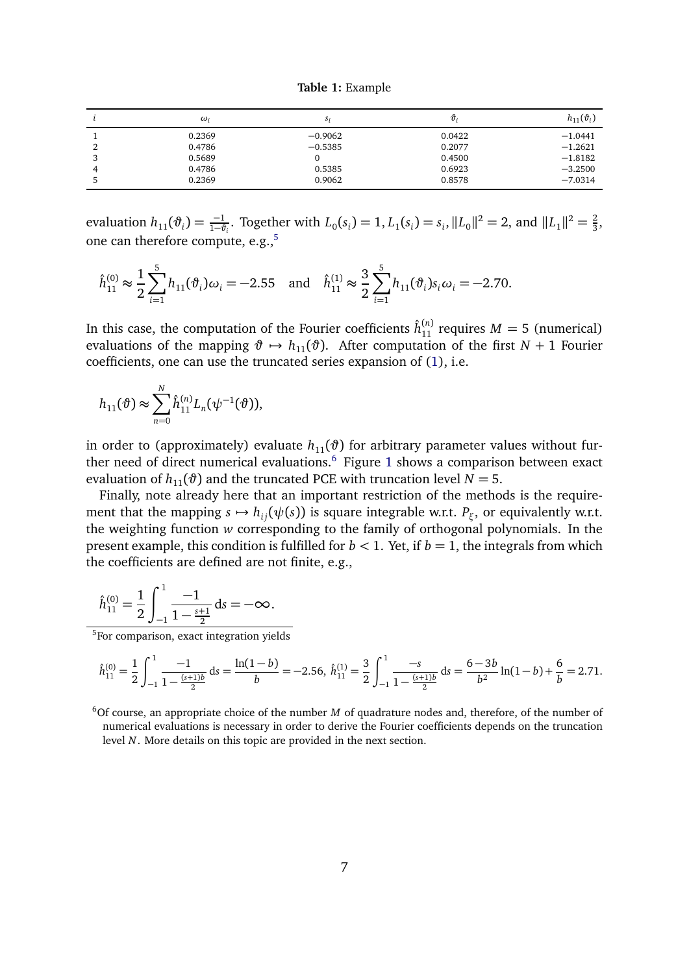**Table 1:** Example

<span id="page-6-0"></span>

|            | $\omega_i$ | S:        | Ũ,     | $h_{11}(\vartheta_i)$ |
|------------|------------|-----------|--------|-----------------------|
|            | 0.2369     | $-0.9062$ | 0.0422 | $-1.0441$             |
|            | 0.4786     | $-0.5385$ | 0.2077 | $-1.2621$             |
| w          | 0.5689     |           | 0.4500 | $-1.8182$             |
| $\sqrt{ }$ | 0.4786     | 0.5385    | 0.6923 | $-3.2500$             |
|            | 0.2369     | 0.9062    | 0.8578 | $-7.0314$             |

evaluation  $h_{11}(\vartheta_i) = \frac{-1}{1-\vartheta_i}$ . Together with  $L_0(s_i) = 1, L_1(s_i) = s_i, ||L_0||^2 = 2$ , and  $||L_1||^2 = \frac{2}{3}$  $\frac{2}{3}$ one can therefore compute, e.g.,<sup>[5](#page-6-1)</sup>

$$
\hat{h}_{11}^{(0)} \approx \frac{1}{2} \sum_{i=1}^{5} h_{11}(\vartheta_i) \omega_i = -2.55 \quad \text{and} \quad \hat{h}_{11}^{(1)} \approx \frac{3}{2} \sum_{i=1}^{5} h_{11}(\vartheta_i) s_i \omega_i = -2.70.
$$

In this case, the computation of the Fourier coefficients  $\hat{h}_{11}^{(n)}$  requires  $M = 5$  (numerical) evaluations of the mapping  $\vartheta \mapsto h_{11}(\vartheta)$ . After computation of the first  $N + 1$  Fourier coefficients, one can use the truncated series expansion of [\(1\)](#page-5-2), i.e.

$$
h_{11}(\vartheta) \approx \sum_{n=0}^{N} \hat{h}_{11}^{(n)} L_n(\psi^{-1}(\vartheta)),
$$

in order to (approximately) evaluate  $h_{11}(\vartheta)$  for arbitrary parameter values without fur-ther need of direct numerical evaluations.<sup>[6](#page-6-2)</sup> Figure [1](#page-7-1) shows a comparison between exact evaluation of  $h_{11}(\vartheta)$  and the truncated PCE with truncation level  $N = 5$ .

Finally, note already here that an important restriction of the methods is the requirement that the mapping  $s \mapsto h_{ij}(\psi(s))$  is square integrable w.r.t.  $P_{\xi}$ , or equivalently w.r.t. the weighting function *w* corresponding to the family of orthogonal polynomials. In the present example, this condition is fulfilled for  $b < 1$ . Yet, if  $b = 1$ , the integrals from which the coefficients are defined are not finite, e.g.,

$$
\hat{h}_{11}^{(0)} = \frac{1}{2} \int_{-1}^{1} \frac{-1}{1 - \frac{s+1}{2}} \, \mathrm{d}s = -\infty.
$$

<span id="page-6-1"></span><sup>5</sup>For comparison, exact integration yields

$$
\hat{h}_{11}^{(0)} = \frac{1}{2} \int_{-1}^{1} \frac{-1}{1 - \frac{(s+1)b}{2}} ds = \frac{\ln(1-b)}{b} = -2.56, \ \hat{h}_{11}^{(1)} = \frac{3}{2} \int_{-1}^{1} \frac{-s}{1 - \frac{(s+1)b}{2}} ds = \frac{6-3b}{b^2} \ln(1-b) + \frac{6}{b} = 2.71.
$$

<span id="page-6-2"></span><sup>6</sup>Of course, an appropriate choice of the number *M* of quadrature nodes and, therefore, of the number of numerical evaluations is necessary in order to derive the Fourier coefficients depends on the truncation level *N*. More details on this topic are provided in the next section.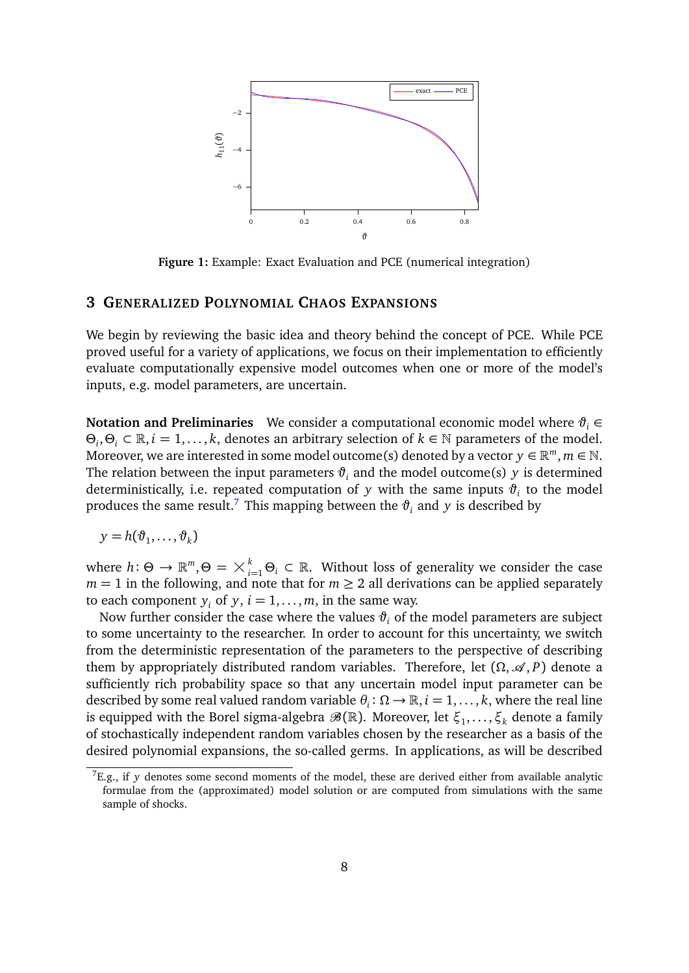<span id="page-7-1"></span>

**Figure 1:** Example: Exact Evaluation and PCE (numerical integration)

## <span id="page-7-0"></span>**3 GENERALIZED POLYNOMIAL CHAOS EXPANSIONS**

We begin by reviewing the basic idea and theory behind the concept of PCE. While PCE proved useful for a variety of applications, we focus on their implementation to efficiently evaluate computationally expensive model outcomes when one or more of the model's inputs, e.g. model parameters, are uncertain.

**Notation and Preliminaries** We consider a computational economic model where *ϑ<sup>i</sup>* ∈ *Θ*<sub>*i*</sub>, *Θ*<sub>*i*</sub> ⊂ ℝ, *i* = 1, . . . , *k*, denotes an arbitrary selection of *k* ∈ N parameters of the model. Moreover, we are interested in some model outcome(s) denoted by a vector  $y \in \mathbb{R}^m, m \in \mathbb{N}$ . The relation between the input parameters  $\vartheta_i$  and the model outcome(s) *y* is determined deterministically, i.e. repeated computation of  $y$  with the same inputs  $\vartheta_i$  to the model produces the same result.<sup>[7](#page-7-2)</sup> This mapping between the  $\vartheta_i$  and  $y$  is described by

$$
y = h(\vartheta_1, \ldots, \vartheta_k)
$$

where  $h: \Theta \to \mathbb{R}^m, \Theta = \times_{i=1}^k \Theta_i \subset \mathbb{R}$ . Without loss of generality we consider the case  $m = 1$  in the following, and note that for  $m \geq 2$  all derivations can be applied separately to each component  $y_i$  of  $y$ ,  $i = 1, \ldots, m$ , in the same way.

Now further consider the case where the values  $\vartheta$ <sub>*i*</sub> of the model parameters are subject to some uncertainty to the researcher. In order to account for this uncertainty, we switch from the deterministic representation of the parameters to the perspective of describing them by appropriately distributed random variables. Therefore, let  $(\Omega, \mathcal{A}, P)$  denote a sufficiently rich probability space so that any uncertain model input parameter can be described by some real valued random variable  $\theta_i \colon \Omega \to \mathbb{R}, i = 1, \ldots, k$ , where the real line is equipped with the Borel sigma-algebra  $\mathscr{B}(\mathbb{R})$ . Moreover, let  $\xi_1,\ldots,\xi_k$  denote a family of stochastically independent random variables chosen by the researcher as a basis of the desired polynomial expansions, the so-called germs. In applications, as will be described

<span id="page-7-2"></span> ${}^{7}E.g.,$  if *y* denotes some second moments of the model, these are derived either from available analytic formulae from the (approximated) model solution or are computed from simulations with the same sample of shocks.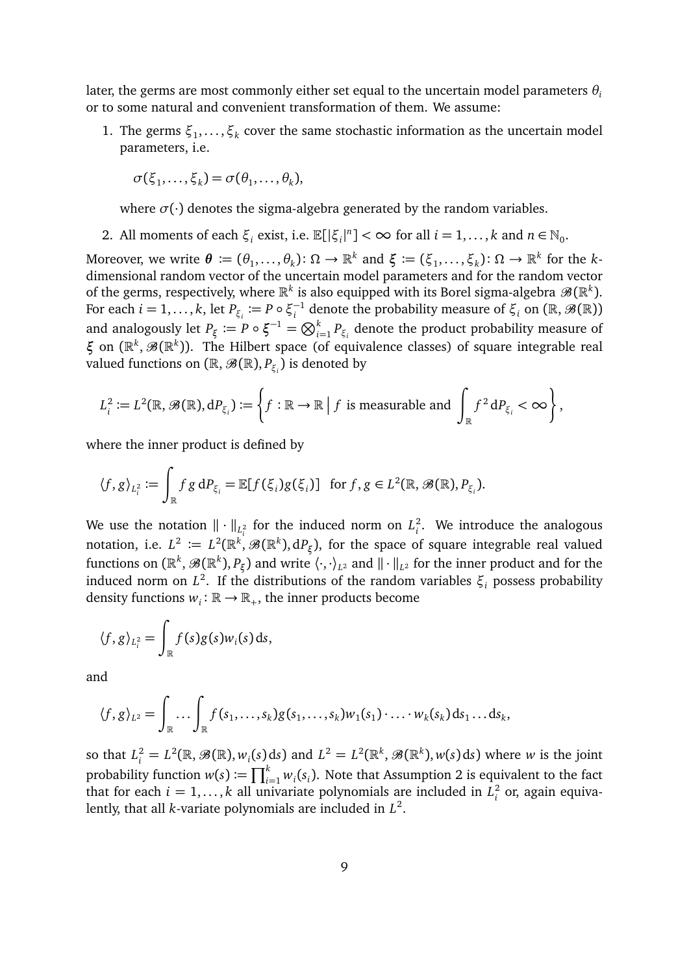later, the germs are most commonly either set equal to the uncertain model parameters *θ<sup>i</sup>* or to some natural and convenient transformation of them. We assume:

1. The germs  $\xi_1, \ldots, \xi_k$  cover the same stochastic information as the uncertain model parameters, i.e.

$$
\sigma(\xi_1,\ldots,\xi_k)=\sigma(\theta_1,\ldots,\theta_k),
$$

where  $\sigma(\cdot)$  denotes the sigma-algebra generated by the random variables.

2. All moments of each  $\xi_i$  exist, i.e.  $\mathbb{E}[\xi_i|^n] < \infty$  for all  $i = 1, ..., k$  and  $n \in \mathbb{N}_0$ .

 $M$ oreover, we write  $\boldsymbol{\theta} \coloneqq (\theta_1, \dots, \theta_k) \colon \Omega \to \mathbb{R}^k$  and  $\xi \coloneqq (\xi_1, \dots, \xi_k) \colon \Omega \to \mathbb{R}^k$  for the  $k$ dimensional random vector of the uncertain model parameters and for the random vector of the germs, respectively, where  $\mathbb{R}^k$  is also equipped with its Borel sigma-algebra  $\mathscr{B}(\mathbb{R}^k).$ For each  $i = 1, \ldots, k$ , let  $P_{\xi_i} := P \circ \xi_i^{-1}$  $\mathcal{F}_i^{-1}$  denote the probability measure of  $\xi_i$  on (ℝ,  $\mathscr{B}(\mathbb{R})$ ) and analogously let  $P_{\xi} := P \circ \xi^{-1} = \bigotimes_{i=1}^{k} P_{\xi_i}$  denote the product probability measure of *ξ* on ( $\mathbb{R}^k$ ,  $\mathscr{B}(\mathbb{R}^k)$ ). The Hilbert space (of equivalence classes) of square integrable real valued functions on  $(\mathbb{R},\mathscr{B}(\mathbb{R}), P_{\xi_i})$  is denoted by

$$
L_i^2 := L^2(\mathbb{R}, \mathcal{B}(\mathbb{R}), dP_{\xi_i}) := \left\{ f : \mathbb{R} \to \mathbb{R} \mid f \text{ is measurable and } \int_{\mathbb{R}} f^2 dP_{\xi_i} < \infty \right\},
$$

where the inner product is defined by

$$
\langle f, g \rangle_{L_i^2} := \int_{\mathbb{R}} f g \, dP_{\xi_i} = \mathbb{E}[f(\xi_i)g(\xi_i)] \text{ for } f, g \in L^2(\mathbb{R}, \mathcal{B}(\mathbb{R}), P_{\xi_i}).
$$

We use the notation  $\|\cdot\|_{L^2_i}$  for the induced norm on  $L^2_i$  $\int_{i}^{2}$ . We introduce the analogous notation, i.e.  $L^2 \coloneqq L^2(\mathbb{R}^k, \mathscr{B}(\mathbb{R}^k),\mathrm{d} P_\xi),$  for the space of square integrable real valued functions on  $(\R^k,\mathscr{B}(\R^k),P_\xi)$  and write  $\langle\cdot,\cdot\rangle_{L^2}$  and  $\|\cdot\|_{L^2}$  for the inner product and for the induced norm on *L* 2 . If the distributions of the random variables *ξ<sup>i</sup>* possess probability density functions  $w_i: \mathbb{R} \to \mathbb{R}_+$ , the inner products become

$$
\langle f, g \rangle_{L_i^2} = \int_{\mathbb{R}} f(s) g(s) w_i(s) \, ds,
$$

and

$$
\langle f,g \rangle_{L^2} = \int_{\mathbb{R}} \dots \int_{\mathbb{R}} f(s_1,\dots,s_k)g(s_1,\dots,s_k)w_1(s_1)\cdot \dots \cdot w_k(s_k) \, ds_1 \dots ds_k,
$$

so that  $L_i^2 = L^2(\mathbb{R}, \mathcal{B}(\mathbb{R}), w_i(s) \, ds)$  and  $L^2 = L^2(\mathbb{R}^k, \mathcal{B}(\mathbb{R}^k), w(s) \, ds)$  where *w* is the joint probability function  $w(s) := \prod_{i=1}^{k} w_i(s_i)$ . Note that Assumption 2 is equivalent to the fact that for each  $i = 1, ..., k$  all univariate polynomials are included in  $L_i^2$  $\frac{2}{i}$  or, again equivalently, that all *k*-variate polynomials are included in *L* 2 .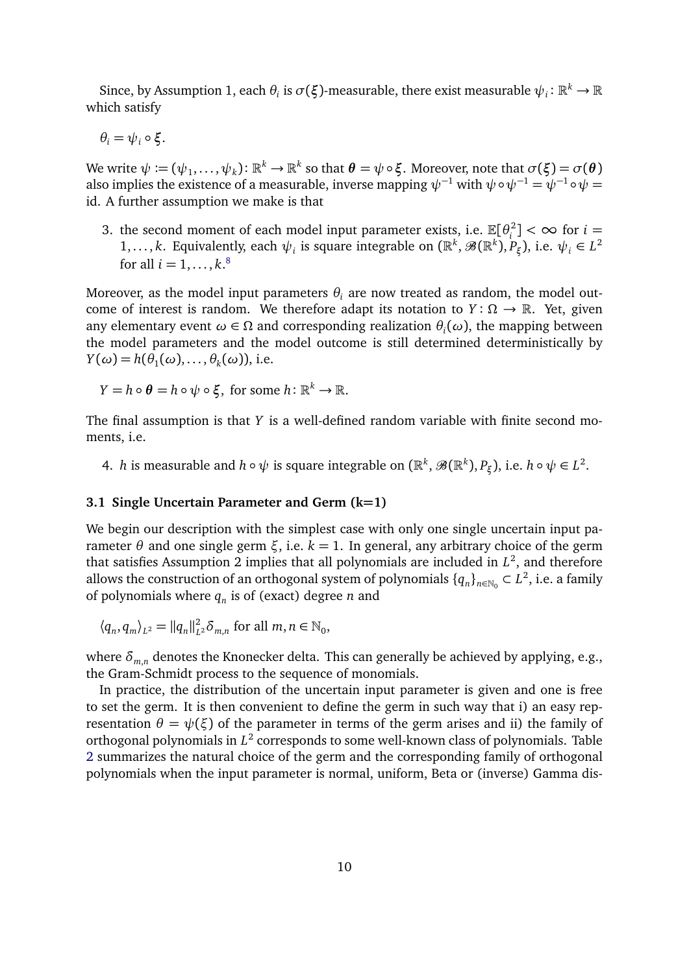Since, by Assumption 1, each  $\theta_i$  is  $\sigma(\xi)$ -measurable, there exist measurable  $\psi_i: \mathbb{R}^k \to \mathbb{R}$ which satisfy

*θ*<sub>*i*</sub> =  $ψ$ *<sub><i>i*</sub>  $\circ$  ξ<sub>*i*</sub></sub>

 $\forall$  we write  $\psi:=(\psi_1,\ldots,\psi_k)\colon \mathbb{R}^k\to\mathbb{R}^k$  so that  $\bm{\theta}=\psi\circ\bm{\xi}.$  Moreover, note that  $\sigma(\bm{\xi})=\sigma(\bm{\theta})$ also implies the existence of a measurable, inverse mapping  $\psi^{-1}$  with  $\psi \circ \psi^{-1} = \psi^{-1} \circ \psi = \psi^{-1}$ id. A further assumption we make is that

3. the second moment of each model input parameter exists, i.e.  $\mathbb{E}[\theta_i^2]$  $\left[\frac{2}{i}\right]$  <  $\infty$  for  $i =$ 1,..., *k*. Equivalently, each  $\psi_i$  is square integrable on  $(\mathbb{R}^k, \mathscr{B}(\mathbb{R}^k), P_{\xi})$ , i.e.  $\psi_i \in L^2$ for all  $i = 1, \ldots, k$ .<sup>[8](#page-10-0)</sup>

Moreover, as the model input parameters  $\theta_i$  are now treated as random, the model outcome of interest is random. We therefore adapt its notation to  $Y: \Omega \to \mathbb{R}$ . Yet, given any elementary event  $\omega \in \Omega$  and corresponding realization  $\theta_i(\omega)$ , the mapping between the model parameters and the model outcome is still determined deterministically by  $Y(\omega) = h(\theta_1(\omega), \dots, \theta_k(\omega))$ , i.e.

$$
Y = h \circ \theta = h \circ \psi \circ \xi, \text{ for some } h \colon \mathbb{R}^k \to \mathbb{R}.
$$

The final assumption is that *Y* is a well-defined random variable with finite second moments, i.e.

4. *h* is measurable and  $h \circ \psi$  is square integrable on  $(\mathbb{R}^k, \mathscr{B}(\mathbb{R}^k), P_\xi)$ , i.e.  $h \circ \psi \in L^2$ .

#### **3.1 Single Uncertain Parameter and Germ (k=1)**

We begin our description with the simplest case with only one single uncertain input parameter *θ* and one single germ *ξ*, i.e. *k* = 1. In general, any arbitrary choice of the germ that satisfies Assumption 2 implies that all polynomials are included in  $L^2$ , and therefore allows the construction of an orthogonal system of polynomials  $\{q_n\}_{n\in\mathbb{N}_0}\subset L^2$ , i.e. a family of polynomials where *q<sup>n</sup>* is of (exact) degree *n* and

$$
\langle q_n, q_m \rangle_{L^2} = ||q_n||_{L^2}^2 \delta_{m,n} \text{ for all } m, n \in \mathbb{N}_0,
$$

where  $\delta_{m,n}$  denotes the Knonecker delta. This can generally be achieved by applying, e.g., the Gram-Schmidt process to the sequence of monomials.

In practice, the distribution of the uncertain input parameter is given and one is free to set the germ. It is then convenient to define the germ in such way that i) an easy representation  $θ = ψ(ξ)$  of the parameter in terms of the germ arises and ii) the family of orthogonal polynomials in  $L^2$  corresponds to some well-known class of polynomials. Table [2](#page-10-1) summarizes the natural choice of the germ and the corresponding family of orthogonal polynomials when the input parameter is normal, uniform, Beta or (inverse) Gamma dis-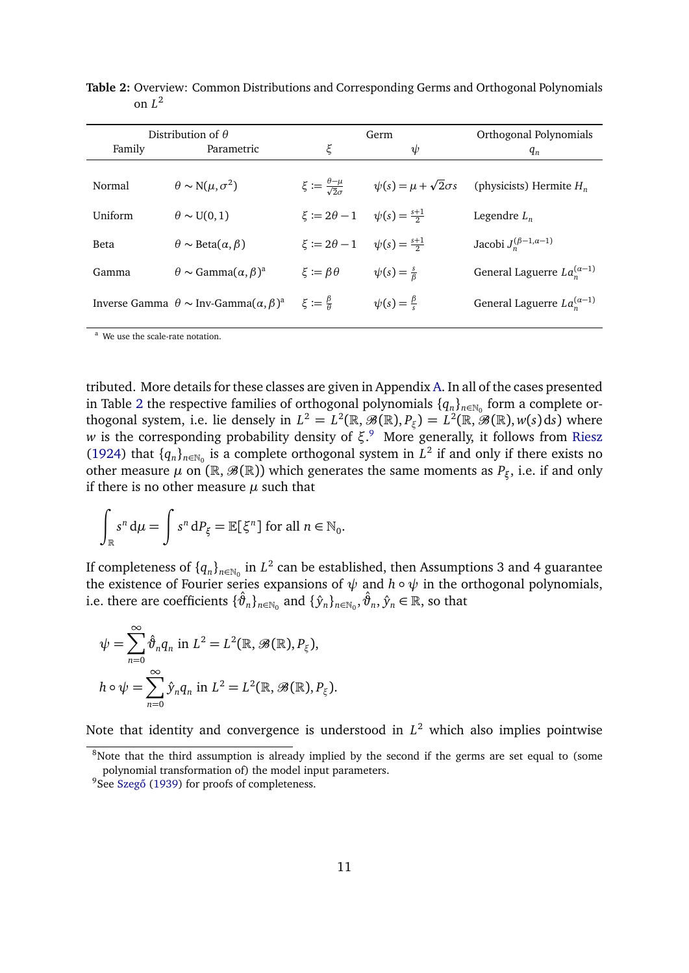|         | Distribution of $\theta$                                                               |                                                       | Germ                               | Orthogonal Polynomials               |  |  |
|---------|----------------------------------------------------------------------------------------|-------------------------------------------------------|------------------------------------|--------------------------------------|--|--|
| Family  | Parametric                                                                             | ξ                                                     | $\psi$                             | $q_n$                                |  |  |
| Normal  | $\theta \sim N(\mu, \sigma^2)$                                                         | $\xi := \frac{\theta - \mu}{\sqrt{2} \sigma}$         | $\psi(s) = \mu + \sqrt{2}\sigma s$ | (physicists) Hermite $H_n$           |  |  |
| Uniform | $\theta \sim U(0,1)$                                                                   | $\xi \coloneqq 2\theta - 1$ $\psi(s) = \frac{s+1}{2}$ |                                    | Legendre $L_n$                       |  |  |
| Beta    | $\theta \sim \text{Beta}(\alpha, \beta)$                                               | $\xi := 2\theta - 1$ $\psi(s) = \frac{s+1}{2}$        |                                    | Jacobi $J_n^{(\beta-1,\alpha-1)}$    |  |  |
| Gamma   | $\theta \sim$ Gamma $(\alpha, \beta)^a$                                                | $\xi := \beta \theta$                                 | $\psi(s) = \frac{s}{\beta}$        | General Laguerre $La_n^{(\alpha-1)}$ |  |  |
|         | Inverse Gamma $\theta \sim \text{Inv-Gamma}(\alpha, \beta)^a$ $\xi := \frac{\beta}{a}$ |                                                       | $\psi(s) = \frac{\beta}{s}$        | General Laguerre $La_n^{(\alpha-1)}$ |  |  |
|         |                                                                                        |                                                       |                                    |                                      |  |  |

<span id="page-10-1"></span>**Table 2:** Overview: Common Distributions and Corresponding Germs and Orthogonal Polynomials on *L* 2

<sup>a</sup> We use the scale-rate notation.

tributed. More details for these classes are given in Appendix [A.](#page-41-0) In all of the cases presented in Table [2](#page-10-1) the respective families of orthogonal polynomials  $\{q_n\}_{n\in\mathbb{N}_0}$  form a complete orthogonal system, i.e. lie densely in  $L^2 = L^2(\mathbb{R}, \mathscr{B}(\mathbb{R}), P_\xi) = L^2(\mathbb{R}, \mathscr{B}(\mathbb{R}), w(s) \, ds)$  where *w* is the corresponding probability density of *ξ*. [9](#page-10-2) More generally, it follows from [Riesz](#page-39-4) [\(1924\)](#page-39-4) that  $\{q_n\}_{n\in\mathbb{N}_0}$  is a complete orthogonal system in  $L^2$  if and only if there exists no other measure  $\mu$  on ( $\mathbb{R}, \mathscr{B}(\mathbb{R})$ ) which generates the same moments as  $P_{\xi}$ , i.e. if and only if there is no other measure  $\mu$  such that

$$
\int_{\mathbb{R}} s^n d\mu = \int s^n dP_{\xi} = \mathbb{E}[\xi^n] \text{ for all } n \in \mathbb{N}_0.
$$

If completeness of  $\{q_n\}_{n\in\mathbb{N}_0}$  in  $L^2$  can be established, then Assumptions 3 and 4 guarantee the existence of Fourier series expansions of *ψ* and *h* ◦ *ψ* in the orthogonal polynomials, i.e. there are coefficients  $\{\hat{\vartheta}_n\}_{n\in\mathbb{N}_0}$  and  $\{\hat{y}_n\}_{n\in\mathbb{N}_0}, \hat{\vartheta}_n, \hat{y}_n\in\mathbb{R}$ , so that

$$
\psi = \sum_{n=0}^{\infty} \hat{\vartheta}_n q_n \text{ in } L^2 = L^2(\mathbb{R}, \mathscr{B}(\mathbb{R}), P_{\xi}),
$$
  

$$
h \circ \psi = \sum_{n=0}^{\infty} \hat{y}_n q_n \text{ in } L^2 = L^2(\mathbb{R}, \mathscr{B}(\mathbb{R}), P_{\xi}).
$$

Note that identity and convergence is understood in *L* <sup>2</sup> which also implies pointwise

<span id="page-10-0"></span><sup>&</sup>lt;sup>8</sup>Note that the third assumption is already implied by the second if the germs are set equal to (some polynomial transformation of) the model input parameters.

<span id="page-10-2"></span><sup>&</sup>lt;sup>9</sup>See Szegő [\(1939\)](#page-39-5) for proofs of completeness.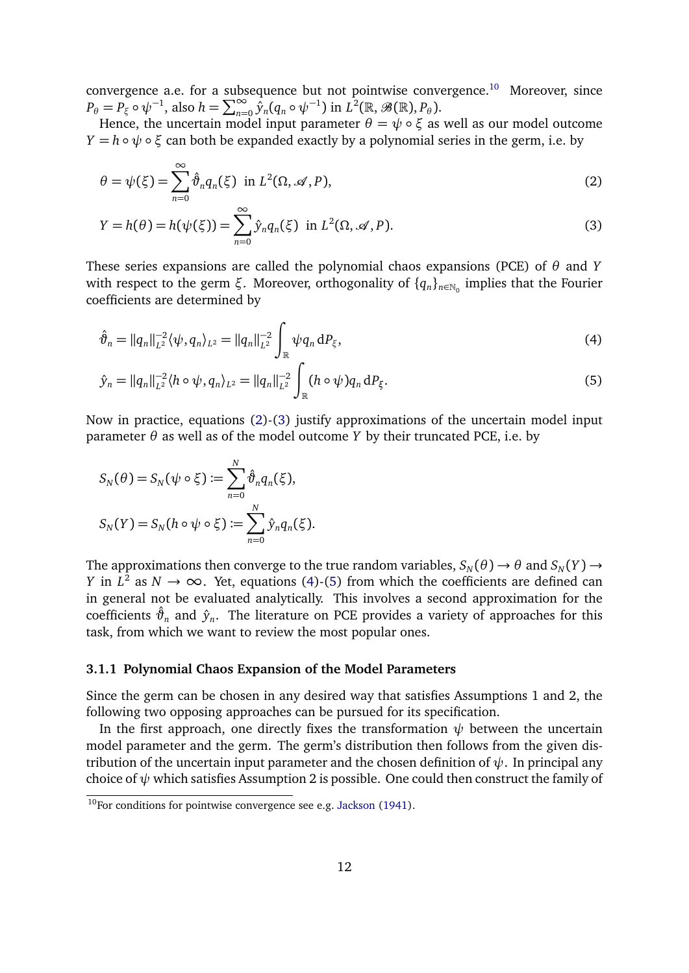convergence a.e. for a subsequence but not pointwise convergence.<sup>[10](#page-11-0)</sup> Moreover, since  $P_{\theta} = P_{\xi} \circ \psi^{-1}$ , also  $h = \sum_{n=0}^{\infty} \hat{y}_n (q_n \circ \psi^{-1})$  in  $L^2(\mathbb{R}, \mathscr{B}(\mathbb{R}), P_{\theta})$ .

Hence, the uncertain model input parameter  $θ = ψ ∘ ξ$  as well as our model outcome *Y* = *h* ∘  $\psi$  ∘  $\xi$  can both be expanded exactly by a polynomial series in the germ, i.e. by

<span id="page-11-1"></span>
$$
\theta = \psi(\xi) = \sum_{n=0}^{\infty} \hat{\vartheta}_n q_n(\xi) \text{ in } L^2(\Omega, \mathcal{A}, P), \tag{2}
$$

<span id="page-11-2"></span>
$$
Y = h(\theta) = h(\psi(\xi)) = \sum_{n=0}^{\infty} \hat{y}_n q_n(\xi) \text{ in } L^2(\Omega, \mathcal{A}, P). \tag{3}
$$

These series expansions are called the polynomial chaos expansions (PCE) of *θ* and *Y* with respect to the germ *ξ*. Moreover, orthogonality of  $\{q_n\}_{n\in\mathbb{N}_0}$  implies that the Fourier coefficients are determined by

<span id="page-11-3"></span>
$$
\hat{\vartheta}_n = ||q_n||_{L^2}^{-2} \langle \psi, q_n \rangle_{L^2} = ||q_n||_{L^2}^{-2} \int_{\mathbb{R}} \psi q_n \, dP_{\xi}, \tag{4}
$$

<span id="page-11-4"></span>
$$
\hat{y}_n = ||q_n||_{L^2}^{-2} \langle h \circ \psi, q_n \rangle_{L^2} = ||q_n||_{L^2}^{-2} \int_{\mathbb{R}} (h \circ \psi) q_n \, dP_{\xi}.
$$
\n(5)

Now in practice, equations [\(2\)](#page-11-1)-[\(3\)](#page-11-2) justify approximations of the uncertain model input parameter  $\theta$  as well as of the model outcome *Y* by their truncated PCE, i.e. by

$$
S_N(\theta) = S_N(\psi \circ \xi) := \sum_{n=0}^N \hat{\vartheta}_n q_n(\xi),
$$
  

$$
S_N(Y) = S_N(h \circ \psi \circ \xi) := \sum_{n=0}^N \hat{y}_n q_n(\xi).
$$

The approximations then converge to the true random variables,  $S_N(\theta) \to \theta$  and  $S_N(Y) \to$ *Y* in  $L^2$  as  $N \to \infty$ . Yet, equations [\(4\)](#page-11-3)-[\(5\)](#page-11-4) from which the coefficients are defined can in general not be evaluated analytically. This involves a second approximation for the coefficients  $\hat{\vartheta}_n$  and  $\hat{y}_n$ . The literature on PCE provides a variety of approaches for this task, from which we want to review the most popular ones.

#### <span id="page-11-5"></span>**3.1.1 Polynomial Chaos Expansion of the Model Parameters**

Since the germ can be chosen in any desired way that satisfies Assumptions 1 and 2, the following two opposing approaches can be pursued for its specification.

In the first approach, one directly fixes the transformation  $\psi$  between the uncertain model parameter and the germ. The germ's distribution then follows from the given distribution of the uncertain input parameter and the chosen definition of *ψ*. In principal any choice of  $\psi$  which satisfies Assumption 2 is possible. One could then construct the family of

<span id="page-11-0"></span> $10$ For conditions for pointwise convergence see e.g. [Jackson](#page-38-4) [\(1941\)](#page-38-4).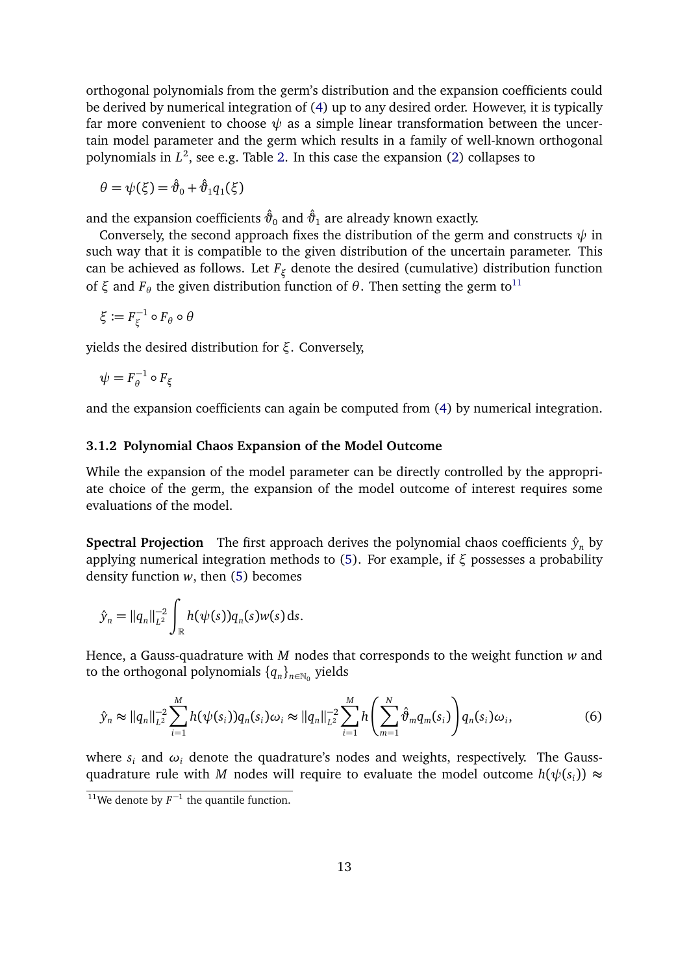orthogonal polynomials from the germ's distribution and the expansion coefficients could be derived by numerical integration of [\(4\)](#page-11-3) up to any desired order. However, it is typically far more convenient to choose  $\psi$  as a simple linear transformation between the uncertain model parameter and the germ which results in a family of well-known orthogonal polynomials in *L* 2 , see e.g. Table [2.](#page-10-1) In this case the expansion [\(2\)](#page-11-1) collapses to

$$
\theta = \psi(\xi) = \hat{\vartheta}_0 + \hat{\vartheta}_1 q_1(\xi)
$$

and the expansion coefficients  $\hat{\vartheta}_0$  and  $\hat{\vartheta}_1$  are already known exactly.

Conversely, the second approach fixes the distribution of the germ and constructs  $\psi$  in such way that it is compatible to the given distribution of the uncertain parameter. This can be achieved as follows. Let *F<sup>ξ</sup>* denote the desired (cumulative) distribution function of  $ξ$  and  $F_\theta$  the given distribution function of  $θ$ . Then setting the germ to<sup>[11](#page-12-1)</sup>

$$
\xi \coloneqq F_\xi^{-1} \circ F_\theta \circ \theta
$$

yields the desired distribution for *ξ*. Conversely,

$$
\psi = F_{\theta}^{-1} \circ F_{\xi}
$$

and the expansion coefficients can again be computed from [\(4\)](#page-11-3) by numerical integration.

#### <span id="page-12-2"></span>**3.1.2 Polynomial Chaos Expansion of the Model Outcome**

While the expansion of the model parameter can be directly controlled by the appropriate choice of the germ, the expansion of the model outcome of interest requires some evaluations of the model.

**Spectral Projection** The first approach derives the polynomial chaos coefficients  $\hat{y}_n$  by applying numerical integration methods to [\(5\)](#page-11-4). For example, if *ξ* possesses a probability density function *w*, then [\(5\)](#page-11-4) becomes

$$
\hat{y}_n = ||q_n||_{L^2}^{-2} \int_{\mathbb{R}} h(\psi(s)) q_n(s) w(s) \, ds.
$$

Hence, a Gauss-quadrature with *M* nodes that corresponds to the weight function *w* and to the orthogonal polynomials  $\{q_n\}_{n\in\mathbb{N}_0}$  yields

<span id="page-12-0"></span>
$$
\hat{y}_n \approx ||q_n||_{L^2}^{-2} \sum_{i=1}^M h(\psi(s_i)) q_n(s_i) \omega_i \approx ||q_n||_{L^2}^{-2} \sum_{i=1}^M h\left(\sum_{m=1}^N \hat{\vartheta}_m q_m(s_i)\right) q_n(s_i) \omega_i, \tag{6}
$$

where  $s_i$  and  $\omega_i$  denote the quadrature's nodes and weights, respectively. The Gaussquadrature rule with *M* nodes will require to evaluate the model outcome  $h(\psi(s_i)) \approx$ 

<span id="page-12-1"></span><sup>&</sup>lt;sup>11</sup>We denote by  $F^{-1}$  the quantile function.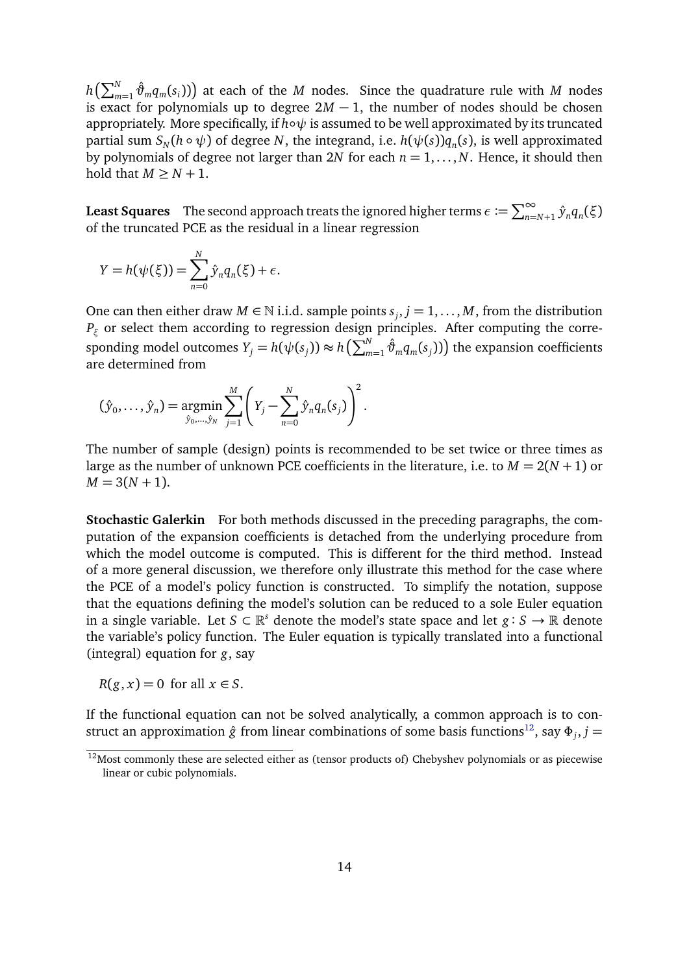$h\left(\sum_{m=1}^{N} \hat{\vartheta}_{m} q_{m}(s_{i})\right)$  at each of the *M* nodes. Since the quadrature rule with *M* nodes is exact for polynomials up to degree  $2M - 1$ , the number of nodes should be chosen appropriately. More specifically, if *h*∘ $\psi$  is assumed to be well approximated by its truncated partial sum  $S_N(h \circ \psi)$  of degree  $N$ , the integrand, i.e.  $h(\psi(s)) q_n(s)$ , is well approximated by polynomials of degree not larger than 2*N* for each  $n = 1, \ldots, N$ . Hence, it should then hold that  $M \geq N + 1$ .

**Least Squares** The second approach treats the ignored higher terms  $\epsilon := \sum_{n=N+1}^{\infty} \hat{y}_n q_n(\xi)$ of the truncated PCE as the residual in a linear regression

$$
Y = h(\psi(\xi)) = \sum_{n=0}^{N} \hat{y}_n q_n(\xi) + \epsilon.
$$

One can then either draw  $M \in \mathbb{N}$  i.i.d. sample points  $s_j$ ,  $j = 1, ..., M$ , from the distribution *P<sup>ξ</sup>* or select them according to regression design principles. After computing the corresponding model outcomes  $Y_j = h(\psi(s_j)) \approx h\left(\sum_{m=1}^N \hat{\vartheta}_m q_m(s_j)\right)$  the expansion coefficients are determined from

$$
(\hat{y}_0, ..., \hat{y}_n) = \underset{\hat{y}_0, ..., \hat{y}_N}{\text{argmin}} \sum_{j=1}^M \left(Y_j - \sum_{n=0}^N \hat{y}_n q_n(s_j)\right)^2.
$$

The number of sample (design) points is recommended to be set twice or three times as large as the number of unknown PCE coefficients in the literature, i.e. to  $M = 2(N + 1)$  or  $M = 3(N + 1)$ .

**Stochastic Galerkin** For both methods discussed in the preceding paragraphs, the computation of the expansion coefficients is detached from the underlying procedure from which the model outcome is computed. This is different for the third method. Instead of a more general discussion, we therefore only illustrate this method for the case where the PCE of a model's policy function is constructed. To simplify the notation, suppose that the equations defining the model's solution can be reduced to a sole Euler equation in a single variable. Let  $S \subset \mathbb{R}^s$  denote the model's state space and let  $g : S \to \mathbb{R}$  denote the variable's policy function. The Euler equation is typically translated into a functional (integral) equation for *g*, say

 $R(g, x) = 0$  for all  $x \in S$ .

If the functional equation can not be solved analytically, a common approach is to construct an approximation  $\hat{g}$  from linear combinations of some basis functions $^{12}$  $^{12}$  $^{12}$ , say  $\Phi_j, j=$ 

<span id="page-13-0"></span><sup>&</sup>lt;sup>12</sup>Most commonly these are selected either as (tensor products of) Chebyshev polynomials or as piecewise linear or cubic polynomials.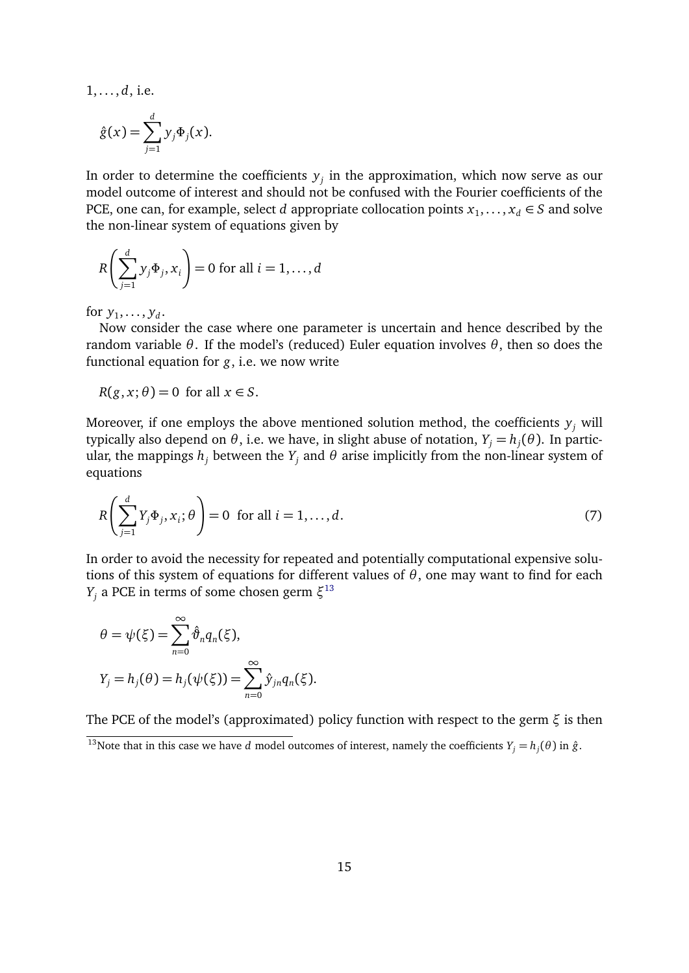1, . . . , *d*, i.e.

$$
\hat{g}(x) = \sum_{j=1}^d y_j \Phi_j(x).
$$

In order to determine the coefficients  $y_j$  in the approximation, which now serve as our model outcome of interest and should not be confused with the Fourier coefficients of the PCE, one can, for example, select *d* appropriate collocation points  $x_1, \ldots, x_d \in S$  and solve the non-linear system of equations given by

$$
R\left(\sum_{j=1}^d y_j \Phi_j, x_i\right) = 0 \text{ for all } i = 1, \dots, d
$$

for  $y_1, \ldots, y_d$ .

Now consider the case where one parameter is uncertain and hence described by the random variable *θ*. If the model's (reduced) Euler equation involves *θ*, then so does the functional equation for *g*, i.e. we now write

 $R(g, x; \theta) = 0$  for all  $x \in S$ .

Moreover, if one employs the above mentioned solution method, the coefficients  $y_j$  will typically also depend on *θ*, i.e. we have, in slight abuse of notation, *Y<sup>j</sup>* = *h<sup>j</sup>* (*θ*). In particular, the mappings  $h_j$  between the  $Y_j$  and  $θ$  arise implicitly from the non-linear system of equations

<span id="page-14-1"></span>
$$
R\left(\sum_{j=1}^{d} Y_j \Phi_j, x_i; \theta\right) = 0 \text{ for all } i = 1, \dots, d.
$$
 (7)

In order to avoid the necessity for repeated and potentially computational expensive solutions of this system of equations for different values of *θ*, one may want to find for each *Y<sup>j</sup>* a PCE in terms of some chosen germ *ξ* [13](#page-14-0)

$$
\theta = \psi(\xi) = \sum_{n=0}^{\infty} \hat{\vartheta}_n q_n(\xi),
$$
  

$$
Y_j = h_j(\theta) = h_j(\psi(\xi)) = \sum_{n=0}^{\infty} \hat{y}_{jn} q_n(\xi).
$$

The PCE of the model's (approximated) policy function with respect to the germ *ξ* is then

<span id="page-14-0"></span><sup>&</sup>lt;sup>13</sup>Note that in this case we have *d* model outcomes of interest, namely the coefficients  $Y_j = h_j(\theta)$  in  $\hat{g}$ .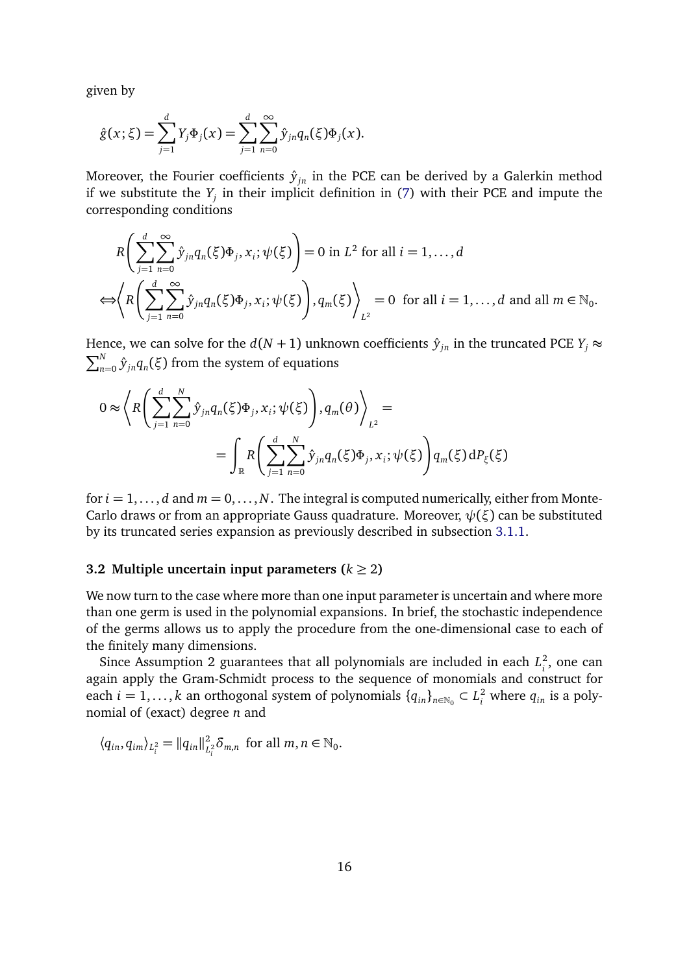given by

$$
\hat{g}(x;\xi) = \sum_{j=1}^{d} Y_j \Phi_j(x) = \sum_{j=1}^{d} \sum_{n=0}^{\infty} \hat{y}_{jn} q_n(\xi) \Phi_j(x).
$$

Moreover, the Fourier coefficients  $\hat{y}_{in}$  in the PCE can be derived by a Galerkin method if we substitute the *Y<sup>j</sup>* in their implicit definition in [\(7\)](#page-14-1) with their PCE and impute the corresponding conditions

$$
R\left(\sum_{j=1}^{d}\sum_{n=0}^{\infty}\hat{y}_{jn}q_{n}(\xi)\Phi_{j},x_{i};\psi(\xi)\right)=0 \text{ in } L^{2} \text{ for all } i=1,\ldots,d
$$
  

$$
\Leftrightarrow \left\langle R\left(\sum_{j=1}^{d}\sum_{n=0}^{\infty}\hat{y}_{jn}q_{n}(\xi)\Phi_{j},x_{i};\psi(\xi)\right),q_{m}(\xi)\right\rangle_{L^{2}}=0 \text{ for all } i=1,\ldots,d \text{ and all } m \in \mathbb{N}_{0}.
$$

Hence, we can solve for the  $d(N + 1)$  unknown coefficients  $\hat{y}_{in}$  in the truncated PCE  $Y_i \approx$  $\sum_{n=0}^{N} \hat{y}_{jn} q_{n}(\xi)$  from the system of equations

$$
0 \approx \left\langle R \left( \sum_{j=1}^{d} \sum_{n=0}^{N} \hat{y}_{jn} q_n(\xi) \Phi_j, x_i; \psi(\xi) \right), q_m(\theta) \right\rangle_{L^2} =
$$
  
= 
$$
\int_{\mathbb{R}} R \left( \sum_{j=1}^{d} \sum_{n=0}^{N} \hat{y}_{jn} q_n(\xi) \Phi_j, x_i; \psi(\xi) \right) q_m(\xi) dP_{\xi}(\xi)
$$

for  $i = 1, \ldots, d$  and  $m = 0, \ldots, N$ . The integral is computed numerically, either from Monte-Carlo draws or from an appropriate Gauss quadrature. Moreover, *ψ*(*ξ*) can be substituted by its truncated series expansion as previously described in subsection [3.1.1.](#page-11-5)

## **3.2 Multiple uncertain input parameters (** $k \ge 2$ **)**

We now turn to the case where more than one input parameter is uncertain and where more than one germ is used in the polynomial expansions. In brief, the stochastic independence of the germs allows us to apply the procedure from the one-dimensional case to each of the finitely many dimensions.

Since Assumption 2 guarantees that all polynomials are included in each *L* 2  $i<sub>i</sub>$ , one can again apply the Gram-Schmidt process to the sequence of monomials and construct for each  $i = 1, ..., k$  an orthogonal system of polynomials  $\{q_{in}\}_{n \in \mathbb{N}_0} \subset L_i^2$  where  $q_{in}$  is a polynomial of (exact) degree *n* and

 $\langle q_{in}, q_{im} \rangle_{L_i^2} = ||q_{in}||_L^2$  $L_i^2 \delta_{m,n}$  for all  $m, n \in \mathbb{N}_0$ .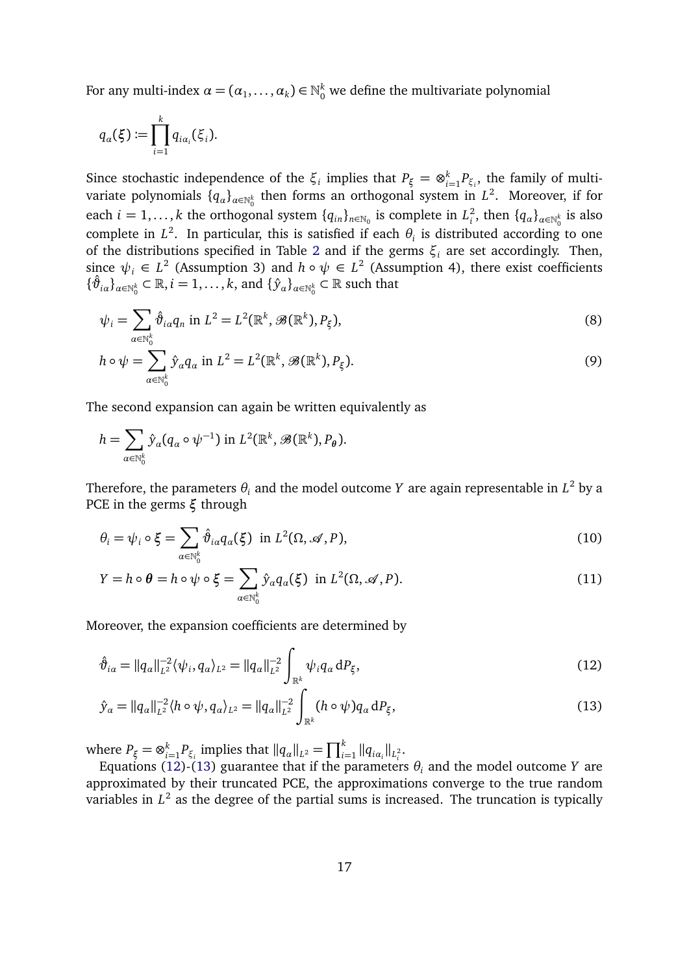For any multi-index  $\alpha = (\alpha_1, \ldots, \alpha_k) \in \mathbb{N}_0^k$  we define the multivariate polynomial

$$
q_{\alpha}(\xi) := \prod_{i=1}^k q_{i\alpha_i}(\xi_i).
$$

Since stochastic independence of the  $\xi_i$  implies that  $P_{\xi} = \otimes_{i}^k P_{\xi}$  $\sum_{i=1}^{k} P_{\xi_i}$ , the family of multivariate polynomials  $\{q_\alpha\}_{\alpha\in\mathbb{N}_0^k}$  then forms an orthogonal system in  $L^2$ . Moreover, if for each *i* = 1,..., *k* the orthogonal system  $\{q_{in}\}_{n \in \mathbb{N}_0}$  is complete in  $L_i^2$ <sup>2</sup><sub>*i*</sub>, then  $\{q_\alpha\}_{\alpha \in \mathbb{N}_0^k}$  is also complete in  $L^2$ . In particular, this is satisfied if each  $\theta_i$  is distributed according to one of the distributions specified in Table [2](#page-10-1) and if the germs  $\xi$ <sup>*i*</sup> are set accordingly. Then, since  $\psi_i \in L^2$  (Assumption 3) and  $h \circ \psi \in L^2$  (Assumption 4), there exist coefficients  $\{\hat{\vartheta}_{i\alpha}\}_{\alpha\in\mathbb{N}_{0}^{k}}\subset\mathbb{R},i=1,\ldots,k,$  and  $\{\hat{y}_{\alpha}\}_{\alpha\in\mathbb{N}_{0}^{k}}\subset\mathbb{R}$  such that

$$
\psi_i = \sum_{\alpha \in \mathbb{N}_0^k} \hat{\vartheta}_{i\alpha} q_n \text{ in } L^2 = L^2(\mathbb{R}^k, \mathcal{B}(\mathbb{R}^k), P_\xi), \tag{8}
$$

<span id="page-16-3"></span>
$$
h \circ \psi = \sum_{\alpha \in \mathbb{N}_0^k} \hat{y}_{\alpha} q_{\alpha} \text{ in } L^2 = L^2(\mathbb{R}^k, \mathscr{B}(\mathbb{R}^k), P_{\xi}).
$$
\n
$$
(9)
$$

The second expansion can again be written equivalently as

$$
h = \sum_{\alpha \in \mathbb{N}_0^k} \hat{y}_{\alpha}(q_{\alpha} \circ \psi^{-1}) \text{ in } L^2(\mathbb{R}^k, \mathscr{B}(\mathbb{R}^k), P_{\theta}).
$$

Therefore, the parameters  $\theta_i$  and the model outcome  $Y$  are again representable in  $L^2$  by a PCE in the germs *ξ* through

$$
\theta_i = \psi_i \circ \xi = \sum_{\alpha \in \mathbb{N}_0^k} \hat{\vartheta}_{i\alpha} q_{\alpha}(\xi) \text{ in } L^2(\Omega, \mathcal{A}, P), \tag{10}
$$

<span id="page-16-2"></span>
$$
Y = h \circ \theta = h \circ \psi \circ \xi = \sum_{\alpha \in \mathbb{N}_0^k} \hat{y}_{\alpha} q_{\alpha}(\xi) \text{ in } L^2(\Omega, \mathcal{A}, P). \tag{11}
$$

Moreover, the expansion coefficients are determined by

<span id="page-16-0"></span>
$$
\hat{\vartheta}_{i\alpha} = ||q_{\alpha}||_{L^{2}}^{-2} \langle \psi_{i}, q_{\alpha} \rangle_{L^{2}} = ||q_{\alpha}||_{L^{2}}^{-2} \int_{\mathbb{R}^{k}} \psi_{i} q_{\alpha} dP_{\xi}, \qquad (12)
$$

<span id="page-16-1"></span>
$$
\hat{y}_{\alpha} = ||q_{\alpha}||_{L^{2}}^{-2} \langle h \circ \psi, q_{\alpha} \rangle_{L^{2}} = ||q_{\alpha}||_{L^{2}}^{-2} \int_{\mathbb{R}^{k}} (h \circ \psi) q_{\alpha} dP_{\xi}, \tag{13}
$$

where  $P_{\xi} = \otimes_{i=1}^k P_i$  $\prod_{i=1}^{k} P_{\xi_i}$  implies that  $||q_{\alpha}||_{L^2} = \prod_{i=1}^{k} ||q_{i\alpha_i}||_{L^2_i}$ .

Equations [\(12\)](#page-16-0)-[\(13\)](#page-16-1) guarantee that if the parameters *θ<sup>i</sup>* and the model outcome *Y* are approximated by their truncated PCE, the approximations converge to the true random variables in  $L^2$  as the degree of the partial sums is increased. The truncation is typically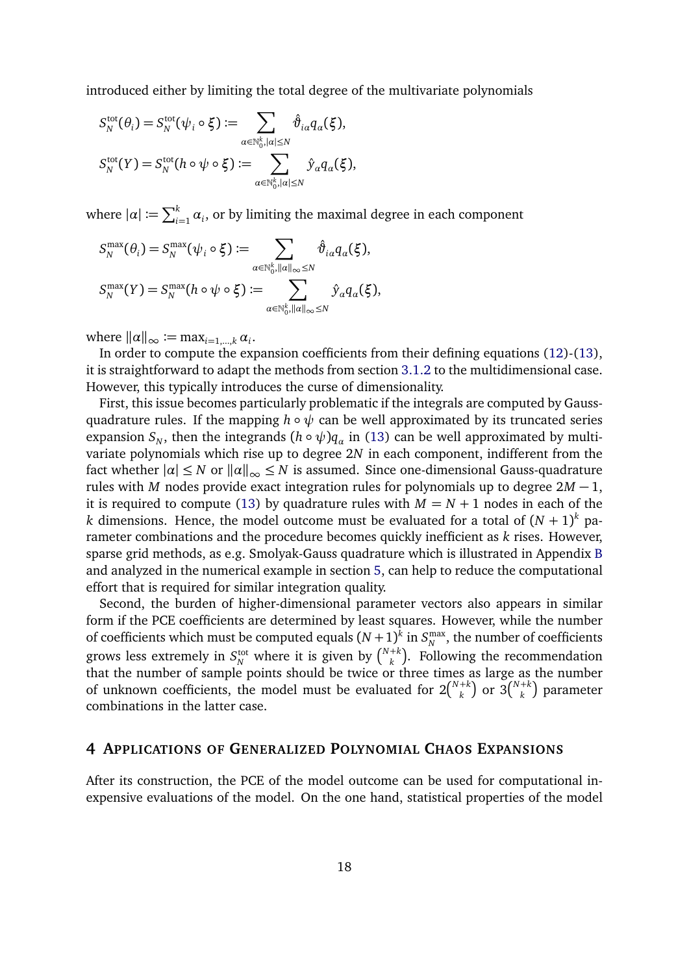introduced either by limiting the total degree of the multivariate polynomials

$$
S_N^{\text{tot}}(\theta_i) = S_N^{\text{tot}}(\psi_i \circ \xi) := \sum_{\alpha \in \mathbb{N}_0^k, |\alpha| \le N} \hat{\vartheta}_{i\alpha} q_{\alpha}(\xi),
$$
  

$$
S_N^{\text{tot}}(Y) = S_N^{\text{tot}}(h \circ \psi \circ \xi) := \sum_{\alpha \in \mathbb{N}_0^k, |\alpha| \le N} \hat{y}_{\alpha} q_{\alpha}(\xi),
$$

where  $|\alpha| := \sum_{i=1}^k \alpha_i$ , or by limiting the maximal degree in each component

$$
S_N^{\max}(\theta_i) = S_N^{\max}(\psi_i \circ \xi) := \sum_{\alpha \in \mathbb{N}_0^k, ||\alpha||_{\infty} \leq N} \hat{\vartheta}_{i\alpha} q_{\alpha}(\xi),
$$
  

$$
S_N^{\max}(Y) = S_N^{\max}(h \circ \psi \circ \xi) := \sum_{\alpha \in \mathbb{N}_0^k, ||\alpha||_{\infty} \leq N} \hat{y}_{\alpha} q_{\alpha}(\xi),
$$

where  $\|\alpha\|_{\infty} \coloneqq \max_{i=1,\dots,k} \alpha_i$ .

In order to compute the expansion coefficients from their defining equations [\(12\)](#page-16-0)-[\(13\)](#page-16-1), it is straightforward to adapt the methods from section [3.1.2](#page-12-2) to the multidimensional case. However, this typically introduces the curse of dimensionality.

First, this issue becomes particularly problematic if the integrals are computed by Gaussquadrature rules. If the mapping  $h \circ \psi$  can be well approximated by its truncated series expansion  $S_N$ , then the integrands  $(h \circ \psi)q_\alpha$  in [\(13\)](#page-16-1) can be well approximated by multivariate polynomials which rise up to degree 2*N* in each component, indifferent from the fact whether  $| \alpha | \leq N$  or  $|| \alpha ||_{\infty} \leq N$  is assumed. Since one-dimensional Gauss-quadrature rules with *M* nodes provide exact integration rules for polynomials up to degree 2*M* − 1, it is required to compute [\(13\)](#page-16-1) by quadrature rules with  $M = N + 1$  nodes in each of the  $k$  dimensions. Hence, the model outcome must be evaluated for a total of  $(N+1)^k$  parameter combinations and the procedure becomes quickly inefficient as *k* rises. However, sparse grid methods, as e.g. Smolyak-Gauss quadrature which is illustrated in Appendix [B](#page-46-0) and analyzed in the numerical example in section [5,](#page-20-0) can help to reduce the computational effort that is required for similar integration quality.

Second, the burden of higher-dimensional parameter vectors also appears in similar form if the PCE coefficients are determined by least squares. However, while the number of coefficients which must be computed equals  $(N+1)^k$  in  $S_N^{\max}$  $_N^{\max}$ , the number of coefficients grows less extremely in  $S_N^{\text{tot}}$  where it is given by  $\binom{N+k}{k}$  $k \choose k$ . Following the recommendation that the number of sample points should be twice or three times as large as the number of unknown coefficients, the model must be evaluated for  $2\binom{N+k}{k}$  $\binom{1+k}{k}$  or 3 $\binom{N+k}{k}$  $\binom{+k}{k}$  parameter combinations in the latter case.

#### <span id="page-17-0"></span>**4 APPLICATIONS OF GENERALIZED POLYNOMIAL CHAOS EXPANSIONS**

After its construction, the PCE of the model outcome can be used for computational inexpensive evaluations of the model. On the one hand, statistical properties of the model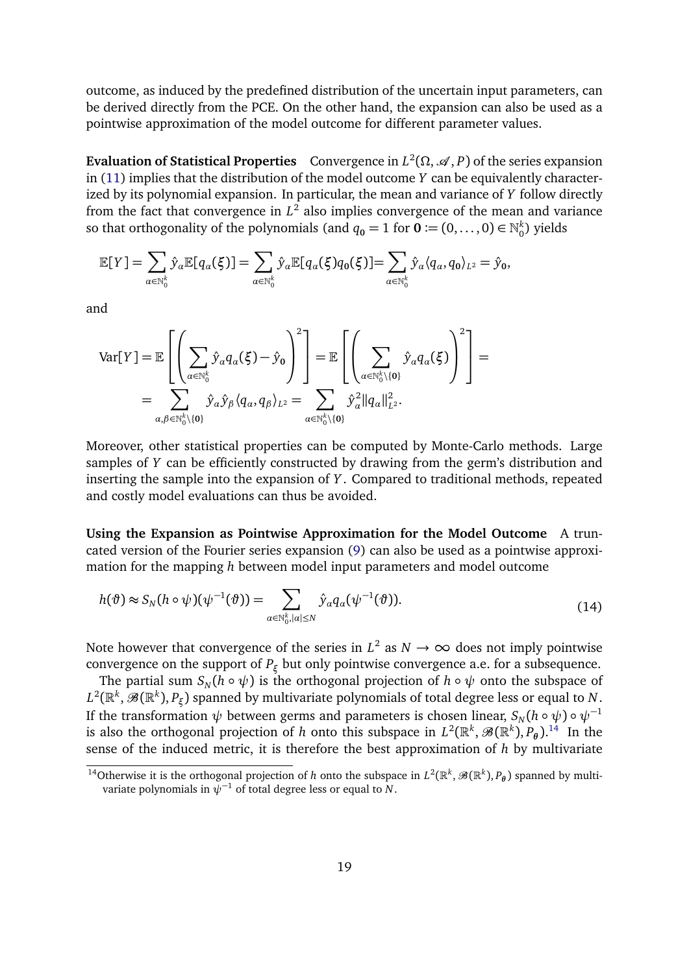outcome, as induced by the predefined distribution of the uncertain input parameters, can be derived directly from the PCE. On the other hand, the expansion can also be used as a pointwise approximation of the model outcome for different parameter values.

**Evaluation of Statistical Properties** Convergence in  $L^2(\Omega,\mathscr{A},P)$  of the series expansion in [\(11\)](#page-16-2) implies that the distribution of the model outcome *Y* can be equivalently characterized by its polynomial expansion. In particular, the mean and variance of *Y* follow directly from the fact that convergence in  $L^2$  also implies convergence of the mean and variance so that orthogonality of the polynomials (and  $q_{\textbf{0}} = 1$  for  $\textbf{0} \coloneqq (0, \dots, 0) \in \mathbb{N}_0^k$  $_0^{\kappa}$ ) yields

$$
\mathbb{E}[Y] = \sum_{\alpha \in \mathbb{N}_0^k} \hat{y}_{\alpha} \mathbb{E}[q_{\alpha}(\xi)] = \sum_{\alpha \in \mathbb{N}_0^k} \hat{y}_{\alpha} \mathbb{E}[q_{\alpha}(\xi)q_0(\xi)] = \sum_{\alpha \in \mathbb{N}_0^k} \hat{y}_{\alpha} \langle q_{\alpha}, q_0 \rangle_{L^2} = \hat{y}_0,
$$

and

$$
\operatorname{Var}[Y] = \mathbb{E}\left[\left(\sum_{\alpha \in \mathbb{N}_0^k} \hat{y}_{\alpha} q_{\alpha}(\xi) - \hat{y}_0\right)^2\right] = \mathbb{E}\left[\left(\sum_{\alpha \in \mathbb{N}_0^k \setminus \{0\}} \hat{y}_{\alpha} q_{\alpha}(\xi)\right)^2\right] = \sum_{\alpha, \beta \in \mathbb{N}_0^k \setminus \{0\}} \hat{y}_{\alpha} \hat{y}_{\beta} \langle q_{\alpha}, q_{\beta} \rangle_{L^2} = \sum_{\alpha \in \mathbb{N}_0^k \setminus \{0\}} \hat{y}_{\alpha}^2 ||q_{\alpha}||_{L^2}^2.
$$

Moreover, other statistical properties can be computed by Monte-Carlo methods. Large samples of *Y* can be efficiently constructed by drawing from the germ's distribution and inserting the sample into the expansion of *Y* . Compared to traditional methods, repeated and costly model evaluations can thus be avoided.

**Using the Expansion as Pointwise Approximation for the Model Outcome** A truncated version of the Fourier series expansion [\(9\)](#page-16-3) can also be used as a pointwise approximation for the mapping *h* between model input parameters and model outcome

<span id="page-18-1"></span>
$$
h(\vartheta) \approx S_N(h \circ \psi)(\psi^{-1}(\vartheta)) = \sum_{\alpha \in \mathbb{N}_0^k, |\alpha| \le N} \hat{y}_\alpha q_\alpha(\psi^{-1}(\vartheta)). \tag{14}
$$

Note however that convergence of the series in  $L^2$  as  $N \to \infty$  does not imply pointwise convergence on the support of  $P_{\xi}$  but only pointwise convergence a.e. for a subsequence.

The partial sum  $S_N(h \circ \psi)$  is the orthogonal projection of  $h \circ \psi$  onto the subspace of  $L^2(\mathbb{R}^k,\mathscr{B}(\mathbb{R}^k),P_\xi)$  spanned by multivariate polynomials of total degree less or equal to  $N.$ If the transformation  $\psi$  between germs and parameters is chosen linear,  $S_N(h \circ \psi) \circ \psi^{-1}$ is also the orthogonal projection of *h* onto this subspace in  $L^2(\mathbb{R}^k,\mathscr{B}(\mathbb{R}^k),P_\theta).^{14}$  $L^2(\mathbb{R}^k,\mathscr{B}(\mathbb{R}^k),P_\theta).^{14}$  $L^2(\mathbb{R}^k,\mathscr{B}(\mathbb{R}^k),P_\theta).^{14}$  In the sense of the induced metric, it is therefore the best approximation of *h* by multivariate

<span id="page-18-0"></span><sup>&</sup>lt;sup>14</sup>Otherwise it is the orthogonal projection of *h* onto the subspace in  $L^2(\mathbb{R}^k, \mathcal{B}(\mathbb{R}^k), P_\theta)$  spanned by multivariate polynomials in  $\psi^{-1}$  of total degree less or equal to *N*.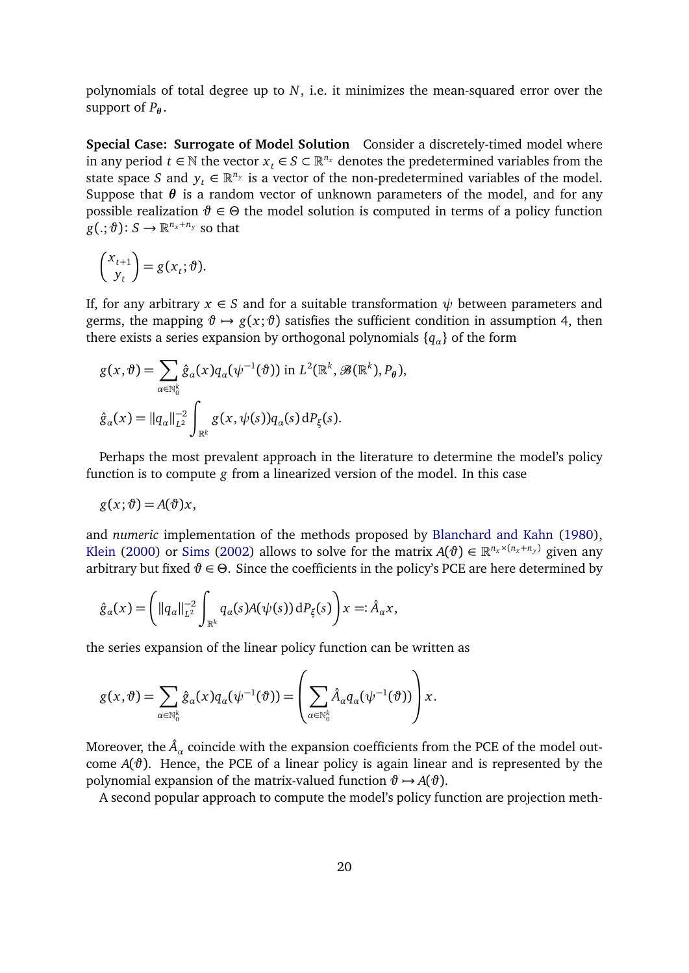polynomials of total degree up to *N*, i.e. it minimizes the mean-squared error over the support of  $P_{\theta}$ .

**Special Case: Surrogate of Model Solution** Consider a discretely-timed model where in any period  $t \in \mathbb{N}$  the vector  $x_t \in S \subset \mathbb{R}^{n_x}$  denotes the predetermined variables from the state space *S* and  $y_t \in \mathbb{R}^{n_y}$  is a vector of the non-predetermined variables of the model. Suppose that  $\theta$  is a random vector of unknown parameters of the model, and for any possible realization  $\vartheta \in \Theta$  the model solution is computed in terms of a policy function  $g(.; \vartheta) \colon S \to \mathbb{R}^{n_x + n_y}$  so that

$$
\begin{pmatrix} x_{t+1} \\ y_t \end{pmatrix} = g(x_t; \vartheta).
$$

If, for any arbitrary  $x \in S$  and for a suitable transformation  $\psi$  between parameters and germs, the mapping  $\vartheta \mapsto g(x;\vartheta)$  satisfies the sufficient condition in assumption 4, then there exists a series expansion by orthogonal polynomials {*q<sup>α</sup>* } of the form

$$
g(x,\vartheta) = \sum_{\alpha \in \mathbb{N}_0^k} \hat{g}_{\alpha}(x) q_{\alpha}(\psi^{-1}(\vartheta)) \text{ in } L^2(\mathbb{R}^k, \mathscr{B}(\mathbb{R}^k), P_{\theta}),
$$
  

$$
\hat{g}_{\alpha}(x) = ||q_{\alpha}||_{L^2}^{-2} \int_{\mathbb{R}^k} g(x, \psi(s)) q_{\alpha}(s) dP_{\xi}(s).
$$

Perhaps the most prevalent approach in the literature to determine the model's policy function is to compute *g* from a linearized version of the model. In this case

$$
g(x; \vartheta) = A(\vartheta)x,
$$

and *numeric* implementation of the methods proposed by [Blanchard and Kahn](#page-38-5) [\(1980\)](#page-38-5), [Klein](#page-38-6) [\(2000\)](#page-38-6) or [Sims](#page-39-6) [\(2002\)](#page-39-6) allows to solve for the matrix  $A(\theta) \in \mathbb{R}^{n_x \times (n_x + n_y)}$  given any arbitrary but fixed  $\vartheta \in \Theta$ . Since the coefficients in the policy's PCE are here determined by

$$
\hat{g}_{\alpha}(x) = \left( ||q_{\alpha}||_{L^2}^{-2} \int_{\mathbb{R}^k} q_{\alpha}(s) A(\psi(s)) dP_{\xi}(s) \right) x =: \hat{A}_{\alpha} x,
$$

the series expansion of the linear policy function can be written as

$$
g(x,\vartheta)=\sum_{\alpha\in\mathbb{N}_0^k}\hat{g}_\alpha(x)q_\alpha(\psi^{-1}(\vartheta))=\left(\sum_{\alpha\in\mathbb{N}_0^k}\hat{A}_\alpha q_\alpha(\psi^{-1}(\vartheta))\right)x.
$$

Moreover, the  $\hat{A}_\alpha$  coincide with the expansion coefficients from the PCE of the model outcome  $A(\vartheta)$ . Hence, the PCE of a linear policy is again linear and is represented by the polynomial expansion of the matrix-valued function  $\vartheta \mapsto A(\vartheta)$ .

A second popular approach to compute the model's policy function are projection meth-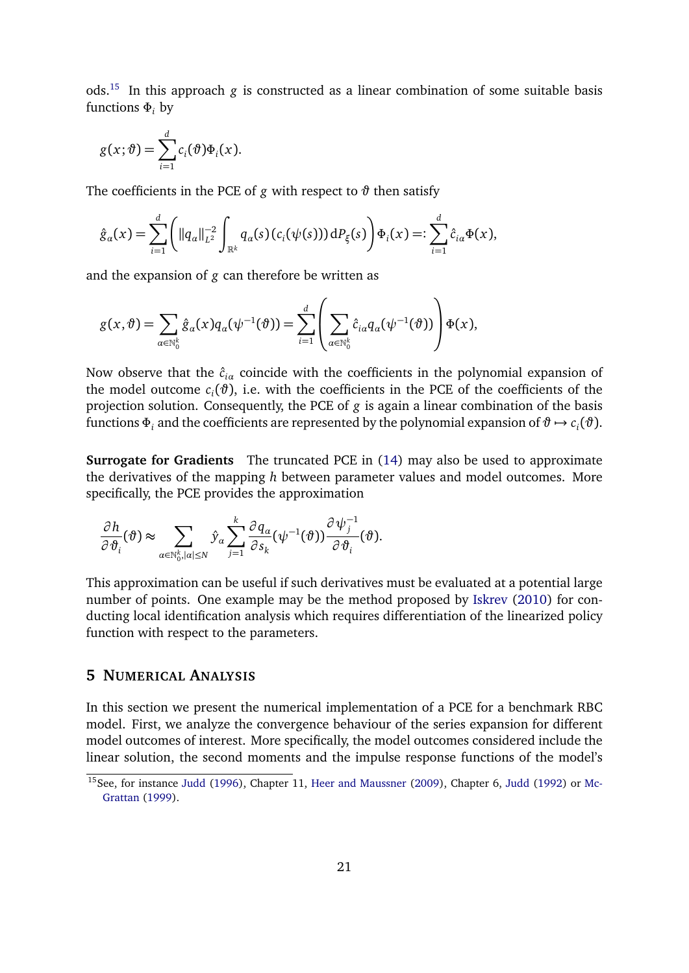ods.[15](#page-20-1) In this approach *g* is constructed as a linear combination of some suitable basis functions *Φ<sup>i</sup>* by

$$
g(x; \vartheta) = \sum_{i=1}^d c_i(\vartheta) \Phi_i(x).
$$

The coefficients in the PCE of  $g$  with respect to  $\vartheta$  then satisfy

$$
\hat{g}_{\alpha}(x) = \sum_{i=1}^{d} \left( ||q_{\alpha}||_{L^{2}}^{-2} \int_{\mathbb{R}^{k}} q_{\alpha}(s) (c_{i}(\psi(s))) dP_{\xi}(s) \right) \Phi_{i}(x) =: \sum_{i=1}^{d} \hat{c}_{i\alpha} \Phi(x),
$$

and the expansion of *g* can therefore be written as

$$
g(x,\vartheta)=\sum_{\alpha\in\mathbb{N}_0^k}\hat{g}_\alpha(x)q_\alpha(\psi^{-1}(\vartheta))=\sum_{i=1}^d\left(\sum_{\alpha\in\mathbb{N}_0^k}\hat{c}_{i\alpha}q_\alpha(\psi^{-1}(\vartheta))\right)\Phi(x),
$$

Now observe that the  $\hat{c}_{i\alpha}$  coincide with the coefficients in the polynomial expansion of the model outcome  $c_i(\vartheta)$ , i.e. with the coefficients in the PCE of the coefficients of the projection solution. Consequently, the PCE of *g* is again a linear combination of the basis functions  $\Phi_i$  and the coefficients are represented by the polynomial expansion of  $\vartheta \mapsto c_i(\vartheta)$ .

**Surrogate for Gradients** The truncated PCE in [\(14\)](#page-18-1) may also be used to approximate the derivatives of the mapping *h* between parameter values and model outcomes. More specifically, the PCE provides the approximation

$$
\frac{\partial h}{\partial \vartheta_i}(\vartheta) \approx \sum_{\alpha \in \mathbb{N}_0^k, |\alpha| \leq N} \hat{y}_\alpha \sum_{j=1}^k \frac{\partial q_\alpha}{\partial s_k}(\psi^{-1}(\vartheta)) \frac{\partial \psi_j^{-1}}{\partial \vartheta_i}(\vartheta).
$$

This approximation can be useful if such derivatives must be evaluated at a potential large number of points. One example may be the method proposed by [Iskrev](#page-38-7) [\(2010\)](#page-38-7) for conducting local identification analysis which requires differentiation of the linearized policy function with respect to the parameters.

## <span id="page-20-0"></span>**5 NUMERICAL ANALYSIS**

In this section we present the numerical implementation of a PCE for a benchmark RBC model. First, we analyze the convergence behaviour of the series expansion for different model outcomes of interest. More specifically, the model outcomes considered include the linear solution, the second moments and the impulse response functions of the model's

<span id="page-20-1"></span><sup>&</sup>lt;sup>15</sup>See, for instance [Judd](#page-38-10) [\(1996\)](#page-38-8), Chapter 11, [Heer and Maussner](#page-38-9) [\(2009\)](#page-38-9), Chapter 6, Judd [\(1992\)](#page-38-10) or [Mc-](#page-39-7)[Grattan](#page-39-7) [\(1999\)](#page-39-7).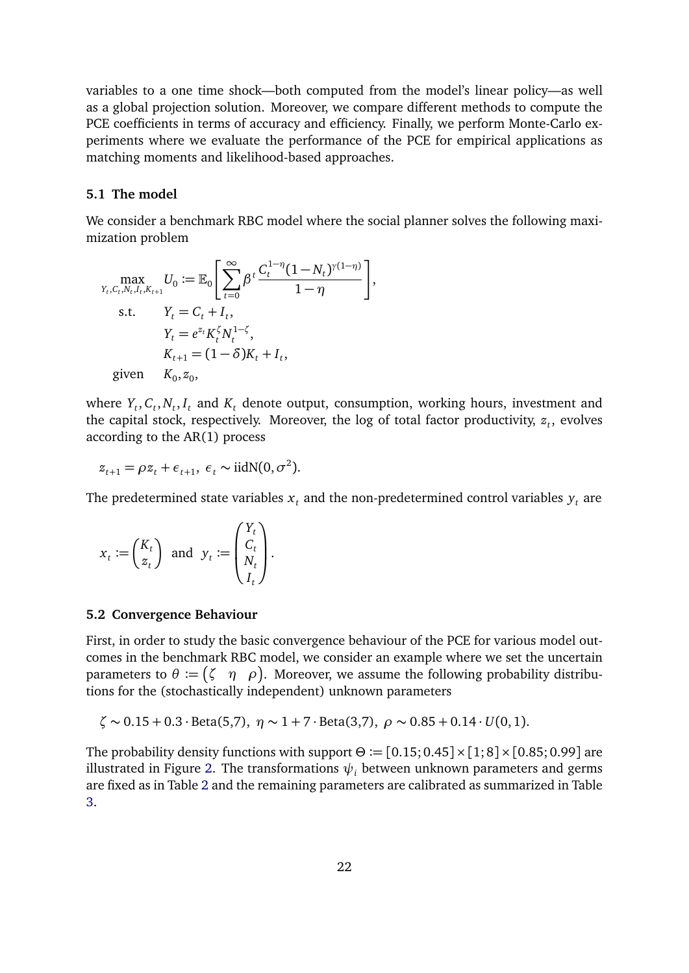variables to a one time shock—both computed from the model's linear policy—as well as a global projection solution. Moreover, we compare different methods to compute the PCE coefficients in terms of accuracy and efficiency. Finally, we perform Monte-Carlo experiments where we evaluate the performance of the PCE for empirical applications as matching moments and likelihood-based approaches.

#### **5.1 The model**

We consider a benchmark RBC model where the social planner solves the following maximization problem

$$
\max_{Y_t, C_t, N_t, I_t, K_{t+1}} U_0 := \mathbb{E}_0 \left[ \sum_{t=0}^{\infty} \beta^t \frac{C_t^{1-\eta} (1 - N_t)^{\gamma(1-\eta)}}{1 - \eta} \right],
$$
  
s.t.  $Y_t = C_t + I_t,$   
 $Y_t = e^{z_t} K_t^{\zeta} N_t^{1-\zeta},$   
 $K_{t+1} = (1 - \delta) K_t + I_t,$   
given  $K_0, z_0,$ 

where  $Y_t$ ,  $C_t$ ,  $N_t$ ,  $I_t$  and  $K_t$  denote output, consumption, working hours, investment and the capital stock, respectively. Moreover, the log of total factor productivity,  $\boldsymbol{z}_t$ , evolves according to the AR(1) process

$$
z_{t+1} = \rho z_t + \epsilon_{t+1}, \ \epsilon_t \sim \text{iidN}(0, \sigma^2).
$$

The predetermined state variables  $x_t$  and the non-predetermined control variables  $y_t$  are

$$
x_t := \begin{pmatrix} K_t \\ z_t \end{pmatrix} \text{ and } y_t := \begin{pmatrix} Y_t \\ C_t \\ N_t \\ I_t \end{pmatrix}.
$$

#### **5.2 Convergence Behaviour**

First, in order to study the basic convergence behaviour of the PCE for various model outcomes in the benchmark RBC model, we consider an example where we set the uncertain parameters to  $\theta\coloneqq \begin{pmatrix} \zeta & \eta & \rho \end{pmatrix}$ . Moreover, we assume the following probability distributions for the (stochastically independent) unknown parameters

$$
\zeta \sim 0.15 + 0.3 \cdot \text{Beta}(5,7), \eta \sim 1 + 7 \cdot \text{Beta}(3,7), \rho \sim 0.85 + 0.14 \cdot U(0,1).
$$

The probability density functions with support  $\Theta := [0.15; 0.45] \times [1; 8] \times [0.85; 0.99]$  are illustrated in Figure [2.](#page-22-0) The transformations  $\psi_i$  between unknown parameters and germs are fixed as in Table [2](#page-10-1) and the remaining parameters are calibrated as summarized in Table [3.](#page-22-1)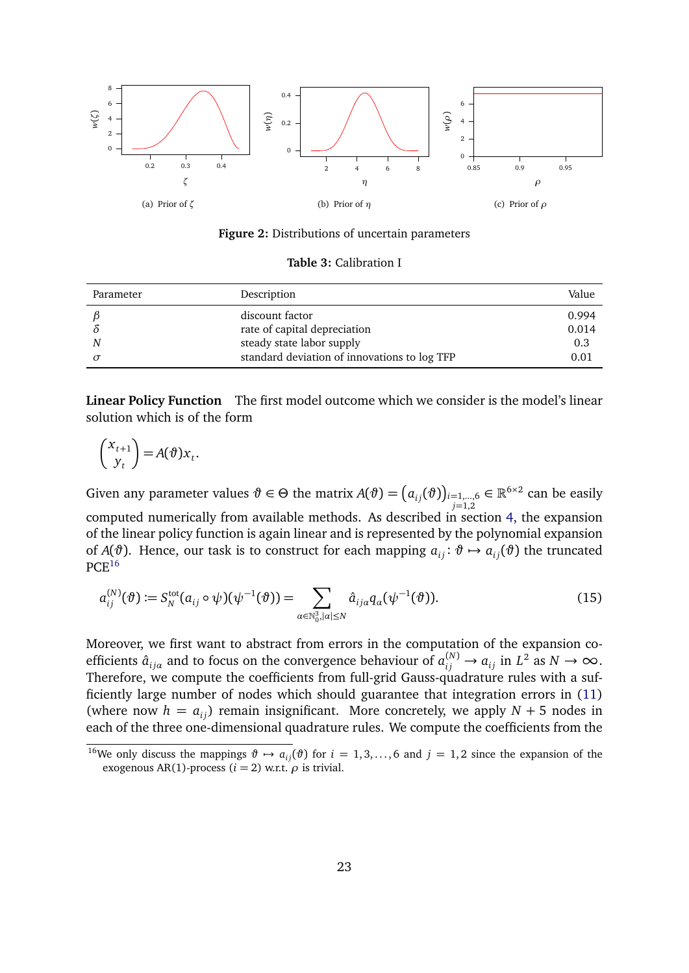<span id="page-22-0"></span>

**Figure 2:** Distributions of uncertain parameters

**Table 3:** Calibration I

<span id="page-22-1"></span>

| Parameter | Description                                  | Value |
|-----------|----------------------------------------------|-------|
|           | discount factor                              | 0.994 |
|           | rate of capital depreciation                 | 0.014 |
| N         | steady state labor supply                    | 0.3   |
|           | standard deviation of innovations to log TFP | 0.01  |

**Linear Policy Function** The first model outcome which we consider is the model's linear solution which is of the form

$$
\begin{pmatrix} x_{t+1} \\ y_t \end{pmatrix} = A(\vartheta) x_t.
$$

Given any parameter values  $\vartheta \in \Theta$  the matrix  $A(\vartheta) = \big(a_{ij}(\vartheta)\big)_{i=1,...,6}$ *j*=1,2  $\in \mathbb{R}^{6 \times 2}$  can be easily computed numerically from available methods. As described in section [4,](#page-17-0) the expansion of the linear policy function is again linear and is represented by the polynomial expansion of *A*( $\vartheta$ ). Hence, our task is to construct for each mapping  $a_{ij}$ :  $\vartheta \mapsto a_{ij}(\vartheta)$  the truncated  $PCE<sup>16</sup>$  $PCE<sup>16</sup>$  $PCE<sup>16</sup>$ 

<span id="page-22-3"></span>
$$
a_{ij}^{(N)}(\vartheta) := S_N^{\text{tot}}(a_{ij} \circ \psi)(\psi^{-1}(\vartheta)) = \sum_{\alpha \in \mathbb{N}_0^3, |\alpha| \le N} \hat{a}_{ij\alpha} q_{\alpha}(\psi^{-1}(\vartheta)). \tag{15}
$$

Moreover, we first want to abstract from errors in the computation of the expansion coefficients  $\hat{a}_{ij\alpha}$  and to focus on the convergence behaviour of  $a_{ij}^{(N)} \to a_{ij}$  in  $L^2$  as  $N \to \infty$ . Therefore, we compute the coefficients from full-grid Gauss-quadrature rules with a sufficiently large number of nodes which should guarantee that integration errors in [\(11\)](#page-16-2) (where now  $h = a_{ij}$ ) remain insignificant. More concretely, we apply  $N + 5$  nodes in each of the three one-dimensional quadrature rules. We compute the coefficients from the

<span id="page-22-2"></span><sup>&</sup>lt;sup>16</sup>We only discuss the mappings  $\vartheta \mapsto a_{ij}(\vartheta)$  for  $i = 1, 3, ..., 6$  and  $j = 1, 2$  since the expansion of the exogenous AR(1)-process ( $i = 2$ ) w.r.t.  $\rho$  is trivial.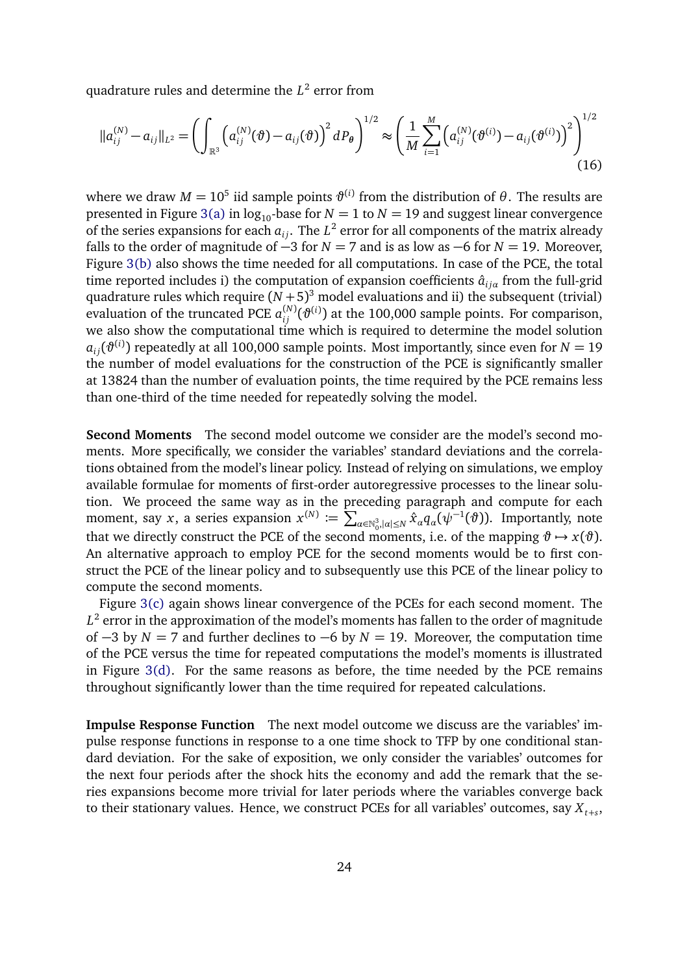quadrature rules and determine the *L* 2 error from

<span id="page-23-0"></span>
$$
||a_{ij}^{(N)} - a_{ij}||_{L^2} = \left(\int_{\mathbb{R}^3} \left(a_{ij}^{(N)}(\vartheta) - a_{ij}(\vartheta)\right)^2 dP_{\theta}\right)^{1/2} \approx \left(\frac{1}{M} \sum_{i=1}^M \left(a_{ij}^{(N)}(\vartheta^{(i)}) - a_{ij}(\vartheta^{(i)})\right)^2\right)^{1/2}
$$
(16)

where we draw  $M = 10^5$  iid sample points  $\vartheta^{(i)}$  from the distribution of  $\theta$ . The results are presented in Figure [3\(a\)](#page-24-0) in  $\log_{10}$ -base for *N* = 1 to *N* = 19 and suggest linear convergence of the series expansions for each  $a_{ij}.$  The  $L^2$  error for all components of the matrix already falls to the order of magnitude of  $-3$  for  $N = 7$  and is as low as  $-6$  for  $N = 19$ . Moreover, Figure [3\(b\)](#page-24-1) also shows the time needed for all computations. In case of the PCE, the total time reported includes i) the computation of expansion coefficients  $\hat{a}_{ij\alpha}$  from the full-grid quadrature rules which require  $(N+5)^3$  model evaluations and ii) the subsequent (trivial) evaluation of the truncated PCE  $a_{ij}^{(N)}(\vartheta^{(i)})$  at the 100,000 sample points. For comparison, we also show the computational time which is required to determine the model solution  $a_{ij}(\vartheta^{(i)})$  repeatedly at all 100,000 sample points. Most importantly, since even for  $N=19$ the number of model evaluations for the construction of the PCE is significantly smaller at 13824 than the number of evaluation points, the time required by the PCE remains less than one-third of the time needed for repeatedly solving the model.

**Second Moments** The second model outcome we consider are the model's second moments. More specifically, we consider the variables' standard deviations and the correlations obtained from the model's linear policy. Instead of relying on simulations, we employ available formulae for moments of first-order autoregressive processes to the linear solution. We proceed the same way as in the preceding paragraph and compute for each moment, say *x*, a series expansion  $x^{(N)} \coloneqq \sum_{\alpha \in \mathbb{N}_0^3, |\alpha| \leq N} \hat{x}_\alpha q_\alpha(\psi^{-1}(\vartheta))$ . Importantly, note that we directly construct the PCE of the second moments, i.e. of the mapping  $\vartheta \mapsto x(\vartheta)$ . An alternative approach to employ PCE for the second moments would be to first construct the PCE of the linear policy and to subsequently use this PCE of the linear policy to compute the second moments.

Figure [3\(c\)](#page-24-2) again shows linear convergence of the PCEs for each second moment. The  $L^2$  error in the approximation of the model's moments has fallen to the order of magnitude of  $-3$  by *N* = 7 and further declines to  $-6$  by *N* = 19. Moreover, the computation time of the PCE versus the time for repeated computations the model's moments is illustrated in Figure [3\(d\).](#page-24-3) For the same reasons as before, the time needed by the PCE remains throughout significantly lower than the time required for repeated calculations.

**Impulse Response Function** The next model outcome we discuss are the variables' impulse response functions in response to a one time shock to TFP by one conditional standard deviation. For the sake of exposition, we only consider the variables' outcomes for the next four periods after the shock hits the economy and add the remark that the series expansions become more trivial for later periods where the variables converge back to their stationary values. Hence, we construct PCEs for all variables' outcomes, say  $X_{t+s}$ ,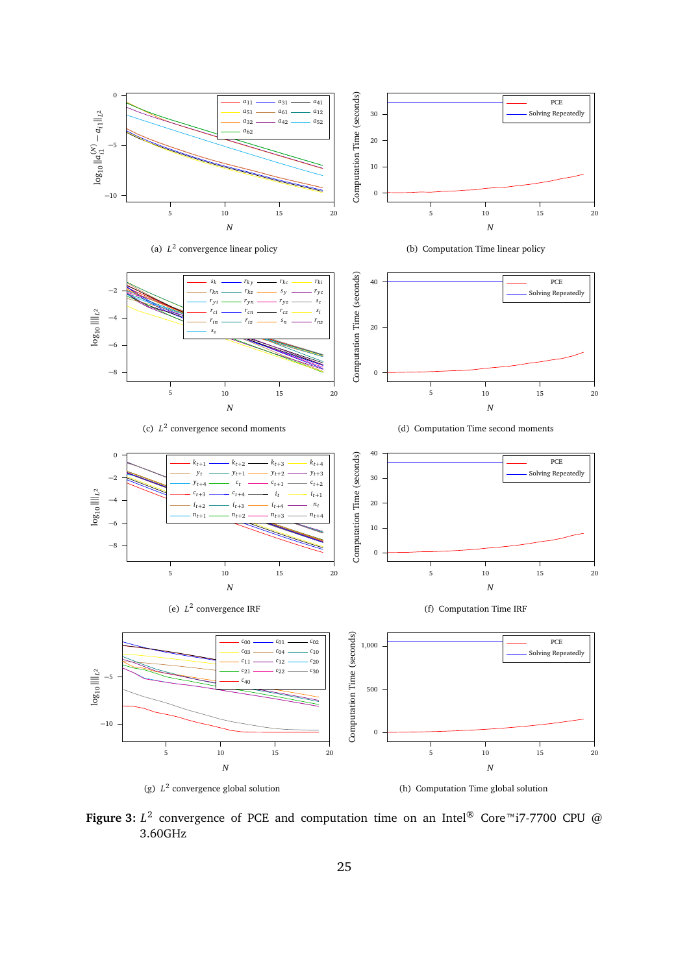<span id="page-24-4"></span><span id="page-24-3"></span><span id="page-24-2"></span><span id="page-24-1"></span><span id="page-24-0"></span>

<span id="page-24-6"></span><span id="page-24-5"></span>**Figure 3:**  $L^2$  convergence of PCE and computation time on an Intel® Core™i7-7700 CPU @ 3.60GHz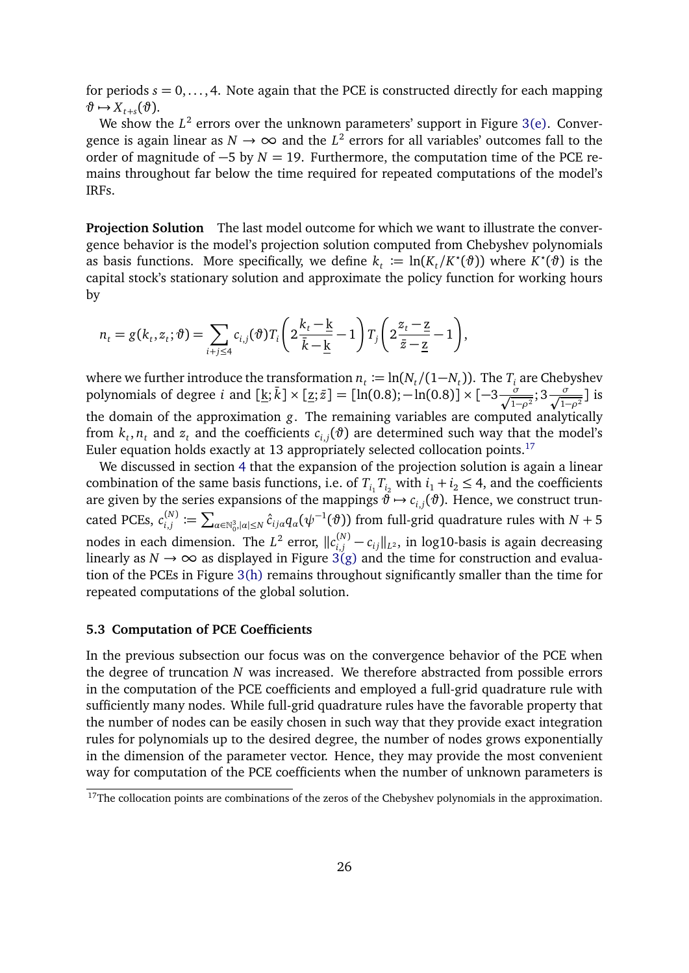for periods  $s = 0, \ldots, 4$ . Note again that the PCE is constructed directly for each mapping  $\vartheta \mapsto X_{t+s}(\vartheta).$ 

We show the  $L^2$  errors over the unknown parameters' support in Figure [3\(e\).](#page-24-4) Convergence is again linear as  $N \to \infty$  and the  $L^2$  errors for all variables' outcomes fall to the order of magnitude of −5 by *N* = 19. Furthermore, the computation time of the PCE remains throughout far below the time required for repeated computations of the model's IRFs.

**Projection Solution** The last model outcome for which we want to illustrate the convergence behavior is the model's projection solution computed from Chebyshev polynomials as basis functions. More specifically, we define  $k_t := \ln(K_t/K^*(\theta))$  where  $K^*(\theta)$  is the capital stock's stationary solution and approximate the policy function for working hours by

$$
n_t = g(k_t, z_t; \vartheta) = \sum_{i+j \leq 4} c_{i,j}(\vartheta) T_i \left( 2\frac{k_t - \underline{k}}{\overline{k} - \underline{k}} - 1 \right) T_j \left( 2\frac{z_t - \underline{z}}{\overline{z} - \underline{z}} - 1 \right),
$$

where we further introduce the transformation  $n_t := \ln(N_t/(1-N_t))$ . The  $T_i$  are Chebyshev polynomials of degree *i* and  $[\underline{k}; \overline{k}] \times [\underline{z}; \overline{z}] = [\ln(0.8); -\ln(0.8)] \times [-3\frac{\sigma}{\sqrt{1-\rho^2}}; 3\frac{\sigma}{\sqrt{1-\rho^2}}]$  is the domain of the approximation *g*. The remaining variables are computed analytically from  $k_t, n_t$  and  $z_t$  and the coefficients  $c_{i,j}(\vartheta)$  are determined such way that the model's Euler equation holds exactly at 13 appropriately selected collocation points.<sup>[17](#page-25-0)</sup>

We discussed in section [4](#page-17-0) that the expansion of the projection solution is again a linear combination of the same basis functions, i.e. of  $T_{i_1} T_{i_2}$  with  $i_1 + i_2 \leq 4$ , and the coefficients are given by the series expansions of the mappings  $\hat{\vartheta} \mapsto c_{i,j}(\vartheta).$  Hence, we construct truncated PCEs,  $c_{i,i}^{(N)}$  $f^{(N)}_{i,j} := \sum_{\alpha \in \mathbb{N}_0^3, |\alpha| \leq N} \hat{c}_{i j \alpha} q_{\alpha} (\psi^{-1}(\vartheta))$  from full-grid quadrature rules with  $N+5$ nodes in each dimension. The  $L^2$  error,  $\|c_{i,j}^{(N)} - c_{ij}\|_{L^2}$ , in log10-basis is again decreasing linearly as  $N \to \infty$  as displayed in Figure [3\(g\)](#page-24-5) and the time for construction and evaluation of the PCEs in Figure [3\(h\)](#page-24-6) remains throughout significantly smaller than the time for repeated computations of the global solution.

#### **5.3 Computation of PCE Coefficients**

In the previous subsection our focus was on the convergence behavior of the PCE when the degree of truncation *N* was increased. We therefore abstracted from possible errors in the computation of the PCE coefficients and employed a full-grid quadrature rule with sufficiently many nodes. While full-grid quadrature rules have the favorable property that the number of nodes can be easily chosen in such way that they provide exact integration rules for polynomials up to the desired degree, the number of nodes grows exponentially in the dimension of the parameter vector. Hence, they may provide the most convenient way for computation of the PCE coefficients when the number of unknown parameters is

<span id="page-25-0"></span> $17$ The collocation points are combinations of the zeros of the Chebyshev polynomials in the approximation.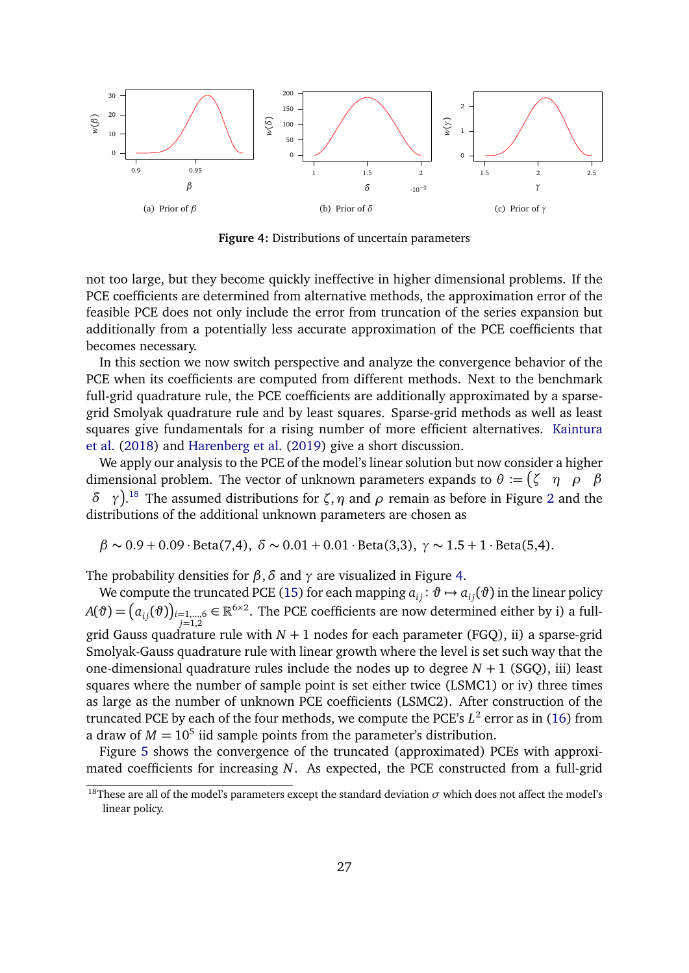<span id="page-26-1"></span>

**Figure 4:** Distributions of uncertain parameters

not too large, but they become quickly ineffective in higher dimensional problems. If the PCE coefficients are determined from alternative methods, the approximation error of the feasible PCE does not only include the error from truncation of the series expansion but additionally from a potentially less accurate approximation of the PCE coefficients that becomes necessary.

In this section we now switch perspective and analyze the convergence behavior of the PCE when its coefficients are computed from different methods. Next to the benchmark full-grid quadrature rule, the PCE coefficients are additionally approximated by a sparsegrid Smolyak quadrature rule and by least squares. Sparse-grid methods as well as least squares give fundamentals for a rising number of more efficient alternatives. [Kaintura](#page-38-2) [et al.](#page-38-2) [\(2018\)](#page-38-2) and [Harenberg et al.](#page-38-3) [\(2019\)](#page-38-3) give a short discussion.

We apply our analysis to the PCE of the model's linear solution but now consider a higher dimensional problem. The vector of unknown parameters expands to  $\theta := \begin{pmatrix} \zeta & \eta & \rho & \beta \end{pmatrix}$ *δ γ* . [18](#page-26-0) The assumed distributions for *ζ*,*η* and *ρ* remain as before in Figure [2](#page-22-0) and the distributions of the additional unknown parameters are chosen as

$$
\beta \sim 0.9 + 0.09 \cdot \text{Beta}(7, 4), \ \delta \sim 0.01 + 0.01 \cdot \text{Beta}(3, 3), \ \gamma \sim 1.5 + 1 \cdot \text{Beta}(5, 4).
$$

The probability densities for  $\beta$ ,  $\delta$  and  $\gamma$  are visualized in Figure [4.](#page-26-1)

We compute the truncated PCE [\(15\)](#page-22-3) for each mapping  $a_{ij}$ :  $\vartheta \mapsto a_{ij}(\vartheta)$  in the linear policy  $A(\vartheta) = \left(a_{ij}(\vartheta)\right)_{i=1,...,6} \in \mathbb{R}^{6 \times 2}$ . The PCE coefficients are now determined either by i) a full*j*=1,2 grid Gauss quadrature rule with *N* + 1 nodes for each parameter (FGQ), ii) a sparse-grid Smolyak-Gauss quadrature rule with linear growth where the level is set such way that the one-dimensional quadrature rules include the nodes up to degree  $N + 1$  (SGQ), iii) least squares where the number of sample point is set either twice (LSMC1) or iv) three times as large as the number of unknown PCE coefficients (LSMC2). After construction of the truncated PCE by each of the four methods, we compute the PCE's *L* 2 error as in [\(16\)](#page-23-0) from a draw of  $M = 10^5$  iid sample points from the parameter's distribution.

Figure [5](#page-27-0) shows the convergence of the truncated (approximated) PCEs with approximated coefficients for increasing *N*. As expected, the PCE constructed from a full-grid

<span id="page-26-0"></span><sup>&</sup>lt;sup>18</sup>These are all of the model's parameters except the standard deviation  $\sigma$  which does not affect the model's linear policy.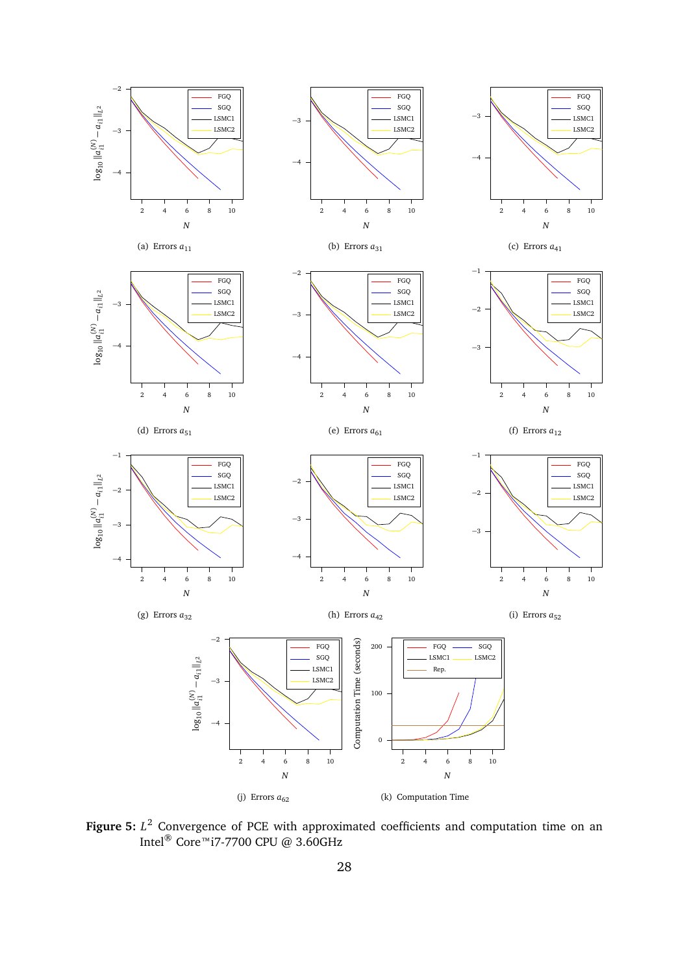<span id="page-27-0"></span>

<span id="page-27-1"></span>**Figure 5:** *L* <sup>2</sup> Convergence of PCE with approximated coefficients and computation time on an Intel® Core™i7-7700 CPU @ 3.60GHz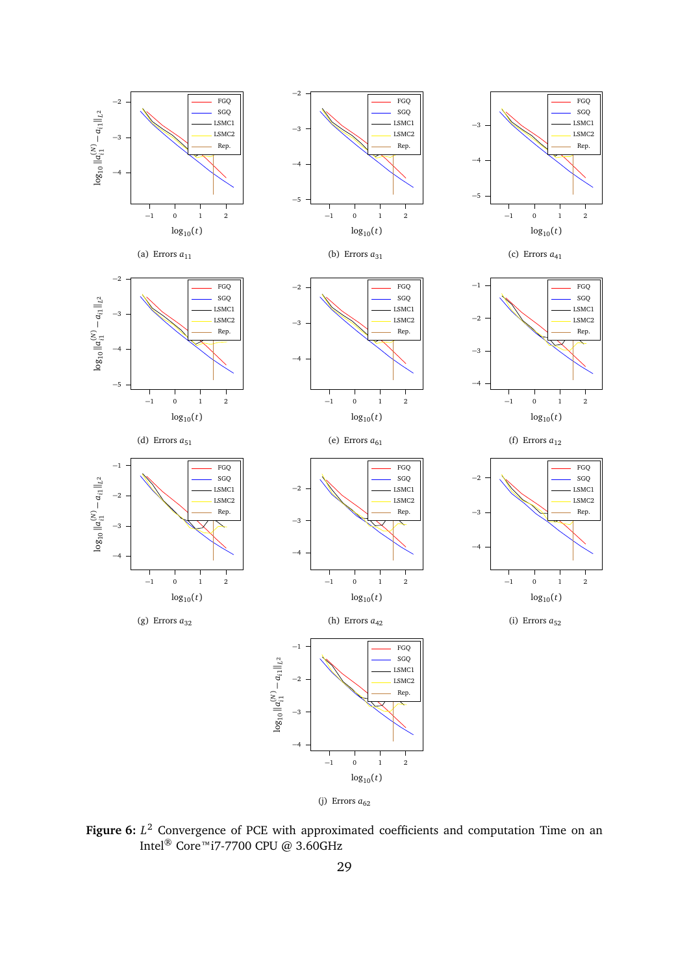<span id="page-28-0"></span>

**Figure 6:** *L* <sup>2</sup> Convergence of PCE with approximated coefficients and computation Time on an Intel® Core™i7-7700 CPU @ 3.60GHz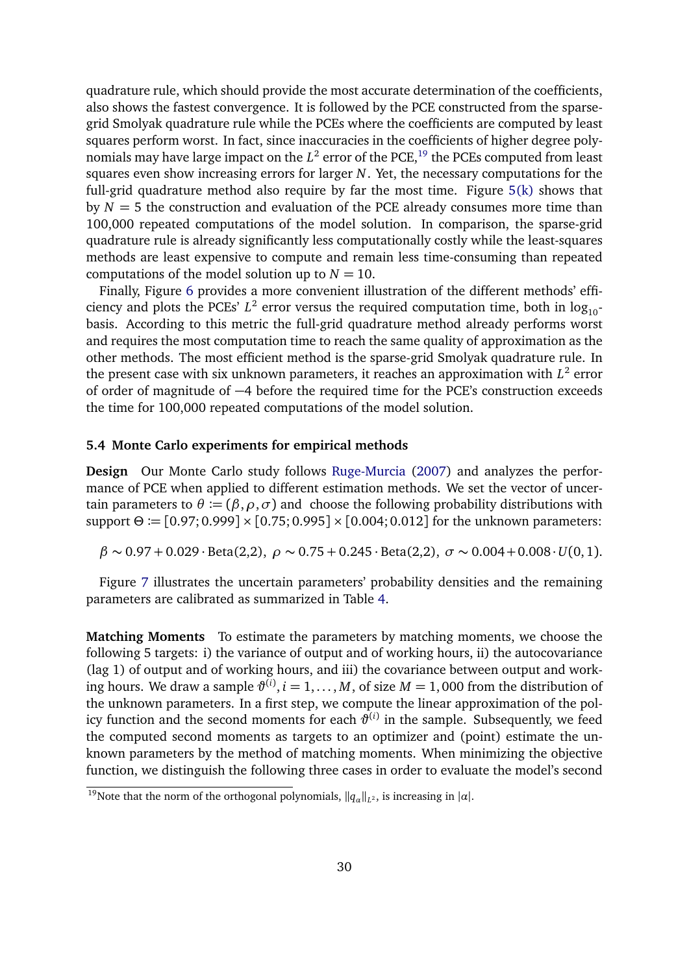quadrature rule, which should provide the most accurate determination of the coefficients, also shows the fastest convergence. It is followed by the PCE constructed from the sparsegrid Smolyak quadrature rule while the PCEs where the coefficients are computed by least squares perform worst. In fact, since inaccuracies in the coefficients of higher degree polynomials may have large impact on the  $L^2$  error of the PCE,  $^{19}$  $^{19}$  $^{19}$  the PCEs computed from least squares even show increasing errors for larger *N*. Yet, the necessary computations for the full-grid quadrature method also require by far the most time. Figure [5\(k\)](#page-27-1) shows that by  $N = 5$  the construction and evaluation of the PCE already consumes more time than 100,000 repeated computations of the model solution. In comparison, the sparse-grid quadrature rule is already significantly less computationally costly while the least-squares methods are least expensive to compute and remain less time-consuming than repeated computations of the model solution up to  $N = 10$ .

Finally, Figure [6](#page-28-0) provides a more convenient illustration of the different methods' efficiency and plots the PCEs'  $L^2$  error versus the required computation time, both in  $\log_{10}$ basis. According to this metric the full-grid quadrature method already performs worst and requires the most computation time to reach the same quality of approximation as the other methods. The most efficient method is the sparse-grid Smolyak quadrature rule. In the present case with six unknown parameters, it reaches an approximation with  $L^2$  error of order of magnitude of −4 before the required time for the PCE's construction exceeds the time for 100,000 repeated computations of the model solution.

### **5.4 Monte Carlo experiments for empirical methods**

**Design** Our Monte Carlo study follows [Ruge-Murcia](#page-39-3) [\(2007\)](#page-39-3) and analyzes the performance of PCE when applied to different estimation methods. We set the vector of uncertain parameters to  $\theta := (\beta, \rho, \sigma)$  and choose the following probability distributions with support *Θ* := [0.97; 0.999] × [0.75; 0.995] × [0.004; 0.012] for the unknown parameters:

*β* ∼ 0.97 + 0.029 · Beta(2,2), *ρ* ∼ 0.75 + 0.245 · Beta(2,2), *σ* ∼ 0.004+0.008·*U*(0, 1).

Figure [7](#page-30-0) illustrates the uncertain parameters' probability densities and the remaining parameters are calibrated as summarized in Table [4.](#page-30-1)

**Matching Moments** To estimate the parameters by matching moments, we choose the following 5 targets: i) the variance of output and of working hours, ii) the autocovariance (lag 1) of output and of working hours, and iii) the covariance between output and working hours. We draw a sample  $\vartheta^{(i)}$ ,  $i = 1, ..., M$ , of size  $M = 1,000$  from the distribution of the unknown parameters. In a first step, we compute the linear approximation of the policy function and the second moments for each  $\vartheta^{(i)}$  in the sample. Subsequently, we feed the computed second moments as targets to an optimizer and (point) estimate the unknown parameters by the method of matching moments. When minimizing the objective function, we distinguish the following three cases in order to evaluate the model's second

<span id="page-29-0"></span><sup>&</sup>lt;sup>19</sup>Note that the norm of the orthogonal polynomials,  $\|q_\alpha\|_{L^2}$ , is increasing in  $|\alpha|$ .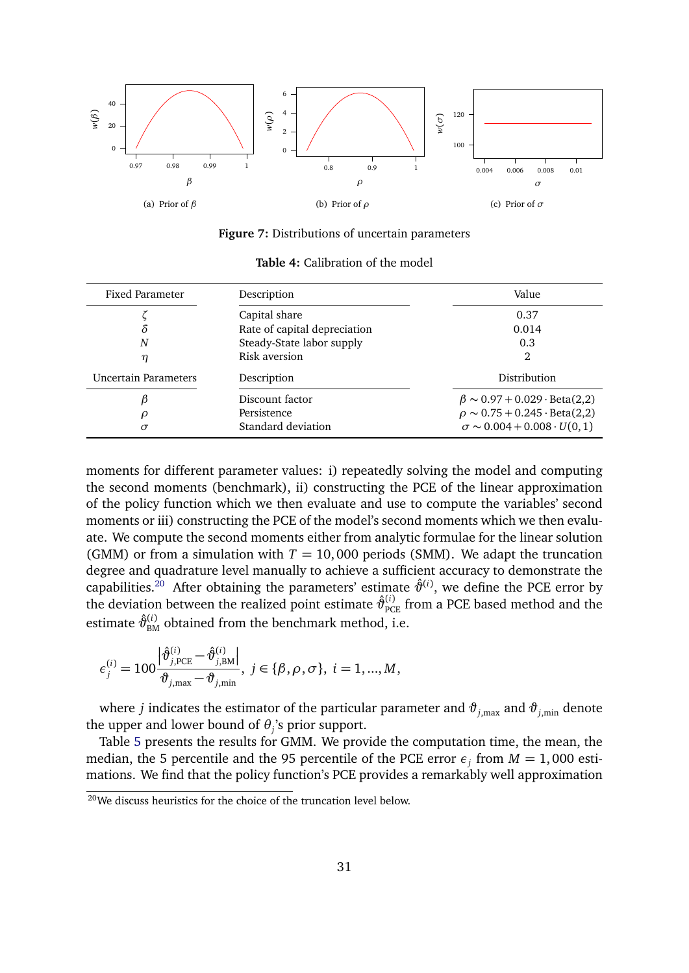<span id="page-30-0"></span>

**Figure 7:** Distributions of uncertain parameters

<span id="page-30-1"></span>

| Fixed Parameter             | Description                  | Value                                            |
|-----------------------------|------------------------------|--------------------------------------------------|
| Capital share               |                              | 0.37                                             |
| δ                           | Rate of capital depreciation | 0.014                                            |
| N                           | Steady-State labor supply    | 0.3                                              |
| η                           | Risk aversion                | 2                                                |
| <b>Uncertain Parameters</b> | Description                  | Distribution                                     |
|                             | Discount factor              | $\beta \sim 0.97 + 0.029 \cdot \text{Beta}(2,2)$ |
| ρ                           | Persistence                  | $\rho \sim 0.75 + 0.245 \cdot \text{Beta}(2,2)$  |
| σ                           | Standard deviation           | $\sigma \sim 0.004 + 0.008 \cdot U(0, 1)$        |

**Table 4:** Calibration of the model

moments for different parameter values: i) repeatedly solving the model and computing the second moments (benchmark), ii) constructing the PCE of the linear approximation of the policy function which we then evaluate and use to compute the variables' second moments or iii) constructing the PCE of the model's second moments which we then evaluate. We compute the second moments either from analytic formulae for the linear solution (GMM) or from a simulation with  $T = 10,000$  periods (SMM). We adapt the truncation degree and quadrature level manually to achieve a sufficient accuracy to demonstrate the capabilities.<sup>[20](#page-30-2)</sup> After obtaining the parameters' estimate  $\hat{\vartheta}^{(i)}$ , we define the PCE error by the deviation between the realized point estimate  $\hat{\vartheta}_{\text{PCE}}^{(i)}$  from a PCE based method and the estimate  $\hat{\vartheta}_{\text{\tiny BM}}^{(i)}$  obtained from the benchmark method, i.e.

$$
\epsilon_j^{(i)} = 100 \frac{\left| \hat{\vartheta}_{j, \text{PCE}}^{(i)} - \hat{\vartheta}_{j, \text{BM}}^{(i)} \right|}{\vartheta_{j, \text{max}} - \vartheta_{j, \text{min}}}, \ j \in \{\beta, \rho, \sigma\}, \ i = 1, ..., M,
$$

where *j* indicates the estimator of the particular parameter and  $\vartheta_{j,\text{max}}$  and  $\vartheta_{j,\text{min}}$  denote the upper and lower bound of  $\theta_j$ 's prior support.

Table [5](#page-31-0) presents the results for GMM. We provide the computation time, the mean, the median, the 5 percentile and the 95 percentile of the PCE error  $\epsilon_j$  from  $M = 1,000$  estimations. We find that the policy function's PCE provides a remarkably well approximation

<span id="page-30-2"></span><sup>20</sup>We discuss heuristics for the choice of the truncation level below.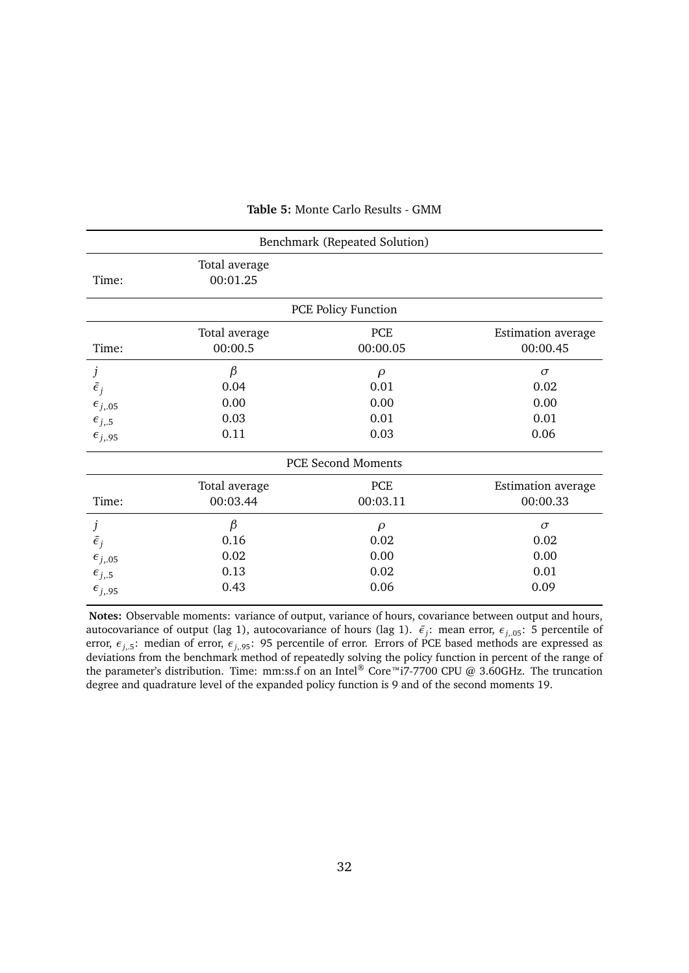<span id="page-31-0"></span>

| Benchmark (Repeated Solution) |                           |                            |                           |  |  |  |
|-------------------------------|---------------------------|----------------------------|---------------------------|--|--|--|
| Time:                         | Total average<br>00:01.25 |                            |                           |  |  |  |
|                               |                           | <b>PCE Policy Function</b> |                           |  |  |  |
| Time:                         | Total average             | PCE                        | <b>Estimation</b> average |  |  |  |
|                               | 00:00.5                   | 00:00.05                   | 00:00.45                  |  |  |  |
| j                             | $\beta$                   | $\rho$                     | $\sigma$                  |  |  |  |
| $\bar{\epsilon}_i$            | 0.04                      | 0.01                       | 0.02                      |  |  |  |
| $\epsilon_{j,05}$             | 0.00                      | 0.00                       | 0.00                      |  |  |  |
| $\epsilon_{j,5}$              | 0.03                      | 0.01                       | 0.01                      |  |  |  |
| $\epsilon_{j,95}$             | 0.11                      | 0.03                       | 0.06                      |  |  |  |
|                               | <b>PCE Second Moments</b> |                            |                           |  |  |  |
| Time:                         | Total average             | PCE                        | <b>Estimation</b> average |  |  |  |
|                               | 00:03.44                  | 00:03.11                   | 00:00.33                  |  |  |  |
| j                             | $\beta$                   | $\rho$                     | $\sigma$                  |  |  |  |
| $\bar{\epsilon}_j$            | 0.16                      | 0.02                       | 0.02                      |  |  |  |
| $\epsilon_{j,05}$             | 0.02                      | 0.00                       | 0.00                      |  |  |  |
| $\epsilon_{j,5}$              | 0.13                      | 0.02                       | 0.01                      |  |  |  |
| $\epsilon_{j,95}$             | 0.43                      | 0.06                       | 0.09                      |  |  |  |

#### **Table 5:** Monte Carlo Results - GMM

**Notes:** Observable moments: variance of output, variance of hours, covariance between output and hours, autocovariance of output (lag 1), autocovariance of hours (lag 1).  $\bar{\epsilon}_j$ : mean error,  $\epsilon_{j,05}$ : 5 percentile of error, *εj*,.5: median of error, *εj*,.95: 95 percentile of error. Errors of PCE based methods are expressed as deviations from the benchmark method of repeatedly solving the policy function in percent of the range of the parameter's distribution. Time: mm:ss.f on an Intel<sup>®</sup> Core™i7-7700 CPU @ 3.60GHz. The truncation degree and quadrature level of the expanded policy function is 9 and of the second moments 19.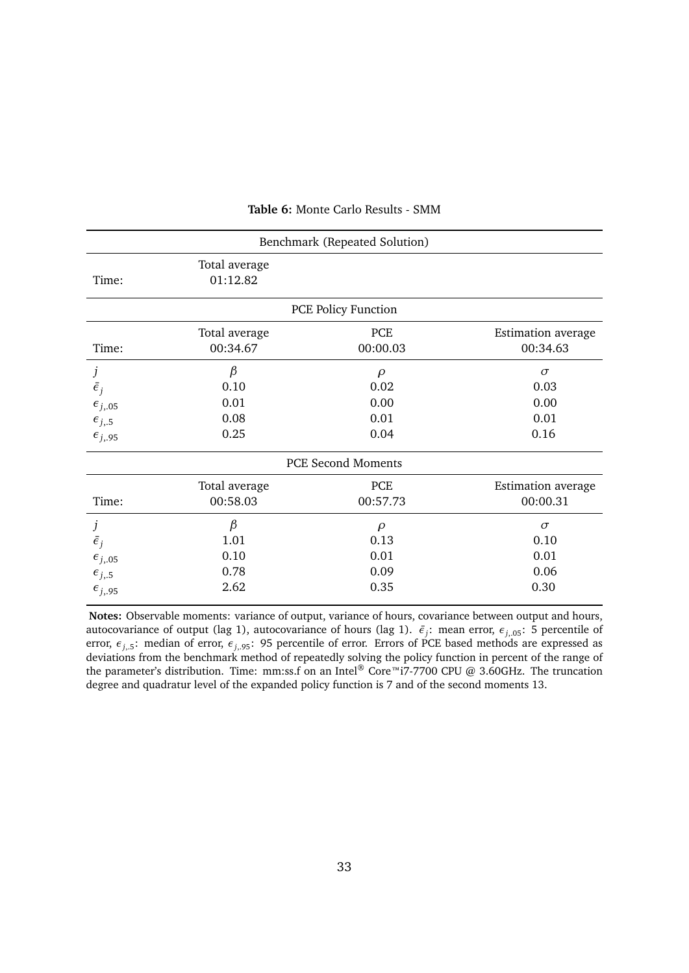<span id="page-32-0"></span>

| Benchmark (Repeated Solution) |                           |                            |                           |  |  |  |
|-------------------------------|---------------------------|----------------------------|---------------------------|--|--|--|
| Time:                         | Total average<br>01:12.82 |                            |                           |  |  |  |
|                               |                           | <b>PCE Policy Function</b> |                           |  |  |  |
| Time:                         | Total average             | PCE                        | Estimation average        |  |  |  |
|                               | 00:34.67                  | 00:00.03                   | 00:34.63                  |  |  |  |
| j                             | $\beta$                   | $\rho$                     | $\sigma$                  |  |  |  |
| $\bar{\epsilon}_i$            | 0.10                      | 0.02                       | 0.03                      |  |  |  |
| $\epsilon_{j,05}$             | 0.01                      | 0.00                       | 0.00                      |  |  |  |
| $\epsilon_{j,5}$              | 0.08                      | 0.01                       | 0.01                      |  |  |  |
| $\epsilon_{j,95}$             | 0.25                      | 0.04                       | 0.16                      |  |  |  |
|                               | <b>PCE Second Moments</b> |                            |                           |  |  |  |
| Time:                         | Total average             | PCE                        | <b>Estimation</b> average |  |  |  |
|                               | 00:58.03                  | 00:57.73                   | 00:00.31                  |  |  |  |
| j                             | $\beta$                   | $\rho$                     | $\sigma$                  |  |  |  |
| $\bar{\epsilon}_j$            | 1.01                      | 0.13                       | 0.10                      |  |  |  |
| $\epsilon_{j,05}$             | 0.10                      | 0.01                       | 0.01                      |  |  |  |
| $\epsilon_{j,5}$              | 0.78                      | 0.09                       | 0.06                      |  |  |  |
| $\epsilon_{j,95}$             | 2.62                      | 0.35                       | 0.30                      |  |  |  |

#### **Table 6:** Monte Carlo Results - SMM

**Notes:** Observable moments: variance of output, variance of hours, covariance between output and hours, autocovariance of output (lag 1), autocovariance of hours (lag 1).  $\bar{\epsilon}_j$ : mean error,  $\epsilon_{j,05}$ : 5 percentile of error, *εj*,.5: median of error, *εj*,.95: 95 percentile of error. Errors of PCE based methods are expressed as deviations from the benchmark method of repeatedly solving the policy function in percent of the range of the parameter's distribution. Time: mm:ss.f on an Intel® Core™i7-7700 CPU @ 3.60GHz. The truncation degree and quadratur level of the expanded policy function is 7 and of the second moments 13.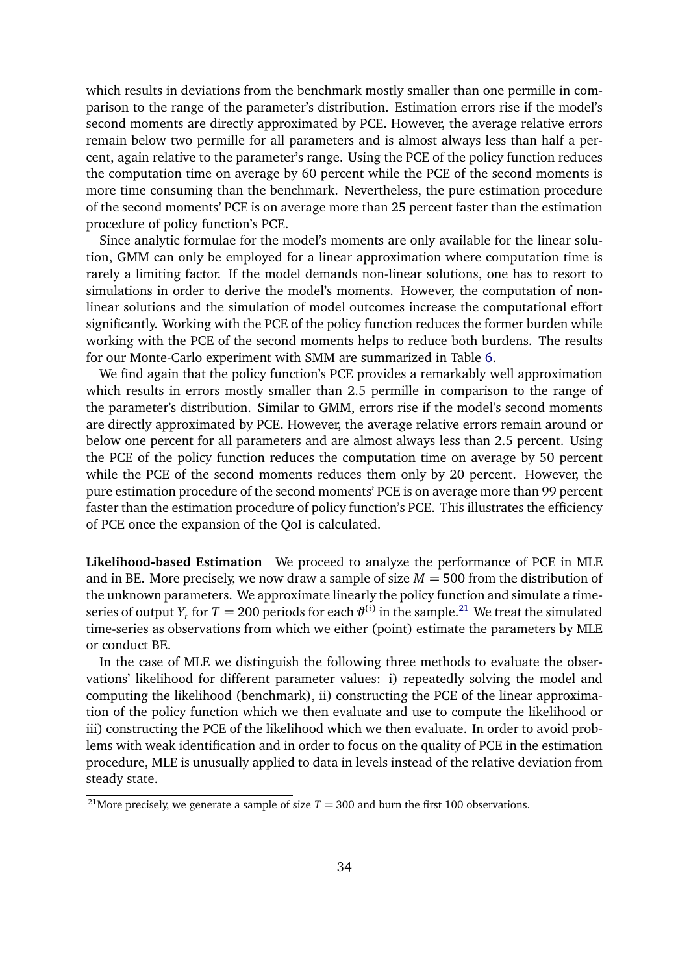which results in deviations from the benchmark mostly smaller than one permille in comparison to the range of the parameter's distribution. Estimation errors rise if the model's second moments are directly approximated by PCE. However, the average relative errors remain below two permille for all parameters and is almost always less than half a percent, again relative to the parameter's range. Using the PCE of the policy function reduces the computation time on average by 60 percent while the PCE of the second moments is more time consuming than the benchmark. Nevertheless, the pure estimation procedure of the second moments' PCE is on average more than 25 percent faster than the estimation procedure of policy function's PCE.

Since analytic formulae for the model's moments are only available for the linear solution, GMM can only be employed for a linear approximation where computation time is rarely a limiting factor. If the model demands non-linear solutions, one has to resort to simulations in order to derive the model's moments. However, the computation of nonlinear solutions and the simulation of model outcomes increase the computational effort significantly. Working with the PCE of the policy function reduces the former burden while working with the PCE of the second moments helps to reduce both burdens. The results for our Monte-Carlo experiment with SMM are summarized in Table [6.](#page-32-0)

We find again that the policy function's PCE provides a remarkably well approximation which results in errors mostly smaller than 2.5 permille in comparison to the range of the parameter's distribution. Similar to GMM, errors rise if the model's second moments are directly approximated by PCE. However, the average relative errors remain around or below one percent for all parameters and are almost always less than 2.5 percent. Using the PCE of the policy function reduces the computation time on average by 50 percent while the PCE of the second moments reduces them only by 20 percent. However, the pure estimation procedure of the second moments' PCE is on average more than 99 percent faster than the estimation procedure of policy function's PCE. This illustrates the efficiency of PCE once the expansion of the QoI is calculated.

**Likelihood-based Estimation** We proceed to analyze the performance of PCE in MLE and in BE. More precisely, we now draw a sample of size  $M = 500$  from the distribution of the unknown parameters. We approximate linearly the policy function and simulate a timeseries of output  $Y_t$  for  $T = 200$  periods for each  $\vartheta^{(i)}$  in the sample.<sup>[21](#page-33-0)</sup> We treat the simulated time-series as observations from which we either (point) estimate the parameters by MLE or conduct BE.

In the case of MLE we distinguish the following three methods to evaluate the observations' likelihood for different parameter values: i) repeatedly solving the model and computing the likelihood (benchmark), ii) constructing the PCE of the linear approximation of the policy function which we then evaluate and use to compute the likelihood or iii) constructing the PCE of the likelihood which we then evaluate. In order to avoid problems with weak identification and in order to focus on the quality of PCE in the estimation procedure, MLE is unusually applied to data in levels instead of the relative deviation from steady state.

<span id="page-33-0"></span><sup>&</sup>lt;sup>21</sup>More precisely, we generate a sample of size  $T = 300$  and burn the first 100 observations.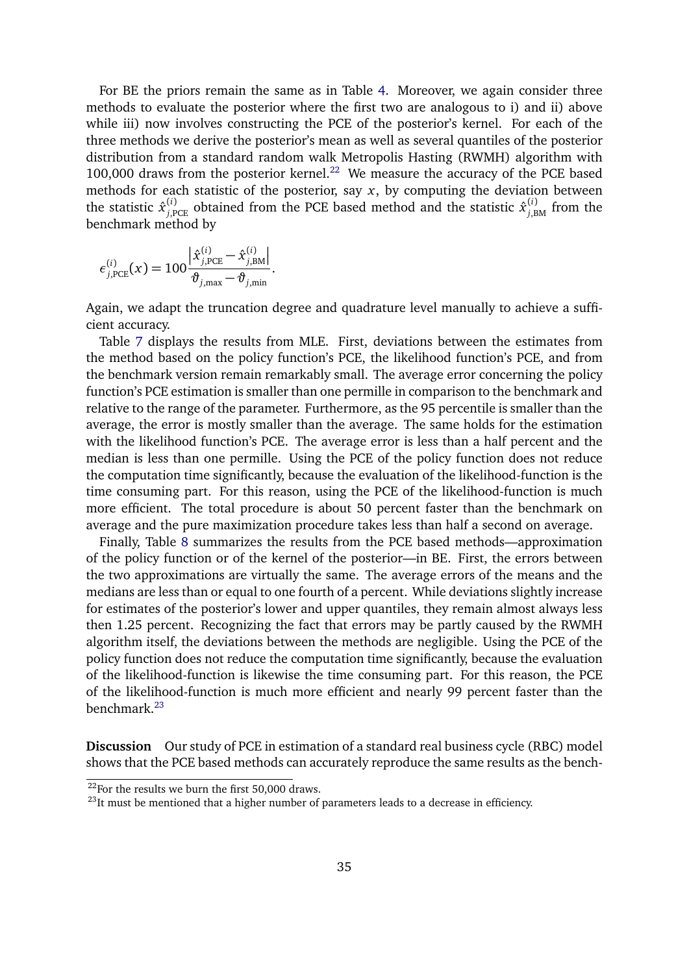For BE the priors remain the same as in Table [4.](#page-30-1) Moreover, we again consider three methods to evaluate the posterior where the first two are analogous to i) and ii) above while iii) now involves constructing the PCE of the posterior's kernel. For each of the three methods we derive the posterior's mean as well as several quantiles of the posterior distribution from a standard random walk Metropolis Hasting (RWMH) algorithm with 100,000 draws from the posterior kernel.<sup>[22](#page-34-0)</sup> We measure the accuracy of the PCE based methods for each statistic of the posterior, say *x*, by computing the deviation between the statistic  $\hat{x}^{(i)}_{j,\text{PCE}}$  obtained from the PCE based method and the statistic  $\hat{x}^{(i)}_{j,\text{BM}}$  from the benchmark method by

$$
\epsilon_{j,\text{PCE}}^{(i)}(x) = 100 \frac{\left| \hat{x}_{j,\text{PCE}}^{(i)} - \hat{x}_{j,\text{BM}}^{(i)} \right|}{\vartheta_{j,\text{max}} - \vartheta_{j,\text{min}}}.
$$

Again, we adapt the truncation degree and quadrature level manually to achieve a sufficient accuracy.

Table [7](#page-35-0) displays the results from MLE. First, deviations between the estimates from the method based on the policy function's PCE, the likelihood function's PCE, and from the benchmark version remain remarkably small. The average error concerning the policy function's PCE estimation is smaller than one permille in comparison to the benchmark and relative to the range of the parameter. Furthermore, as the 95 percentile is smaller than the average, the error is mostly smaller than the average. The same holds for the estimation with the likelihood function's PCE. The average error is less than a half percent and the median is less than one permille. Using the PCE of the policy function does not reduce the computation time significantly, because the evaluation of the likelihood-function is the time consuming part. For this reason, using the PCE of the likelihood-function is much more efficient. The total procedure is about 50 percent faster than the benchmark on average and the pure maximization procedure takes less than half a second on average.

Finally, Table [8](#page-36-0) summarizes the results from the PCE based methods—approximation of the policy function or of the kernel of the posterior—in BE. First, the errors between the two approximations are virtually the same. The average errors of the means and the medians are less than or equal to one fourth of a percent. While deviations slightly increase for estimates of the posterior's lower and upper quantiles, they remain almost always less then 1.25 percent. Recognizing the fact that errors may be partly caused by the RWMH algorithm itself, the deviations between the methods are negligible. Using the PCE of the policy function does not reduce the computation time significantly, because the evaluation of the likelihood-function is likewise the time consuming part. For this reason, the PCE of the likelihood-function is much more efficient and nearly 99 percent faster than the benchmark.[23](#page-34-1)

**Discussion** Our study of PCE in estimation of a standard real business cycle (RBC) model shows that the PCE based methods can accurately reproduce the same results as the bench-

<span id="page-34-0"></span> $22$ For the results we burn the first 50,000 draws.

<span id="page-34-1"></span> $^{23}$ It must be mentioned that a higher number of parameters leads to a decrease in efficiency.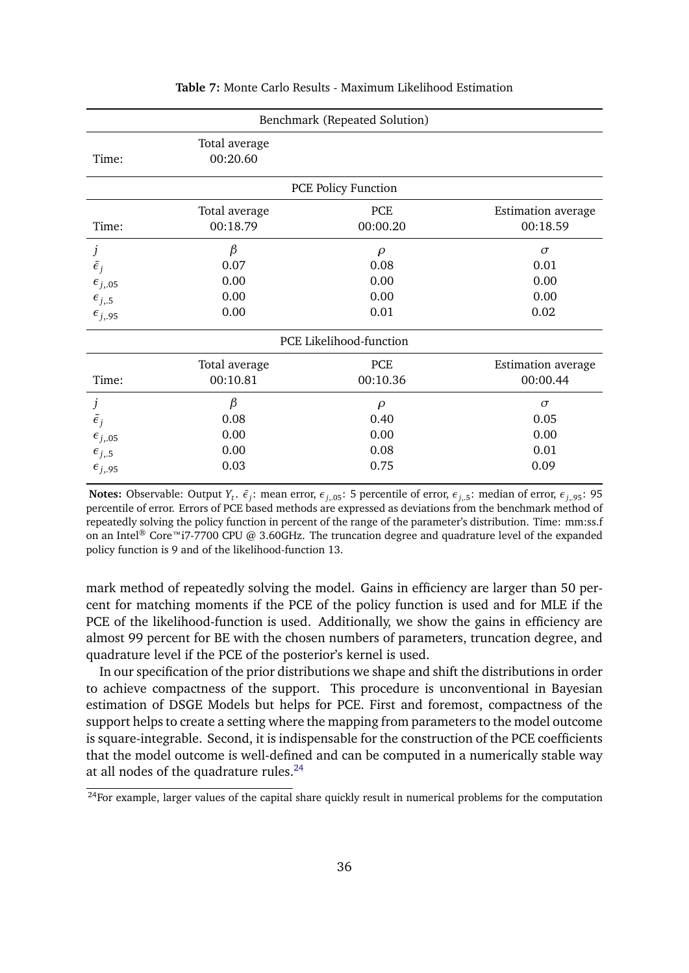<span id="page-35-0"></span>

| Benchmark (Repeated Solution) |                           |                            |                           |  |  |
|-------------------------------|---------------------------|----------------------------|---------------------------|--|--|
| Time:                         | Total average<br>00:20.60 |                            |                           |  |  |
|                               |                           | <b>PCE Policy Function</b> |                           |  |  |
| Time:                         | Total average             | <b>PCE</b>                 | Estimation average        |  |  |
|                               | 00:18.79                  | 00:00.20                   | 00:18.59                  |  |  |
| j                             | $\beta$                   | $\rho$                     | $\sigma$                  |  |  |
| $\bar{\epsilon}_i$            | 0.07                      | 0.08                       | 0.01                      |  |  |
| $\epsilon_{j,05}$             | 0.00                      | 0.00                       | 0.00                      |  |  |
| $\epsilon_{j,5}$              | 0.00                      | 0.00                       | 0.00                      |  |  |
| $\epsilon_{j,95}$             | 0.00                      | 0.01                       | 0.02                      |  |  |
|                               |                           | PCE Likelihood-function    |                           |  |  |
| Time:                         | Total average             | PCE                        | <b>Estimation</b> average |  |  |
|                               | 00:10.81                  | 00:10.36                   | 00:00.44                  |  |  |
| j                             | $\beta$                   | $\rho$                     | $\sigma$                  |  |  |
| $\bar{\epsilon}_i$            | 0.08                      | 0.40                       | 0.05                      |  |  |
| $\epsilon_{j,05}$             | 0.00                      | 0.00                       | 0.00                      |  |  |
| $\epsilon_{j,5}$              | 0.00                      | 0.08                       | 0.01                      |  |  |
| $\epsilon_{j,95}$             | 0.03                      | 0.75                       | 0.09                      |  |  |

#### **Table 7:** Monte Carlo Results - Maximum Likelihood Estimation

**Notes:** Observable: Output  $Y_t$ .  $\bar{\epsilon}_j$ : mean error,  $\epsilon_{j,05}$ : 5 percentile of error,  $\epsilon_{j,5}$ : median of error,  $\epsilon_{j,95}$ : 95 percentile of error. Errors of PCE based methods are expressed as deviations from the benchmark method of repeatedly solving the policy function in percent of the range of the parameter's distribution. Time: mm:ss.f on an Intel<sup>®</sup> Core™i7-7700 CPU @ 3.60GHz. The truncation degree and quadrature level of the expanded policy function is 9 and of the likelihood-function 13.

mark method of repeatedly solving the model. Gains in efficiency are larger than 50 percent for matching moments if the PCE of the policy function is used and for MLE if the PCE of the likelihood-function is used. Additionally, we show the gains in efficiency are almost 99 percent for BE with the chosen numbers of parameters, truncation degree, and quadrature level if the PCE of the posterior's kernel is used.

In our specification of the prior distributions we shape and shift the distributions in order to achieve compactness of the support. This procedure is unconventional in Bayesian estimation of DSGE Models but helps for PCE. First and foremost, compactness of the support helps to create a setting where the mapping from parameters to the model outcome is square-integrable. Second, it is indispensable for the construction of the PCE coefficients that the model outcome is well-defined and can be computed in a numerically stable way at all nodes of the quadrature rules.<sup>[24](#page-35-1)</sup>

<span id="page-35-1"></span> $\frac{1}{24}$ For example, larger values of the capital share quickly result in numerical problems for the computation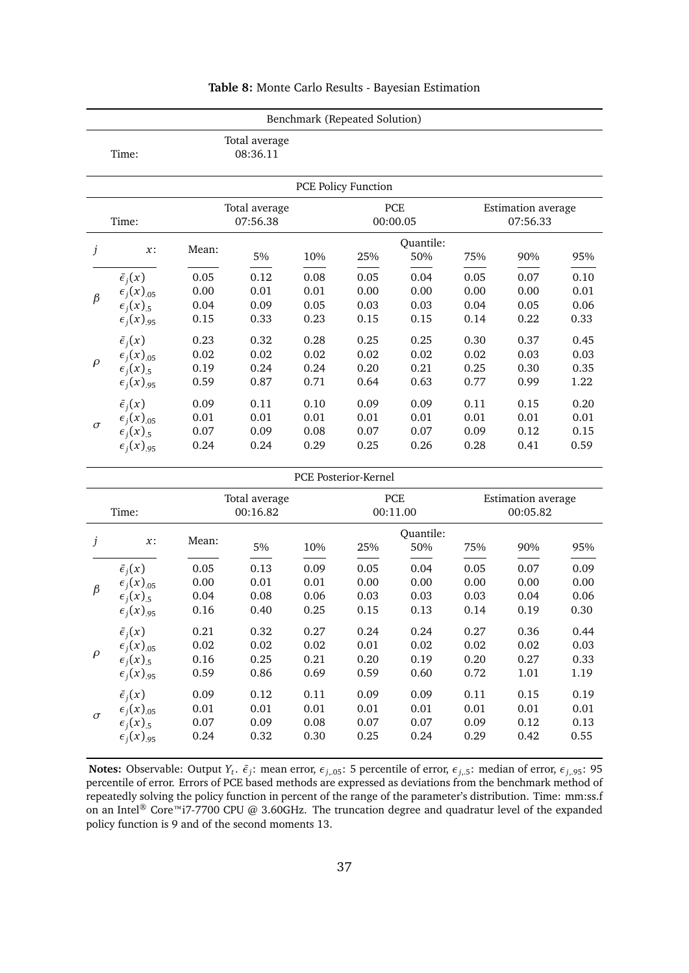<span id="page-36-0"></span>

|                                    |                                                                                                                        |                                  |                                  | Benchmark (Repeated Solution)    |                                                   |                              |                                      |                                  |                              |
|------------------------------------|------------------------------------------------------------------------------------------------------------------------|----------------------------------|----------------------------------|----------------------------------|---------------------------------------------------|------------------------------|--------------------------------------|----------------------------------|------------------------------|
|                                    | Total average<br>08:36.11<br>Time:                                                                                     |                                  |                                  |                                  |                                                   |                              |                                      |                                  |                              |
|                                    |                                                                                                                        |                                  |                                  |                                  | <b>PCE Policy Function</b>                        |                              |                                      |                                  |                              |
|                                    | Time:                                                                                                                  |                                  | Total average<br>07:56.38        |                                  |                                                   | PCE<br>00:00.05              |                                      | Estimation average<br>07:56.33   |                              |
| j                                  | $x$ :                                                                                                                  | Mean:                            | 5%                               | 10%                              | 25%                                               | Quantile:<br>50%             | 75%                                  | 90%                              | 95%                          |
| $\beta$                            | $\bar{\epsilon}_i(x)$<br>$\epsilon_i(x)_{.05}$<br>$\epsilon_i(x)_{.5}$                                                 | 0.05<br>0.00<br>0.04             | 0.12<br>0.01<br>0.09             | 0.08<br>0.01<br>0.05             | 0.05<br>0.00<br>0.03                              | 0.04<br>0.00<br>0.03         | 0.05<br>0.00<br>0.04                 | 0.07<br>0.00<br>0.05             | 0.10<br>0.01<br>0.06         |
|                                    | $\epsilon_i(x)_{.95}$                                                                                                  | 0.15                             | 0.33                             | 0.23                             | 0.15                                              | 0.15                         | 0.14                                 | 0.22                             | 0.33                         |
| $\rho$                             | $\bar{\epsilon}_i(x)$<br>$\epsilon_i(x)_{.05}$<br>$\epsilon_i(x)_{.5}$<br>$\epsilon_i(x)_{.95}$                        | 0.23<br>0.02<br>0.19<br>0.59     | 0.32<br>0.02<br>0.24<br>0.87     | 0.28<br>0.02<br>0.24<br>0.71     | 0.25<br>0.02<br>0.20<br>0.64                      | 0.25<br>0.02<br>0.21<br>0.63 | 0.30<br>0.02<br>0.25<br>0.77         | 0.37<br>0.03<br>0.30<br>0.99     | 0.45<br>0.03<br>0.35<br>1.22 |
| $\sigma$                           | $\bar{\epsilon}_i(x)$<br>$\epsilon_i(x)_{.05}$<br>$\epsilon_i(x)_{.5}$<br>$\epsilon_i(x)_{.95}$                        | 0.09<br>0.01<br>0.07<br>0.24     | 0.11<br>0.01<br>0.09<br>0.24     | 0.10<br>0.01<br>0.08<br>0.29     | 0.09<br>0.01<br>0.07<br>0.25                      | 0.09<br>0.01<br>0.07<br>0.26 | 0.11<br>0.01<br>0.09<br>0.28         | 0.15<br>0.01<br>0.12<br>0.41     | 0.20<br>0.01<br>0.15<br>0.59 |
|                                    |                                                                                                                        |                                  |                                  |                                  | PCE Posterior-Kernel                              |                              |                                      |                                  |                              |
| Total average<br>00:16.82<br>Time: |                                                                                                                        |                                  |                                  |                                  | PCE<br>Estimation average<br>00:05.82<br>00:11.00 |                              |                                      |                                  |                              |
| j                                  | $x$ :                                                                                                                  | Mean:                            | 5%                               | 10%                              | 25%                                               | Quantile:<br>50%             | 75%                                  | 90%                              | 95%                          |
| $\beta$                            | $\bar{\epsilon}_i(x)$<br>$\epsilon_i(x)_{.05}$<br>$\epsilon_i(x)_{.5}$<br>$\epsilon_i(x)_{.95}$                        | 0.05<br>0.00<br>0.04<br>0.16     | 0.13<br>0.01<br>0.08<br>0.40     | 0.09<br>0.01<br>0.06<br>0.25     | 0.05<br>0.00<br>0.03<br>0.15                      | 0.04<br>0.00<br>0.03<br>0.13 | 0.05<br>0.00<br>0.03<br>0.14         | 0.07<br>0.00<br>0.04<br>0.19     | 0.09<br>0.00<br>0.06<br>0.30 |
| $\rho$                             | $\bar{\epsilon}_i(x)$<br>$\epsilon_i(x)_{.05}$<br>$\epsilon_i(x)_{.5}$<br>$\epsilon_i(x)_{.95}$                        | 0.21<br>$0.02\,$<br>0.16<br>0.59 | 0.32<br>$0.02\,$<br>0.25<br>0.86 | 0.27<br>$0.02\,$<br>0.21<br>0.69 | 0.24<br>$0.01\,$<br>$0.20\,$<br>0.59              | 0.24<br>0.02<br>0.19<br>0.60 | 0.27<br>$0.02\,$<br>$0.20\,$<br>0.72 | 0.36<br>$0.02\,$<br>0.27<br>1.01 | 0.44<br>0.03<br>0.33<br>1.19 |
| $\sigma$                           | $\bar{\epsilon}_i(x)$<br>$\epsilon_i(x)_{.05}$<br>$\epsilon_i(x)_{.5}$<br>$\epsilon$ <sub>j</sub> $(x)$ <sub>.95</sub> | 0.09<br>0.01<br>$0.07\,$<br>0.24 | 0.12<br>0.01<br>0.09<br>0.32     | 0.11<br>$0.01\,$<br>0.08<br>0.30 | 0.09<br>0.01<br>$0.07\,$<br>0.25                  | 0.09<br>0.01<br>0.07<br>0.24 | 0.11<br>0.01<br>0.09<br>0.29         | 0.15<br>$0.01\,$<br>0.12<br>0.42 | 0.19<br>0.01<br>0.13<br>0.55 |

#### **Table 8:** Monte Carlo Results - Bayesian Estimation

**Notes:** Observable: Output  $Y_t$ .  $\bar{\epsilon}_j$ : mean error,  $\epsilon_{j,05}$ : 5 percentile of error,  $\epsilon_{j,5}$ : median of error,  $\epsilon_{j,95}$ : 95 percentile of error. Errors of PCE based methods are expressed as deviations from the benchmark method of repeatedly solving the policy function in percent of the range of the parameter's distribution. Time: mm:ss.f on an Intel® Core™i7-7700 CPU @ 3.60GHz. The truncation degree and quadratur level of the expanded policy function is 9 and of the second moments 13.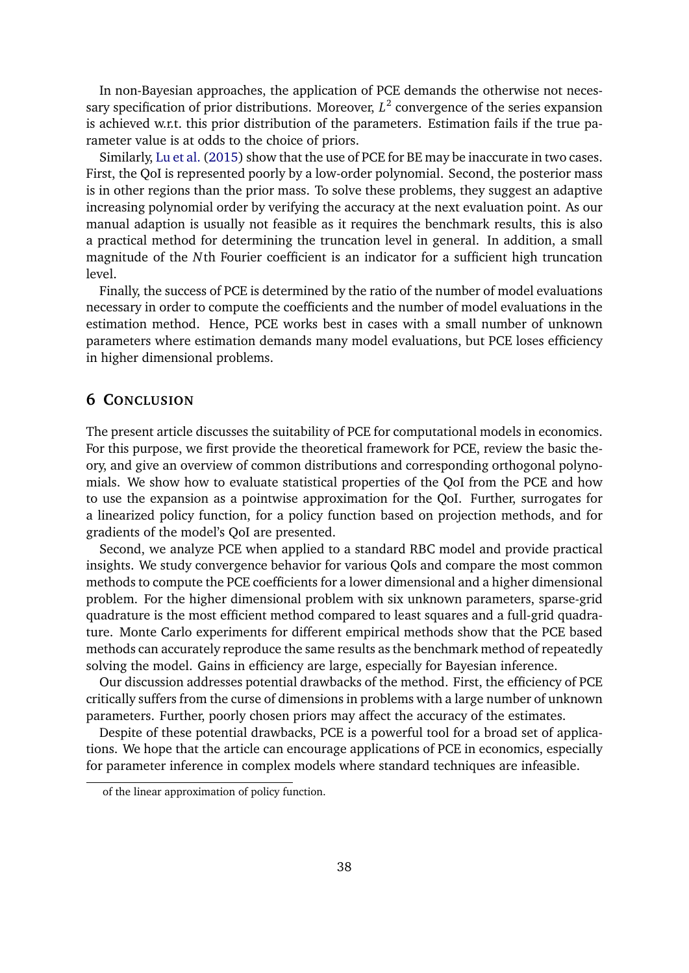In non-Bayesian approaches, the application of PCE demands the otherwise not necessary specification of prior distributions. Moreover,  $L^2$  convergence of the series expansion is achieved w.r.t. this prior distribution of the parameters. Estimation fails if the true parameter value is at odds to the choice of priors.

Similarly, [Lu et al.](#page-38-11) [\(2015\)](#page-38-11) show that the use of PCE for BE may be inaccurate in two cases. First, the QoI is represented poorly by a low-order polynomial. Second, the posterior mass is in other regions than the prior mass. To solve these problems, they suggest an adaptive increasing polynomial order by verifying the accuracy at the next evaluation point. As our manual adaption is usually not feasible as it requires the benchmark results, this is also a practical method for determining the truncation level in general. In addition, a small magnitude of the *N*th Fourier coefficient is an indicator for a sufficient high truncation level.

Finally, the success of PCE is determined by the ratio of the number of model evaluations necessary in order to compute the coefficients and the number of model evaluations in the estimation method. Hence, PCE works best in cases with a small number of unknown parameters where estimation demands many model evaluations, but PCE loses efficiency in higher dimensional problems.

## <span id="page-37-0"></span>**6 CONCLUSION**

The present article discusses the suitability of PCE for computational models in economics. For this purpose, we first provide the theoretical framework for PCE, review the basic theory, and give an overview of common distributions and corresponding orthogonal polynomials. We show how to evaluate statistical properties of the QoI from the PCE and how to use the expansion as a pointwise approximation for the QoI. Further, surrogates for a linearized policy function, for a policy function based on projection methods, and for gradients of the model's QoI are presented.

Second, we analyze PCE when applied to a standard RBC model and provide practical insights. We study convergence behavior for various QoIs and compare the most common methods to compute the PCE coefficients for a lower dimensional and a higher dimensional problem. For the higher dimensional problem with six unknown parameters, sparse-grid quadrature is the most efficient method compared to least squares and a full-grid quadrature. Monte Carlo experiments for different empirical methods show that the PCE based methods can accurately reproduce the same results as the benchmark method of repeatedly solving the model. Gains in efficiency are large, especially for Bayesian inference.

Our discussion addresses potential drawbacks of the method. First, the efficiency of PCE critically suffers from the curse of dimensions in problems with a large number of unknown parameters. Further, poorly chosen priors may affect the accuracy of the estimates.

Despite of these potential drawbacks, PCE is a powerful tool for a broad set of applications. We hope that the article can encourage applications of PCE in economics, especially for parameter inference in complex models where standard techniques are infeasible.

of the linear approximation of policy function.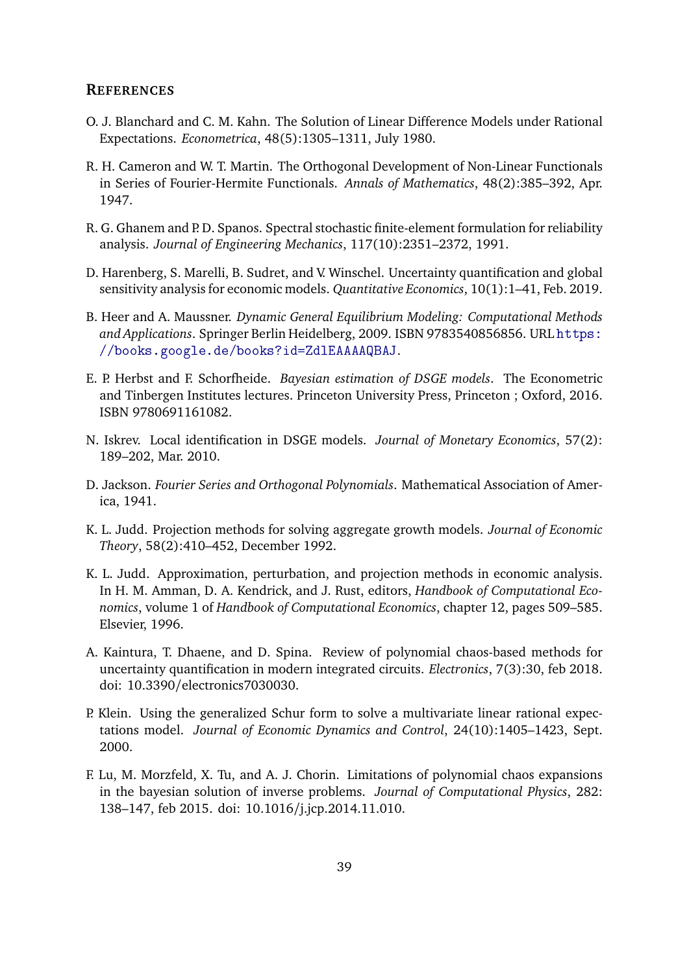#### **REFERENCES**

- <span id="page-38-5"></span>O. J. Blanchard and C. M. Kahn. The Solution of Linear Difference Models under Rational Expectations. *Econometrica*, 48(5):1305–1311, July 1980.
- <span id="page-38-0"></span>R. H. Cameron and W. T. Martin. The Orthogonal Development of Non-Linear Functionals in Series of Fourier-Hermite Functionals. *Annals of Mathematics*, 48(2):385–392, Apr. 1947.
- <span id="page-38-1"></span>R. G. Ghanem and P. D. Spanos. Spectral stochastic finite-element formulation for reliability analysis. *Journal of Engineering Mechanics*, 117(10):2351–2372, 1991.
- <span id="page-38-3"></span>D. Harenberg, S. Marelli, B. Sudret, and V. Winschel. Uncertainty quantification and global sensitivity analysis for economic models. *Quantitative Economics*, 10(1):1–41, Feb. 2019.
- <span id="page-38-9"></span>B. Heer and A. Maussner. *Dynamic General Equilibrium Modeling: Computational Methods and Applications*. Springer Berlin Heidelberg, 2009. ISBN 9783540856856. URL [https:](https://books.google.de/books?id=ZdlEAAAAQBAJ) [//books.google.de/books?id=ZdlEAAAAQBAJ](https://books.google.de/books?id=ZdlEAAAAQBAJ).
- E. P. Herbst and F. Schorfheide. *Bayesian estimation of DSGE models*. The Econometric and Tinbergen Institutes lectures. Princeton University Press, Princeton ; Oxford, 2016. ISBN 9780691161082.
- <span id="page-38-7"></span>N. Iskrev. Local identification in DSGE models. *Journal of Monetary Economics*, 57(2): 189–202, Mar. 2010.
- <span id="page-38-4"></span>D. Jackson. *Fourier Series and Orthogonal Polynomials*. Mathematical Association of America, 1941.
- <span id="page-38-10"></span>K. L. Judd. Projection methods for solving aggregate growth models. *Journal of Economic Theory*, 58(2):410–452, December 1992.
- <span id="page-38-8"></span>K. L. Judd. Approximation, perturbation, and projection methods in economic analysis. In H. M. Amman, D. A. Kendrick, and J. Rust, editors, *Handbook of Computational Economics*, volume 1 of *Handbook of Computational Economics*, chapter 12, pages 509–585. Elsevier, 1996.
- <span id="page-38-2"></span>A. Kaintura, T. Dhaene, and D. Spina. Review of polynomial chaos-based methods for uncertainty quantification in modern integrated circuits. *Electronics*, 7(3):30, feb 2018. doi: 10.3390/electronics7030030.
- <span id="page-38-6"></span>P. Klein. Using the generalized Schur form to solve a multivariate linear rational expectations model. *Journal of Economic Dynamics and Control*, 24(10):1405–1423, Sept. 2000.
- <span id="page-38-11"></span>F. Lu, M. Morzfeld, X. Tu, and A. J. Chorin. Limitations of polynomial chaos expansions in the bayesian solution of inverse problems. *Journal of Computational Physics*, 282: 138–147, feb 2015. doi: 10.1016/j.jcp.2014.11.010.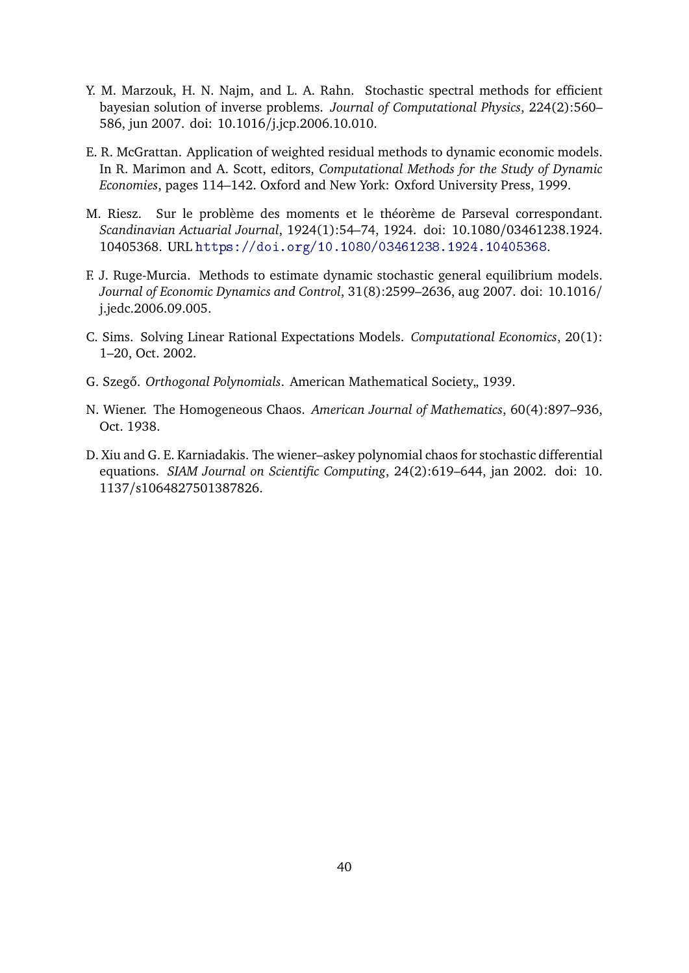- <span id="page-39-2"></span>Y. M. Marzouk, H. N. Najm, and L. A. Rahn. Stochastic spectral methods for efficient bayesian solution of inverse problems. *Journal of Computational Physics*, 224(2):560– 586, jun 2007. doi: 10.1016/j.jcp.2006.10.010.
- <span id="page-39-7"></span>E. R. McGrattan. Application of weighted residual methods to dynamic economic models. In R. Marimon and A. Scott, editors, *Computational Methods for the Study of Dynamic Economies*, pages 114–142. Oxford and New York: Oxford University Press, 1999.
- <span id="page-39-4"></span>M. Riesz. Sur le problème des moments et le théorème de Parseval correspondant. *Scandinavian Actuarial Journal*, 1924(1):54–74, 1924. doi: 10.1080/03461238.1924. 10405368. URL <https://doi.org/10.1080/03461238.1924.10405368>.
- <span id="page-39-3"></span>F. J. Ruge-Murcia. Methods to estimate dynamic stochastic general equilibrium models. *Journal of Economic Dynamics and Control*, 31(8):2599–2636, aug 2007. doi: 10.1016/ j.jedc.2006.09.005.
- <span id="page-39-6"></span>C. Sims. Solving Linear Rational Expectations Models. *Computational Economics*, 20(1): 1–20, Oct. 2002.
- <span id="page-39-5"></span>G. Szegő. Orthogonal Polynomials. American Mathematical Society<sub>n</sub> 1939.
- <span id="page-39-0"></span>N. Wiener. The Homogeneous Chaos. *American Journal of Mathematics*, 60(4):897–936, Oct. 1938.
- <span id="page-39-1"></span>D. Xiu and G. E. Karniadakis. The wiener–askey polynomial chaos for stochastic differential equations. *SIAM Journal on Scientific Computing*, 24(2):619–644, jan 2002. doi: 10. 1137/s1064827501387826.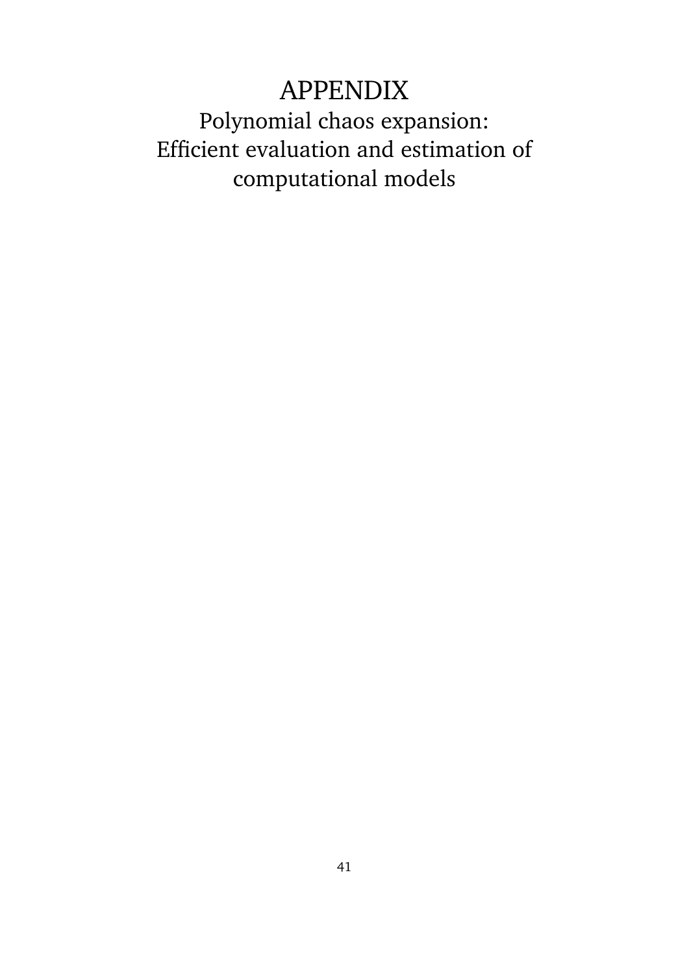# APPENDIX

Polynomial chaos expansion: Efficient evaluation and estimation of computational models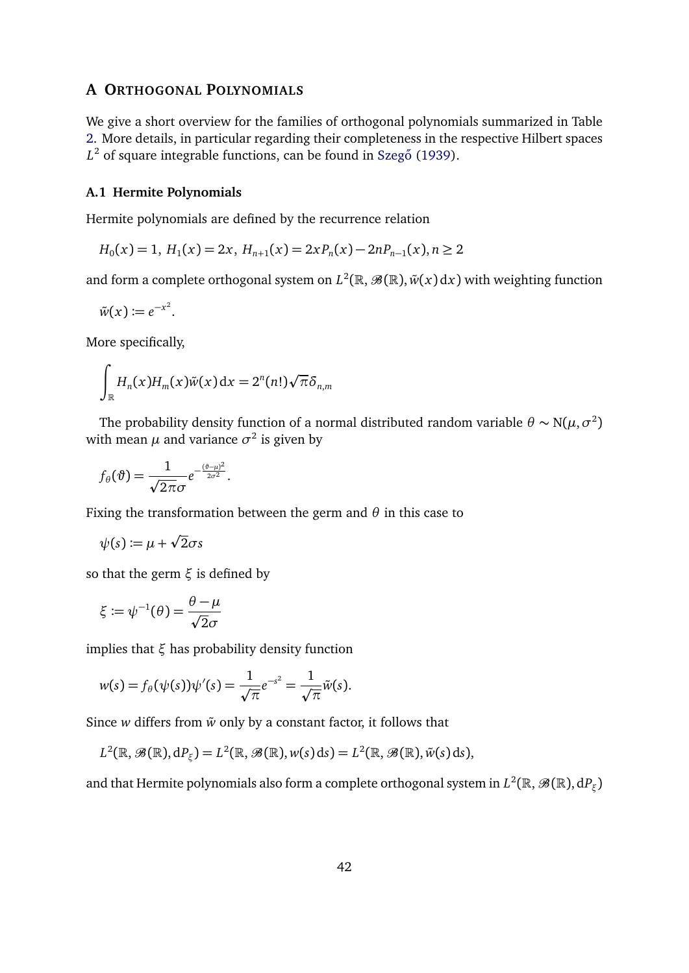## <span id="page-41-0"></span>**A ORTHOGONAL POLYNOMIALS**

We give a short overview for the families of orthogonal polynomials summarized in Table [2.](#page-10-1) More details, in particular regarding their completeness in the respective Hilbert spaces L<sup>2</sup> of square integrable functions, can be found in Szegő [\(1939\)](#page-39-5).

#### **A.1 Hermite Polynomials**

Hermite polynomials are defined by the recurrence relation

$$
H_0(x) = 1, H_1(x) = 2x, H_{n+1}(x) = 2xP_n(x) - 2nP_{n-1}(x), n \ge 2
$$

and form a complete orthogonal system on  $L^2(\mathbb{R},\mathscr{B}(\mathbb{R}),\tilde{w}(x)\, \mathrm{d} x)$  with weighting function

$$
\tilde{w}(x) \coloneqq e^{-x^2}.
$$

More specifically,

 $\lambda$ 

$$
\int_{\mathbb{R}} H_n(x) H_m(x) \tilde{w}(x) dx = 2^n (n!) \sqrt{\pi} \delta_{n,m}
$$

The probability density function of a normal distributed random variable  $\theta \sim N(\mu, \sigma^2)$ with mean  $\mu$  and variance  $\sigma^2$  is given by

$$
f_{\theta}(\vartheta) = \frac{1}{\sqrt{2\pi}\sigma}e^{-\frac{(\vartheta-\mu)^2}{2\sigma^2}}.
$$

Fixing the transformation between the germ and *θ* in this case to

$$
\psi(s) := \mu + \sqrt{2}\sigma s
$$

so that the germ *ξ* is defined by

$$
\xi \coloneqq \psi^{-1}(\theta) = \frac{\theta - \mu}{\sqrt{2}\sigma}
$$

implies that *ξ* has probability density function

$$
w(s) = f_{\theta}(\psi(s))\psi'(s) = \frac{1}{\sqrt{\pi}}e^{-s^2} = \frac{1}{\sqrt{\pi}}\tilde{w}(s).
$$

Since  $w$  differs from  $\tilde{w}$  only by a constant factor, it follows that

$$
L^{2}(\mathbb{R},\mathscr{B}(\mathbb{R}),\mathrm{d}P_{\xi})=L^{2}(\mathbb{R},\mathscr{B}(\mathbb{R}),w(s)\,\mathrm{d}s)=L^{2}(\mathbb{R},\mathscr{B}(\mathbb{R}),\tilde{w}(s)\,\mathrm{d}s),
$$

and that Hermite polynomials also form a complete orthogonal system in  $L^2(\mathbb{R},\mathscr{B}(\mathbb{R}),\mathrm{d} P_\xi)$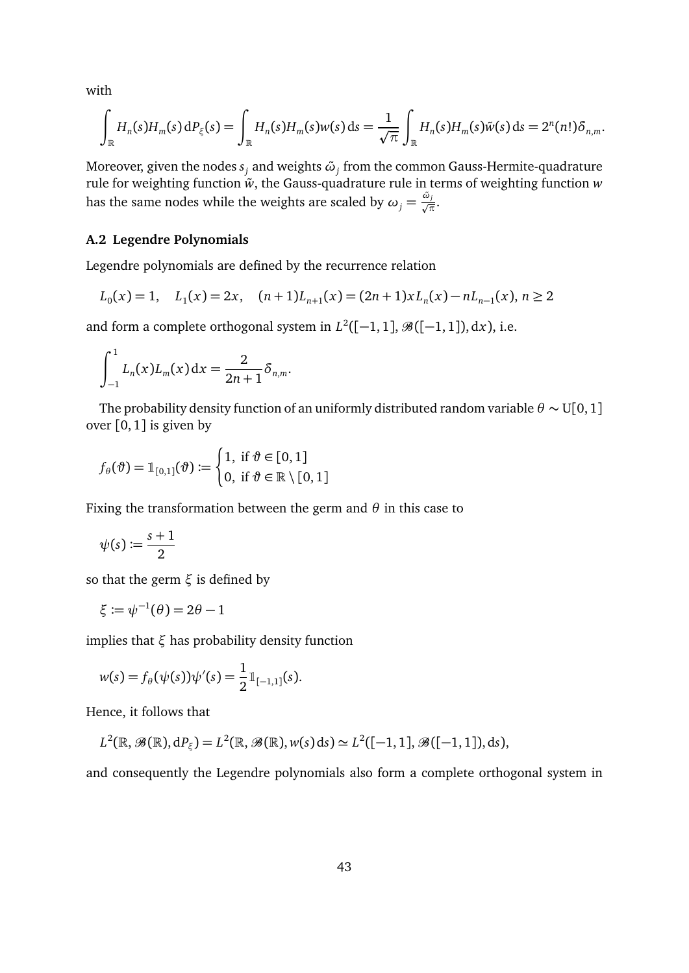with

$$
\int_{\mathbb{R}} H_n(s)H_m(s)\,\mathrm{d}P_\xi(s) = \int_{\mathbb{R}} H_n(s)H_m(s)w(s)\,\mathrm{d}s = \frac{1}{\sqrt{\pi}}\int_{\mathbb{R}} H_n(s)H_m(s)\tilde{w}(s)\,\mathrm{d}s = 2^n(n!\,\delta_{n,m}.
$$

Moreover, given the nodes *s<sup>j</sup>* and weights *ω*˜ *<sup>j</sup>* from the common Gauss-Hermite-quadrature rule for weighting function  $\tilde{w}$ , the Gauss-quadrature rule in terms of weighting function  $w$ has the same nodes while the weights are scaled by  $\omega_j = \frac{\tilde{\omega}_j}{\sqrt{\pi}}$ .

## **A.2 Legendre Polynomials**

Legendre polynomials are defined by the recurrence relation

$$
L_0(x) = 1, \quad L_1(x) = 2x, \quad (n+1)L_{n+1}(x) = (2n+1)xL_n(x) - nL_{n-1}(x), \quad n \ge 2
$$

and form a complete orthogonal system in  $L^2([-1, 1], \mathcal{B}([-1, 1]), dx)$ , i.e.

$$
\int_{-1}^{1} L_n(x) L_m(x) \, dx = \frac{2}{2n+1} \delta_{n,m}.
$$

The probability density function of an uniformly distributed random variable  $\theta \sim U[0,1]$ over  $\lceil 0, 1 \rceil$  is given by

$$
f_{\theta}(\vartheta) = \mathbb{1}_{[0,1]}(\vartheta) \coloneqq \begin{cases} 1, \text{ if } \vartheta \in [0,1] \\ 0, \text{ if } \vartheta \in \mathbb{R} \setminus [0,1] \end{cases}
$$

Fixing the transformation between the germ and *θ* in this case to

$$
\psi(s) \coloneqq \frac{s+1}{2}
$$

so that the germ *ξ* is defined by

$$
\xi:=\psi^{-1}(\theta)=2\theta-1
$$

implies that *ξ* has probability density function

$$
w(s) = f_{\theta}(\psi(s))\psi'(s) = \frac{1}{2} \mathbb{1}_{[-1,1]}(s).
$$

Hence, it follows that

$$
L^{2}(\mathbb{R},\mathscr{B}(\mathbb{R}),\mathrm{d}P_{\xi})=L^{2}(\mathbb{R},\mathscr{B}(\mathbb{R}),w(s)\,\mathrm{d}s)\simeq L^{2}([-1,1],\mathscr{B}([-1,1]),\mathrm{d}s),
$$

and consequently the Legendre polynomials also form a complete orthogonal system in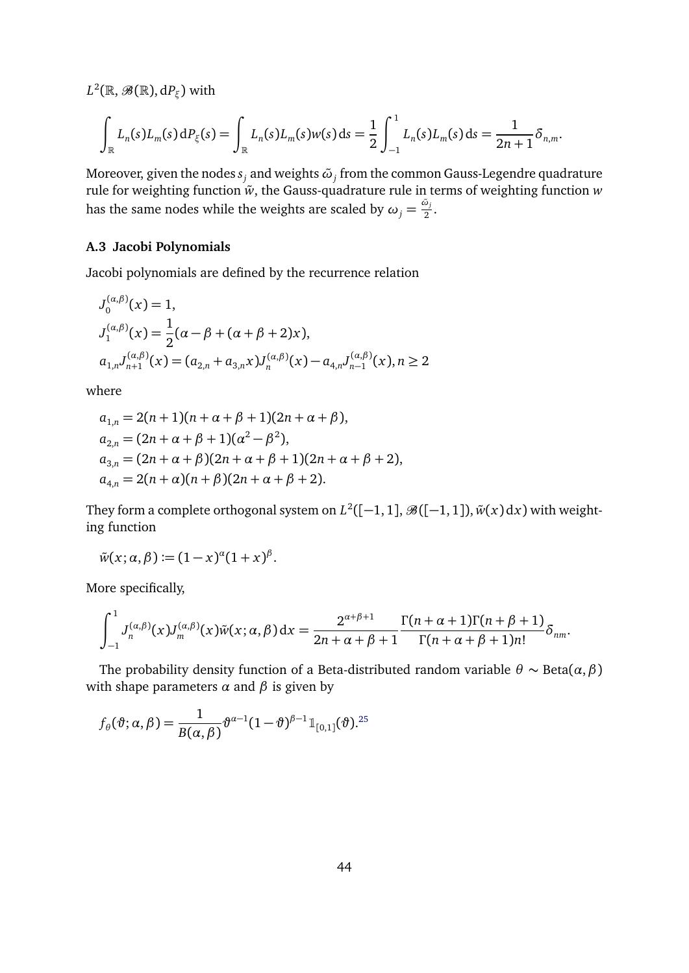$L^2(\mathbb{R},\mathscr{B}(\mathbb{R}),\mathrm{d} P_\xi)$  with

$$
\int_{\mathbb{R}} L_n(s) L_m(s) dP_{\xi}(s) = \int_{\mathbb{R}} L_n(s) L_m(s) w(s) ds = \frac{1}{2} \int_{-1}^1 L_n(s) L_m(s) ds = \frac{1}{2n+1} \delta_{n,m}.
$$

Moreover, given the nodes  $s_j$  and weights  $\tilde{\omega}_j$  from the common Gauss-Legendre quadrature rule for weighting function  $\tilde{w}$ , the Gauss-quadrature rule in terms of weighting function  $w$ has the same nodes while the weights are scaled by  $\omega_j = \frac{\tilde{\omega}_j}{2}$  $\frac{z_j}{2}$ .

## **A.3 Jacobi Polynomials**

Jacobi polynomials are defined by the recurrence relation

$$
J_0^{(\alpha,\beta)}(x) = 1,
$$
  
\n
$$
J_1^{(\alpha,\beta)}(x) = \frac{1}{2}(\alpha - \beta + (\alpha + \beta + 2)x),
$$
  
\n
$$
a_{1,n}J_{n+1}^{(\alpha,\beta)}(x) = (a_{2,n} + a_{3,n}x)J_n^{(\alpha,\beta)}(x) - a_{4,n}J_{n-1}^{(\alpha,\beta)}(x), n \ge 2
$$

where

$$
a_{1,n} = 2(n+1)(n+\alpha+\beta+1)(2n+\alpha+\beta),
$$
  
\n
$$
a_{2,n} = (2n+\alpha+\beta+1)(\alpha^2-\beta^2),
$$
  
\n
$$
a_{3,n} = (2n+\alpha+\beta)(2n+\alpha+\beta+1)(2n+\alpha+\beta+2),
$$
  
\n
$$
a_{4,n} = 2(n+\alpha)(n+\beta)(2n+\alpha+\beta+2).
$$

They form a complete orthogonal system on  $L^2([-1,1],\mathscr{B}([-1,1]),\tilde{w}(x)\,{\rm d}x)$  with weighting function

$$
\tilde{w}(x;\alpha,\beta) \coloneqq (1-x)^{\alpha}(1+x)^{\beta}.
$$

More specifically,

$$
\int_{-1}^1 J_n^{(\alpha,\beta)}(x)J_m^{(\alpha,\beta)}(x)\tilde{w}(x;\alpha,\beta) dx = \frac{2^{\alpha+\beta+1}}{2n+\alpha+\beta+1} \frac{\Gamma(n+\alpha+1)\Gamma(n+\beta+1)}{\Gamma(n+\alpha+\beta+1)n!} \delta_{nm}.
$$

The probability density function of a Beta-distributed random variable  $\theta \sim \text{Beta}(\alpha, \beta)$ with shape parameters  $\alpha$  and  $\beta$  is given by

$$
f_{\theta}(\boldsymbol{\vartheta};\boldsymbol{\alpha},\boldsymbol{\beta})=\frac{1}{B(\boldsymbol{\alpha},\boldsymbol{\beta})}\boldsymbol{\vartheta}^{\alpha-1}(1-\boldsymbol{\vartheta})^{\boldsymbol{\beta}-1}\mathbb{1}_{[0,1]}(\boldsymbol{\vartheta}).^{25}
$$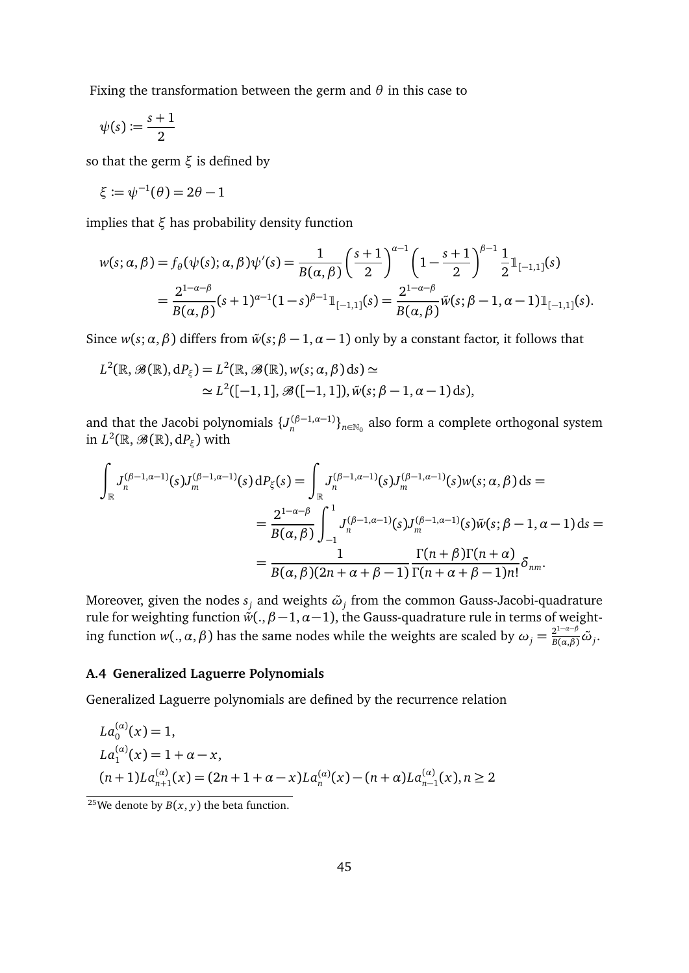Fixing the transformation between the germ and *θ* in this case to

$$
\psi(s):=\frac{s+1}{2}
$$

so that the germ *ξ* is defined by

$$
\xi \coloneqq \psi^{-1}(\theta) = 2\theta - 1
$$

implies that *ξ* has probability density function

$$
w(s; \alpha, \beta) = f_{\theta}(\psi(s); \alpha, \beta)\psi'(s) = \frac{1}{B(\alpha, \beta)} \left(\frac{s+1}{2}\right)^{\alpha-1} \left(1 - \frac{s+1}{2}\right)^{\beta-1} \frac{1}{2} \mathbb{1}_{[-1,1]}(s)
$$
  
= 
$$
\frac{2^{1-\alpha-\beta}}{B(\alpha, \beta)} (s+1)^{\alpha-1} (1-s)^{\beta-1} \mathbb{1}_{[-1,1]}(s) = \frac{2^{1-\alpha-\beta}}{B(\alpha, \beta)} \tilde{w}(s; \beta-1, \alpha-1) \mathbb{1}_{[-1,1]}(s).
$$

Since  $w(s; \alpha, \beta)$  differs from  $\tilde{w}(s; \beta - 1, \alpha - 1)$  only by a constant factor, it follows that

$$
L^{2}(\mathbb{R},\mathscr{B}(\mathbb{R}),dP_{\xi})=L^{2}(\mathbb{R},\mathscr{B}(\mathbb{R}),w(s;\alpha,\beta)ds)\simeq
$$
  

$$
\simeq L^{2}([-1,1],\mathscr{B}([-1,1]),\tilde{w}(s;\beta-1,\alpha-1)ds),
$$

and that the Jacobi polynomials  $\{J_n^{(\beta-1,\alpha-1)}\}_{n\in\mathbb{N}_0}$  also form a complete orthogonal system in  $L^2(\mathbb{R}, \mathscr{B}(\mathbb{R}), dP_\xi)$  with

$$
\int_{\mathbb{R}} J_n^{(\beta-1,\alpha-1)}(s) J_m^{(\beta-1,\alpha-1)}(s) dP_{\xi}(s) = \int_{\mathbb{R}} J_n^{(\beta-1,\alpha-1)}(s) J_m^{(\beta-1,\alpha-1)}(s) w(s; \alpha, \beta) ds =
$$
\n
$$
= \frac{2^{1-\alpha-\beta}}{B(\alpha,\beta)} \int_{-1}^1 J_n^{(\beta-1,\alpha-1)}(s) J_m^{(\beta-1,\alpha-1)}(s) \tilde{w}(s; \beta-1, \alpha-1) ds =
$$
\n
$$
= \frac{1}{B(\alpha,\beta)(2n+\alpha+\beta-1)} \frac{\Gamma(n+\beta)\Gamma(n+\alpha)}{\Gamma(n+\alpha+\beta-1)n!} \delta_{nm}.
$$

Moreover, given the nodes  $s_j$  and weights  $\tilde{\omega}_j$  from the common Gauss-Jacobi-quadrature rule for weighting function  $\H{w}(.,\beta\!-\!1,\alpha\!-\!1),$  the Gauss-quadrature rule in terms of weight- $\lim_{\delta}$  function *w*(*., α, β*) has the same nodes while the weights are scaled by  $ω_j = \frac{2^{1-a-\beta}}{B(a,\beta)}\tilde{ω}_j$ .

## **A.4 Generalized Laguerre Polynomials**

Generalized Laguerre polynomials are defined by the recurrence relation

$$
La_0^{(\alpha)}(x) = 1,La_1^{(\alpha)}(x) = 1 + \alpha - x,(n+1)La_{n+1}^{(\alpha)}(x) = (2n+1+\alpha-x)La_n^{(\alpha)}(x) - (n+\alpha)La_{n-1}^{(\alpha)}(x), n \ge 2
$$

<span id="page-44-0"></span><sup>&</sup>lt;sup>25</sup>We denote by *B*(*x*, *y*) the beta function.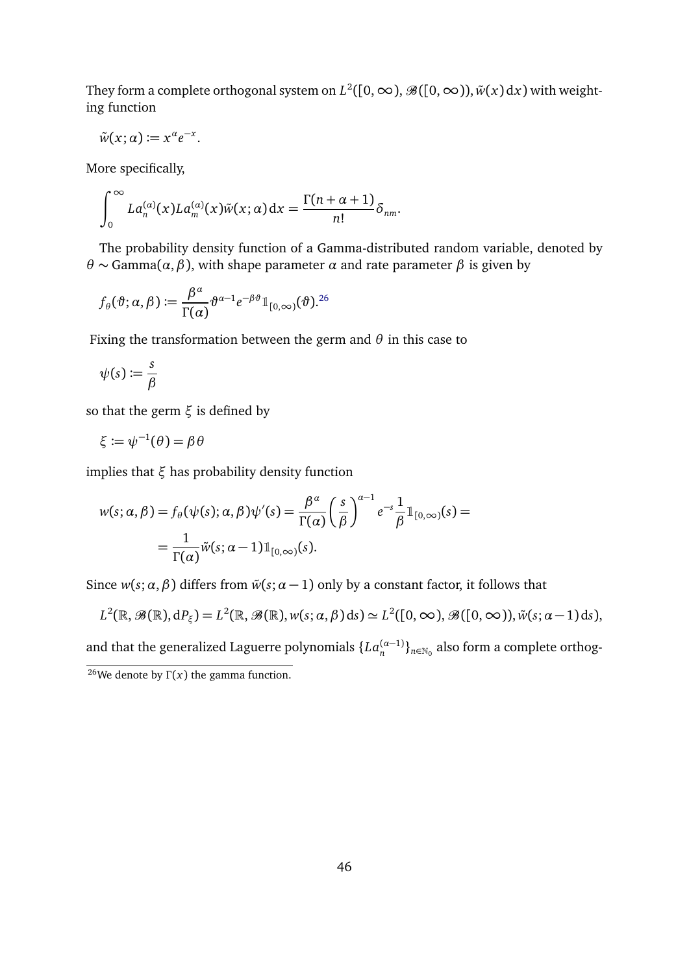They form a complete orthogonal system on  $L^2([0,\infty),{\mathscr B}([0,\infty)), \tilde w(x)\,{\rm d} x)$  with weighting function

$$
\tilde{w}(x;\alpha) := x^{\alpha} e^{-x}.
$$

More specifically,

$$
\int_0^\infty La_n^{(\alpha)}(x)La_m^{(\alpha)}(x)\tilde{w}(x;\alpha) dx = \frac{\Gamma(n+\alpha+1)}{n!}\delta_{nm}.
$$

The probability density function of a Gamma-distributed random variable, denoted by *θ* ∼ Gamma(*α*,*β*), with shape parameter *α* and rate parameter *β* is given by

$$
f_{\theta}(\vartheta; \alpha, \beta) := \frac{\beta^{\alpha}}{\Gamma(\alpha)} \vartheta^{\alpha-1} e^{-\beta \vartheta} \mathbb{1}_{[0,\infty)}(\vartheta).^{26}
$$

Fixing the transformation between the germ and *θ* in this case to

$$
\psi(s) \coloneqq \frac{s}{\beta}
$$

so that the germ *ξ* is defined by

$$
\xi:=\psi^{-1}(\theta)=\beta\,\theta
$$

implies that *ξ* has probability density function

$$
w(s; \alpha, \beta) = f_{\theta}(\psi(s); \alpha, \beta)\psi'(s) = \frac{\beta^{\alpha}}{\Gamma(\alpha)} \left(\frac{s}{\beta}\right)^{\alpha-1} e^{-s} \frac{1}{\beta} \mathbb{1}_{[0, \infty)}(s) =
$$
  
= 
$$
\frac{1}{\Gamma(\alpha)} \tilde{w}(s; \alpha - 1) \mathbb{1}_{[0, \infty)}(s).
$$

Since  $w(s; \alpha, \beta)$  differs from  $\tilde{w}(s; \alpha - 1)$  only by a constant factor, it follows that

$$
L^{2}(\mathbb{R},\mathscr{B}(\mathbb{R}),\mathrm{d}P_{\xi})=L^{2}(\mathbb{R},\mathscr{B}(\mathbb{R}),w(s;\alpha,\beta)\,\mathrm{d}s)\simeq L^{2}([0,\infty),\mathscr{B}([0,\infty)),\tilde{w}(s;\alpha-1)\,\mathrm{d}s),
$$

and that the generalized Laguerre polynomials  $\{La_n^{(\alpha-1)}\}_{n\in\mathbb{N}_0}$  also form a complete orthog-

<span id="page-45-0"></span><sup>&</sup>lt;sup>26</sup>We denote by  $Γ(x)$  the gamma function.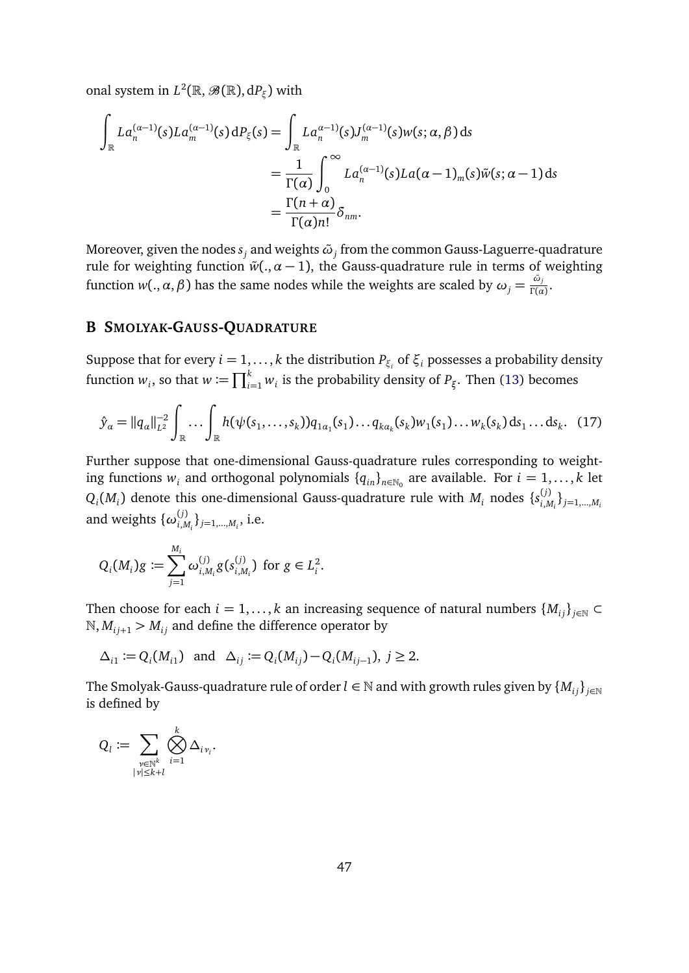onal system in  $L^2(\mathbb{R}, \mathscr{B}(\mathbb{R}), dP_\xi)$  with

$$
\int_{\mathbb{R}} La_n^{(\alpha-1)}(s)La_m^{(\alpha-1)}(s) dP_{\xi}(s) = \int_{\mathbb{R}} La_n^{\alpha-1}(s)J_m^{(\alpha-1)}(s)w(s; \alpha, \beta) ds
$$
  
\n
$$
= \frac{1}{\Gamma(\alpha)} \int_0^{\infty} La_n^{(\alpha-1)}(s)La(\alpha-1)_m(s)\tilde{w}(s; \alpha-1) ds
$$
  
\n
$$
= \frac{\Gamma(n+\alpha)}{\Gamma(\alpha)n!} \delta_{nm}.
$$

Moreover, given the nodes  $s_j$  and weights  $\tilde{\omega}_j$  from the common Gauss-Laguerre-quadrature rule for weighting function  $\tilde{w}$ (.,  $\alpha - 1$ ), the Gauss-quadrature rule in terms of weighting function  $w(.,\alpha,\beta)$  has the same nodes while the weights are scaled by  $\omega_j=\frac{\tilde{\omega}_j}{\Gamma(\alpha)}$  $\frac{\omega_j}{\Gamma(\alpha)}$ .

## <span id="page-46-0"></span>**B SMOLYAK-GAUSS-QUADRATURE**

Suppose that for every  $i = 1, \ldots, k$  the distribution  $P_{\xi_i}$  of  $\xi_i$  possesses a probability density function  $w_i$ , so that  $w := \prod_{i=1}^k w_i$  is the probability density of  $P_\xi$ . Then [\(13\)](#page-16-1) becomes

<span id="page-46-1"></span>
$$
\hat{y}_{\alpha} = ||q_{\alpha}||_{L^2}^{-2} \int_{\mathbb{R}} \dots \int_{\mathbb{R}} h(\psi(s_1, \dots, s_k)) q_{1\alpha_1}(s_1) \dots q_{k\alpha_k}(s_k) w_1(s_1) \dots w_k(s_k) ds_1 \dots ds_k. \quad (17)
$$

Further suppose that one-dimensional Gauss-quadrature rules corresponding to weighting functions  $w_i$  and orthogonal polynomials  $\{q_{in}\}_{n\in\mathbb{N}_0}$  are available. For  $i = 1, ..., k$  let  $Q_i(M_i)$  denote this one-dimensional Gauss-quadrature rule with  $M_i$  nodes  $\{s_{i,h}^{(j)}\}$  $\{j\}}_{i,M_i}$ }<sub>*j*=1,...,*M*<sub>*i*</sub></sub> and weights  $\{ \omega_{i,k}^{(j)} \}$  $_{i,M_i}^{(j)}\}_{j=1,...,M_i}$ , i.e.

$$
Q_i(M_i)g \coloneqq \sum_{j=1}^{M_i} \omega_{i,M_i}^{(j)} g(s_{i,M_i}^{(j)}) \text{ for } g \in L_i^2.
$$

Then choose for each  $i = 1, ..., k$  an increasing sequence of natural numbers  $\{M_{ij}\}_{j \in \mathbb{N}} \subset$  $N, M_{i,j+1} > M_{i,j}$  and define the difference operator by

$$
\Delta_{i1} := Q_i(M_{i1})
$$
 and  $\Delta_{ij} := Q_i(M_{ij}) - Q_i(M_{ij-1}), j \ge 2$ .

The Smolyak-Gauss-quadrature rule of order  $l \in \mathbb{N}$  and with growth rules given by  $\{M_{ij}\}_{j \in \mathbb{N}}$ is defined by

$$
Q_l \coloneqq \sum_{\stackrel{\mathfrak{p} \in \mathbb{N}^k}{|\mathfrak{p}| \leq k+l}} \bigotimes_{i=1}^k \Delta_{i \, \mathfrak{p}_i}.
$$